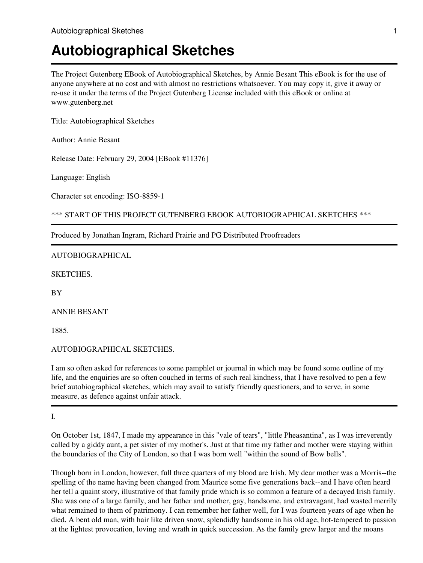The Project Gutenberg EBook of Autobiographical Sketches, by Annie Besant This eBook is for the use of anyone anywhere at no cost and with almost no restrictions whatsoever. You may copy it, give it away or re-use it under the terms of the Project Gutenberg License included with this eBook or online at www.gutenberg.net

Title: Autobiographical Sketches

Author: Annie Besant

Release Date: February 29, 2004 [EBook #11376]

Language: English

Character set encoding: ISO-8859-1

\*\*\* START OF THIS PROJECT GUTENBERG EBOOK AUTOBIOGRAPHICAL SKETCHES \*\*\*

Produced by Jonathan Ingram, Richard Prairie and PG Distributed Proofreaders

#### AUTOBIOGRAPHICAL

SKETCHES.

**BY** 

ANNIE BESANT

1885.

AUTOBIOGRAPHICAL SKETCHES.

I am so often asked for references to some pamphlet or journal in which may be found some outline of my life, and the enquiries are so often couched in terms of such real kindness, that I have resolved to pen a few brief autobiographical sketches, which may avail to satisfy friendly questioners, and to serve, in some measure, as defence against unfair attack.

I.

On October 1st, 1847, I made my appearance in this "vale of tears", "little Pheasantina", as I was irreverently called by a giddy aunt, a pet sister of my mother's. Just at that time my father and mother were staying within the boundaries of the City of London, so that I was born well "within the sound of Bow bells".

Though born in London, however, full three quarters of my blood are Irish. My dear mother was a Morris--the spelling of the name having been changed from Maurice some five generations back--and I have often heard her tell a quaint story, illustrative of that family pride which is so common a feature of a decayed Irish family. She was one of a large family, and her father and mother, gay, handsome, and extravagant, had wasted merrily what remained to them of patrimony. I can remember her father well, for I was fourteen years of age when he died. A bent old man, with hair like driven snow, splendidly handsome in his old age, hot-tempered to passion at the lightest provocation, loving and wrath in quick succession. As the family grew larger and the moans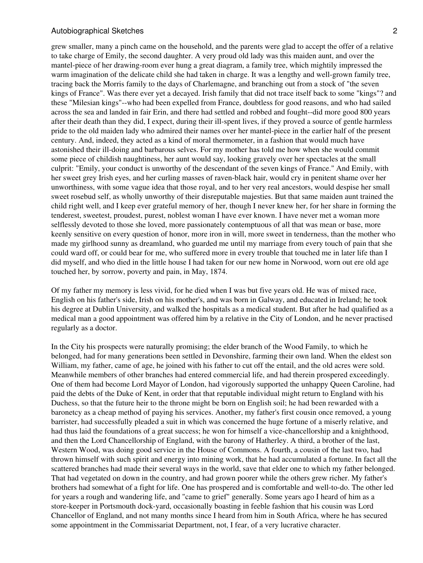grew smaller, many a pinch came on the household, and the parents were glad to accept the offer of a relative to take charge of Emily, the second daughter. A very proud old lady was this maiden aunt, and over the mantel-piece of her drawing-room ever hung a great diagram, a family tree, which mightily impressed the warm imagination of the delicate child she had taken in charge. It was a lengthy and well-grown family tree, tracing back the Morris family to the days of Charlemagne, and branching out from a stock of "the seven kings of France". Was there ever yet a decayed. Irish family that did not trace itself back to some "kings"? and these "Milesian kings"--who had been expelled from France, doubtless for good reasons, and who had sailed across the sea and landed in fair Erin, and there had settled and robbed and fought--did more good 800 years after their death than they did, I expect, during their ill-spent lives, if they proved a source of gentle harmless pride to the old maiden lady who admired their names over her mantel-piece in the earlier half of the present century. And, indeed, they acted as a kind of moral thermometer, in a fashion that would much have astonished their ill-doing and barbarous selves. For my mother has told me how when she would commit some piece of childish naughtiness, her aunt would say, looking gravely over her spectacles at the small culprit: "Emily, your conduct is unworthy of the descendant of the seven kings of France." And Emily, with her sweet grey Irish eyes, and her curling masses of raven-black hair, would cry in penitent shame over her unworthiness, with some vague idea that those royal, and to her very real ancestors, would despise her small sweet rosebud self, as wholly unworthy of their disreputable majesties. But that same maiden aunt trained the child right well, and I keep ever grateful memory of her, though I never knew her, for her share in forming the tenderest, sweetest, proudest, purest, noblest woman I have ever known. I have never met a woman more selflessly devoted to those she loved, more passionately contemptuous of all that was mean or base, more keenly sensitive on every question of honor, more iron in will, more sweet in tenderness, than the mother who made my girlhood sunny as dreamland, who guarded me until my marriage from every touch of pain that she could ward off, or could bear for me, who suffered more in every trouble that touched me in later life than I did myself, and who died in the little house I had taken for our new home in Norwood, worn out ere old age touched her, by sorrow, poverty and pain, in May, 1874.

Of my father my memory is less vivid, for he died when I was but five years old. He was of mixed race, English on his father's side, Irish on his mother's, and was born in Galway, and educated in Ireland; he took his degree at Dublin University, and walked the hospitals as a medical student. But after he had qualified as a medical man a good appointment was offered him by a relative in the City of London, and he never practised regularly as a doctor.

In the City his prospects were naturally promising; the elder branch of the Wood Family, to which he belonged, had for many generations been settled in Devonshire, farming their own land. When the eldest son William, my father, came of age, he joined with his father to cut off the entail, and the old acres were sold. Meanwhile members of other branches had entered commercial life, and had therein prospered exceedingly. One of them had become Lord Mayor of London, had vigorously supported the unhappy Queen Caroline, had paid the debts of the Duke of Kent, in order that that reputable individual might return to England with his Duchess, so that the future heir to the throne might be born on English soil; he had been rewarded with a baronetcy as a cheap method of paying his services. Another, my father's first cousin once removed, a young barrister, had successfully pleaded a suit in which was concerned the huge fortune of a miserly relative, and had thus laid the foundations of a great success; he won for himself a vice-chancellorship and a knighthood, and then the Lord Chancellorship of England, with the barony of Hatherley. A third, a brother of the last, Western Wood, was doing good service in the House of Commons. A fourth, a cousin of the last two, had thrown himself with such spirit and energy into mining work, that he had accumulated a fortune. In fact all the scattered branches had made their several ways in the world, save that elder one to which my father belonged. That had vegetated on down in the country, and had grown poorer while the others grew richer. My father's brothers had somewhat of a fight for life. One has prospered and is comfortable and well-to-do. The other led for years a rough and wandering life, and "came to grief" generally. Some years ago I heard of him as a store-keeper in Portsmouth dock-yard, occasionally boasting in feeble fashion that his cousin was Lord Chancellor of England, and not many months since I heard from him in South Africa, where he has secured some appointment in the Commissariat Department, not, I fear, of a very lucrative character.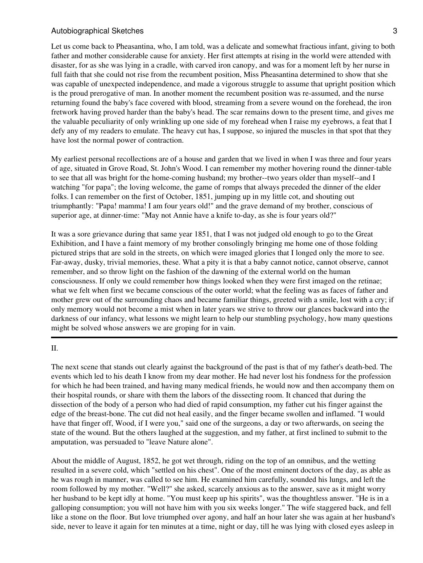Let us come back to Pheasantina, who, I am told, was a delicate and somewhat fractious infant, giving to both father and mother considerable cause for anxiety. Her first attempts at rising in the world were attended with disaster, for as she was lying in a cradle, with carved iron canopy, and was for a moment left by her nurse in full faith that she could not rise from the recumbent position, Miss Pheasantina determined to show that she was capable of unexpected independence, and made a vigorous struggle to assume that upright position which is the proud prerogative of man. In another moment the recumbent position was re-assumed, and the nurse returning found the baby's face covered with blood, streaming from a severe wound on the forehead, the iron fretwork having proved harder than the baby's head. The scar remains down to the present time, and gives me the valuable peculiarity of only wrinkling up one side of my forehead when I raise my eyebrows, a feat that I defy any of my readers to emulate. The heavy cut has, I suppose, so injured the muscles in that spot that they have lost the normal power of contraction.

My earliest personal recollections are of a house and garden that we lived in when I was three and four years of age, situated in Grove Road, St. John's Wood. I can remember my mother hovering round the dinner-table to see that all was bright for the home-coming husband; my brother--two years older than myself--and I watching "for papa"; the loving welcome, the game of romps that always preceded the dinner of the elder folks. I can remember on the first of October, 1851, jumping up in my little cot, and shouting out triumphantly: "Papa! mamma! I am four years old!" and the grave demand of my brother, conscious of superior age, at dinner-time: "May not Annie have a knife to-day, as she is four years old?"

It was a sore grievance during that same year 1851, that I was not judged old enough to go to the Great Exhibition, and I have a faint memory of my brother consolingly bringing me home one of those folding pictured strips that are sold in the streets, on which were imaged glories that I longed only the more to see. Far-away, dusky, trivial memories, these. What a pity it is that a baby cannot notice, cannot observe, cannot remember, and so throw light on the fashion of the dawning of the external world on the human consciousness. If only we could remember how things looked when they were first imaged on the retinae; what we felt when first we became conscious of the outer world; what the feeling was as faces of father and mother grew out of the surrounding chaos and became familiar things, greeted with a smile, lost with a cry; if only memory would not become a mist when in later years we strive to throw our glances backward into the darkness of our infancy, what lessons we might learn to help our stumbling psychology, how many questions might be solved whose answers we are groping for in vain.

II.

The next scene that stands out clearly against the background of the past is that of my father's death-bed. The events which led to his death I know from my dear mother. He had never lost his fondness for the profession for which he had been trained, and having many medical friends, he would now and then accompany them on their hospital rounds, or share with them the labors of the dissecting room. It chanced that during the dissection of the body of a person who had died of rapid consumption, my father cut his finger against the edge of the breast-bone. The cut did not heal easily, and the finger became swollen and inflamed. "I would have that finger off, Wood, if I were you," said one of the surgeons, a day or two afterwards, on seeing the state of the wound. But the others laughed at the suggestion, and my father, at first inclined to submit to the amputation, was persuaded to "leave Nature alone".

About the middle of August, 1852, he got wet through, riding on the top of an omnibus, and the wetting resulted in a severe cold, which "settled on his chest". One of the most eminent doctors of the day, as able as he was rough in manner, was called to see him. He examined him carefully, sounded his lungs, and left the room followed by my mother. "Well?" she asked, scarcely anxious as to the answer, save as it might worry her husband to be kept idly at home. "You must keep up his spirits", was the thoughtless answer. "He is in a galloping consumption; you will not have him with you six weeks longer." The wife staggered back, and fell like a stone on the floor. But love triumphed over agony, and half an hour later she was again at her husband's side, never to leave it again for ten minutes at a time, night or day, till he was lying with closed eyes asleep in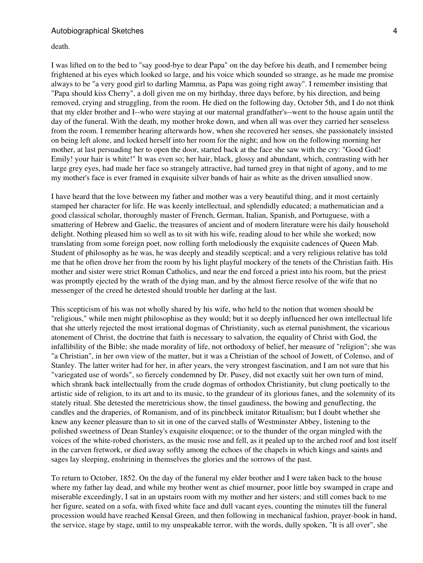death.

I was lifted on to the bed to "say good-bye to dear Papa" on the day before his death, and I remember being frightened at his eyes which looked so large, and his voice which sounded so strange, as he made me promise always to be "a very good girl to darling Mamma, as Papa was going right away". I remember insisting that "Papa should kiss Cherry", a doll given me on my birthday, three days before, by his direction, and being removed, crying and struggling, from the room. He died on the following day, October 5th, and I do not think that my elder brother and I--who were staying at our maternal grandfather's--went to the house again until the day of the funeral. With the death, my mother broke down, and when all was over they carried her senseless from the room. I remember hearing afterwards how, when she recovered her senses, she passionately insisted on being left alone, and locked herself into her room for the night; and how on the following morning her mother, at last persuading her to open the door, started back at the face she saw with the cry: "Good God! Emily! your hair is white!" It was even so; her hair, black, glossy and abundant, which, contrasting with her large grey eyes, had made her face so strangely attractive, had turned grey in that night of agony, and to me my mother's face is ever framed in exquisite silver bands of hair as white as the driven unsullied snow.

I have heard that the love between my father and mother was a very beautiful thing, and it most certainly stamped her character for life. He was keenly intellectual, and splendidly educated; a mathematician and a good classical scholar, thoroughly master of French, German, Italian, Spanish, and Portuguese, with a smattering of Hebrew and Gaelic, the treasures of ancient and of modern literature were his daily household delight. Nothing pleased him so well as to sit with his wife, reading aloud to her while she worked; now translating from some foreign poet, now rolling forth melodiously the exquisite cadences of Queen Mab. Student of philosophy as he was, he was deeply and steadily sceptical; and a very religious relative has told me that he often drove her from the room by his light playful mockery of the tenets of the Christian faith. His mother and sister were strict Roman Catholics, and near the end forced a priest into his room, but the priest was promptly ejected by the wrath of the dying man, and by the almost fierce resolve of the wife that no messenger of the creed he detested should trouble her darling at the last.

This scepticism of his was not wholly shared by his wife, who held to the notion that women should be "religious," while men might philosophise as they would; but it so deeply influenced her own intellectual life that she utterly rejected the most irrational dogmas of Christianity, such as eternal punishment, the vicarious atonement of Christ, the doctrine that faith is necessary to salvation, the equality of Christ with God, the infallibility of the Bible; she made morality of life, not orthodoxy of belief, her measure of "religion"; she was "a Christian", in her own view of the matter, but it was a Christian of the school of Jowett, of Colenso, and of Stanley. The latter writer had for her, in after years, the very strongest fascination, and I am not sure that his "variegated use of words", so fiercely condemned by Dr. Pusey, did not exactly suit her own turn of mind, which shrank back intellectually from the crude dogmas of orthodox Christianity, but clung poetically to the artistic side of religion, to its art and to its music, to the grandeur of its glorious fanes, and the solemnity of its stately ritual. She detested the meretricious show, the tinsel gaudiness, the bowing and genuflecting, the candles and the draperies, of Romanism, and of its pinchbeck imitator Ritualism; but I doubt whether she knew any keener pleasure than to sit in one of the carved stalls of Westminster Abbey, listening to the polished sweetness of Dean Stanley's exquisite eloquence; or to the thunder of the organ mingled with the voices of the white-robed choristers, as the music rose and fell, as it pealed up to the arched roof and lost itself in the carven fretwork, or died away softly among the echoes of the chapels in which kings and saints and sages lay sleeping, enshrining in themselves the glories and the sorrows of the past.

To return to October, 1852. On the day of the funeral my elder brother and I were taken back to the house where my father lay dead, and while my brother went as chief mourner, poor little boy swamped in crape and miserable exceedingly, I sat in an upstairs room with my mother and her sisters; and still comes back to me her figure, seated on a sofa, with fixed white face and dull vacant eyes, counting the minutes till the funeral procession would have reached Kensal Green, and then following in mechanical fashion, prayer-book in hand, the service, stage by stage, until to my unspeakable terror, with the words, dully spoken, "It is all over", she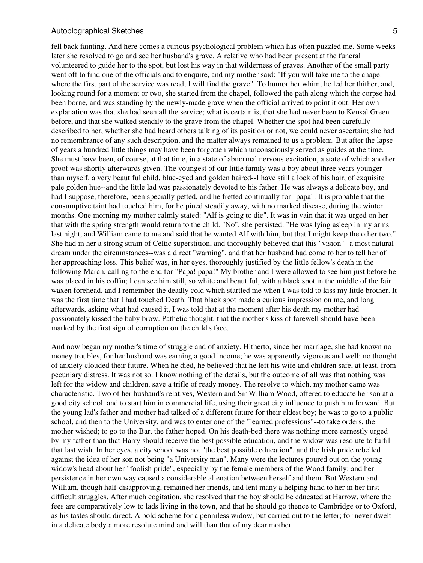fell back fainting. And here comes a curious psychological problem which has often puzzled me. Some weeks later she resolved to go and see her husband's grave. A relative who had been present at the funeral volunteered to guide her to the spot, but lost his way in that wilderness of graves. Another of the small party went off to find one of the officials and to enquire, and my mother said: "If you will take me to the chapel where the first part of the service was read, I will find the grave". To humor her whim, he led her thither, and, looking round for a moment or two, she started from the chapel, followed the path along which the corpse had been borne, and was standing by the newly-made grave when the official arrived to point it out. Her own explanation was that she had seen all the service; what is certain is, that she had never been to Kensal Green before, and that she walked steadily to the grave from the chapel. Whether the spot had been carefully described to her, whether she had heard others talking of its position or not, we could never ascertain; she had no remembrance of any such description, and the matter always remained to us a problem. But after the lapse of years a hundred little things may have been forgotten which unconsciously served as guides at the time. She must have been, of course, at that time, in a state of abnormal nervous excitation, a state of which another proof was shortly afterwards given. The youngest of our little family was a boy about three years younger than myself, a very beautiful child, blue-eyed and golden haired--I have still a lock of his hair, of exquisite pale golden hue--and the little lad was passionately devoted to his father. He was always a delicate boy, and had I suppose, therefore, been specially petted, and he fretted continually for "papa". It is probable that the consumptive taint had touched him, for he pined steadily away, with no marked disease, during the winter months. One morning my mother calmly stated: "Alf is going to die". It was in vain that it was urged on her that with the spring strength would return to the child. "No", she persisted. "He was lying asleep in my arms last night, and William came to me and said that he wanted Alf with him, but that I might keep the other two." She had in her a strong strain of Celtic superstition, and thoroughly believed that this "vision"--a most natural dream under the circumstances--was a direct "warning", and that her husband had come to her to tell her of her approaching loss. This belief was, in her eyes, thoroughly justified by the little fellow's death in the following March, calling to the end for "Papa! papa!" My brother and I were allowed to see him just before he was placed in his coffin; I can see him still, so white and beautiful, with a black spot in the middle of the fair waxen forehead, and I remember the deadly cold which startled me when I was told to kiss my little brother. It was the first time that I had touched Death. That black spot made a curious impression on me, and long afterwards, asking what had caused it, I was told that at the moment after his death my mother had passionately kissed the baby brow. Pathetic thought, that the mother's kiss of farewell should have been marked by the first sign of corruption on the child's face.

And now began my mother's time of struggle and of anxiety. Hitherto, since her marriage, she had known no money troubles, for her husband was earning a good income; he was apparently vigorous and well: no thought of anxiety clouded their future. When he died, he believed that he left his wife and children safe, at least, from pecuniary distress. It was not so. I know nothing of the details, but the outcome of all was that nothing was left for the widow and children, save a trifle of ready money. The resolve to which, my mother came was characteristic. Two of her husband's relatives, Western and Sir William Wood, offered to educate her son at a good city school, and to start him in commercial life, using their great city influence to push him forward. But the young lad's father and mother had talked of a different future for their eldest boy; he was to go to a public school, and then to the University, and was to enter one of the "learned professions"--to take orders, the mother wished; to go to the Bar, the father hoped. On his death-bed there was nothing more earnestly urged by my father than that Harry should receive the best possible education, and the widow was resolute to fulfil that last wish. In her eyes, a city school was not "the best possible education", and the Irish pride rebelled against the idea of her son not being "a University man". Many were the lectures poured out on the young widow's head about her "foolish pride", especially by the female members of the Wood family; and her persistence in her own way caused a considerable alienation between herself and them. But Western and William, though half-disapproving, remained her friends, and lent many a helping hand to her in her first difficult struggles. After much cogitation, she resolved that the boy should be educated at Harrow, where the fees are comparatively low to lads living in the town, and that he should go thence to Cambridge or to Oxford, as his tastes should direct. A bold scheme for a penniless widow, but carried out to the letter; for never dwelt in a delicate body a more resolute mind and will than that of my dear mother.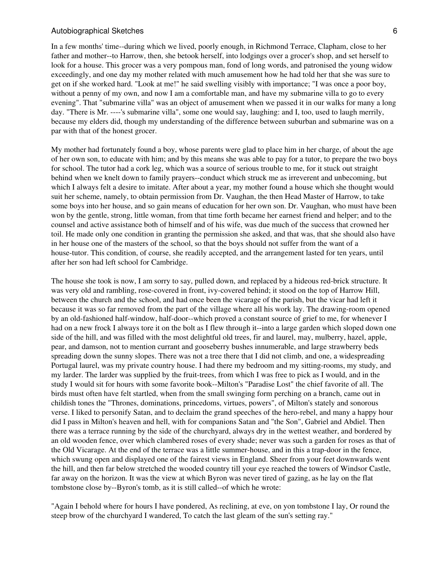In a few months' time--during which we lived, poorly enough, in Richmond Terrace, Clapham, close to her father and mother--to Harrow, then, she betook herself, into lodgings over a grocer's shop, and set herself to look for a house. This grocer was a very pompous man, fond of long words, and patronised the young widow exceedingly, and one day my mother related with much amusement how he had told her that she was sure to get on if she worked hard. "Look at me!" he said swelling visibly with importance; "I was once a poor boy, without a penny of my own, and now I am a comfortable man, and have my submarine villa to go to every evening". That "submarine villa" was an object of amusement when we passed it in our walks for many a long day. "There is Mr. ----'s submarine villa", some one would say, laughing: and I, too, used to laugh merrily, because my elders did, though my understanding of the difference between suburban and submarine was on a par with that of the honest grocer.

My mother had fortunately found a boy, whose parents were glad to place him in her charge, of about the age of her own son, to educate with him; and by this means she was able to pay for a tutor, to prepare the two boys for school. The tutor had a cork leg, which was a source of serious trouble to me, for it stuck out straight behind when we knelt down to family prayers--conduct which struck me as irreverent and unbecoming, but which I always felt a desire to imitate. After about a year, my mother found a house which she thought would suit her scheme, namely, to obtain permission from Dr. Vaughan, the then Head Master of Harrow, to take some boys into her house, and so gain means of education for her own son. Dr. Vaughan, who must have been won by the gentle, strong, little woman, from that time forth became her earnest friend and helper; and to the counsel and active assistance both of himself and of his wife, was due much of the success that crowned her toil. He made only one condition in granting the permission she asked, and that was, that she should also have in her house one of the masters of the school, so that the boys should not suffer from the want of a house-tutor. This condition, of course, she readily accepted, and the arrangement lasted for ten years, until after her son had left school for Cambridge.

The house she took is now, I am sorry to say, pulled down, and replaced by a hideous red-brick structure. It was very old and rambling, rose-covered in front, ivy-covered behind; it stood on the top of Harrow Hill, between the church and the school, and had once been the vicarage of the parish, but the vicar had left it because it was so far removed from the part of the village where all his work lay. The drawing-room opened by an old-fashioned half-window, half-door--which proved a constant source of grief to me, for whenever I had on a new frock I always tore it on the bolt as I flew through it--into a large garden which sloped down one side of the hill, and was filled with the most delightful old trees, fir and laurel, may, mulberry, hazel, apple, pear, and damson, not to mention currant and gooseberry bushes innumerable, and large strawberry beds spreading down the sunny slopes. There was not a tree there that I did not climb, and one, a widespreading Portugal laurel, was my private country house. I had there my bedroom and my sitting-rooms, my study, and my larder. The larder was supplied by the fruit-trees, from which I was free to pick as I would, and in the study I would sit for hours with some favorite book--Milton's "Paradise Lost" the chief favorite of all. The birds must often have felt startled, when from the small swinging form perching on a branch, came out in childish tones the "Thrones, dominations, princedoms, virtues, powers", of Milton's stately and sonorous verse. I liked to personify Satan, and to declaim the grand speeches of the hero-rebel, and many a happy hour did I pass in Milton's heaven and hell, with for companions Satan and "the Son", Gabriel and Abdiel. Then there was a terrace running by the side of the churchyard, always dry in the wettest weather, and bordered by an old wooden fence, over which clambered roses of every shade; never was such a garden for roses as that of the Old Vicarage. At the end of the terrace was a little summer-house, and in this a trap-door in the fence, which swung open and displayed one of the fairest views in England. Sheer from your feet downwards went the hill, and then far below stretched the wooded country till your eye reached the towers of Windsor Castle, far away on the horizon. It was the view at which Byron was never tired of gazing, as he lay on the flat tombstone close by--Byron's tomb, as it is still called--of which he wrote:

"Again I behold where for hours I have pondered, As reclining, at eve, on yon tombstone I lay, Or round the steep brow of the churchyard I wandered, To catch the last gleam of the sun's setting ray."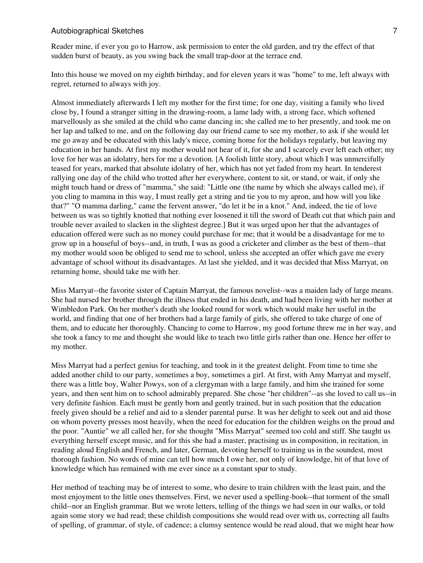Reader mine, if ever you go to Harrow, ask permission to enter the old garden, and try the effect of that sudden burst of beauty, as you swing back the small trap-door at the terrace end.

Into this house we moved on my eighth birthday, and for eleven years it was "home" to me, left always with regret, returned to always with joy.

Almost immediately afterwards I left my mother for the first time; for one day, visiting a family who lived close by, I found a stranger sitting in the drawing-room, a lame lady with, a strong face, which softened marvellously as she smiled at the child who came dancing in; she called me to her presently, and took me on her lap and talked to me, and on the following day our friend came to see my mother, to ask if she would let me go away and be educated with this lady's niece, coming home for the holidays regularly, but leaving my education in her hands. At first my mother would not hear of it, for she and I scarcely ever left each other; my love for her was an idolatry, hers for me a devotion. [A foolish little story, about which I was unmercifully teased for years, marked that absolute idolatry of her, which has not yet faded from my heart. In tenderest rallying one day of the child who trotted after her everywhere, content to sit, or stand, or wait, if only she might touch hand or dress of "mamma," she said: "Little one (the name by which she always called me), if you cling to mamma in this way, I must really get a string and tie you to my apron, and how will you like that?" "O mamma darling," came the fervent answer, "do let it be in a knot." And, indeed, the tie of love between us was so tightly knotted that nothing ever loosened it till the sword of Death cut that which pain and trouble never availed to slacken in the slightest degree.] But it was urged upon her that the advantages of education offered were such as no money could purchase for me; that it would be a disadvantage for me to grow up in a houseful of boys--and, in truth, I was as good a cricketer and climber as the best of them--that my mother would soon be obliged to send me to school, unless she accepted an offer which gave me every advantage of school without its disadvantages. At last she yielded, and it was decided that Miss Marryat, on returning home, should take me with her.

Miss Marryat--the favorite sister of Captain Marryat, the famous novelist--was a maiden lady of large means. She had nursed her brother through the illness that ended in his death, and had been living with her mother at Wimbledon Park. On her mother's death she looked round for work which would make her useful in the world, and finding that one of her brothers had a large family of girls, she offered to take charge of one of them, and to educate her thoroughly. Chancing to come to Harrow, my good fortune threw me in her way, and she took a fancy to me and thought she would like to teach two little girls rather than one. Hence her offer to my mother.

Miss Marryat had a perfect genius for teaching, and took in it the greatest delight. From time to time she added another child to our party, sometimes a boy, sometimes a girl. At first, with Amy Marryat and myself, there was a little boy, Walter Powys, son of a clergyman with a large family, and him she trained for some years, and then sent him on to school admirably prepared. She chose "her children"--as she loved to call us--in very definite fashion. Each must be gently born and gently trained, but in such position that the education freely given should be a relief and aid to a slender parental purse. It was her delight to seek out and aid those on whom poverty presses most heavily, when the need for education for the children weighs on the proud and the poor. "Auntie" we all called her, for she thought "Miss Marryat" seemed too cold and stiff. She taught us everything herself except music, and for this she had a master, practising us in composition, in recitation, in reading aloud English and French, and later, German, devoting herself to training us in the soundest, most thorough fashion. No words of mine can tell how much I owe her, not only of knowledge, bit of that love of knowledge which has remained with me ever since as a constant spur to study.

Her method of teaching may be of interest to some, who desire to train children with the least pain, and the most enjoyment to the little ones themselves. First, we never used a spelling-book--that torment of the small child--nor an English grammar. But we wrote letters, telling of the things we had seen in our walks, or told again some story we had read; these childish compositions she would read over with us, correcting all faults of spelling, of grammar, of style, of cadence; a clumsy sentence would be read aloud, that we might hear how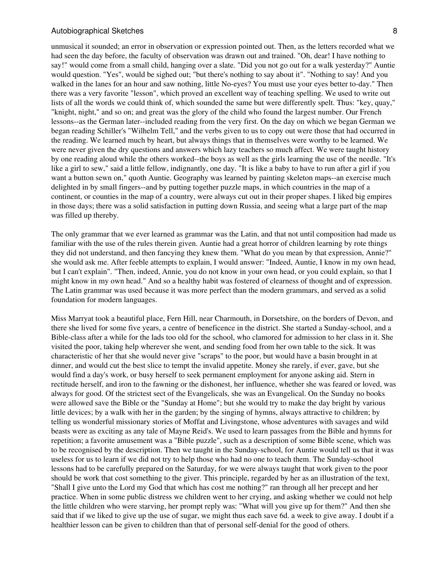unmusical it sounded; an error in observation or expression pointed out. Then, as the letters recorded what we had seen the day before, the faculty of observation was drawn out and trained. "Oh, dear! I have nothing to say!" would come from a small child, hanging over a slate. "Did you not go out for a walk yesterday?" Auntie would question. "Yes", would be sighed out; "but there's nothing to say about it". "Nothing to say! And you walked in the lanes for an hour and saw nothing, little No-eyes? You must use your eyes better to-day." Then there was a very favorite "lesson", which proved an excellent way of teaching spelling. We used to write out lists of all the words we could think of, which sounded the same but were differently spelt. Thus: "key, quay," "knight, night," and so on; and great was the glory of the child who found the largest number. Our French lessons--as the German later--included reading from the very first. On the day on which we began German we began reading Schiller's "Wilhelm Tell," and the verbs given to us to copy out were those that had occurred in the reading. We learned much by heart, but always things that in themselves were worthy to be learned. We were never given the dry questions and answers which lazy teachers so much affect. We were taught history by one reading aloud while the others worked--the boys as well as the girls learning the use of the needle. "It's like a girl to sew," said a little fellow, indignantly, one day. "It is like a baby to have to run after a girl if you want a button sewn on," quoth Auntie. Geography was learned by painting skeleton maps--an exercise much delighted in by small fingers--and by putting together puzzle maps, in which countries in the map of a continent, or counties in the map of a country, were always cut out in their proper shapes. I liked big empires in those days; there was a solid satisfaction in putting down Russia, and seeing what a large part of the map was filled up thereby.

The only grammar that we ever learned as grammar was the Latin, and that not until composition had made us familiar with the use of the rules therein given. Auntie had a great horror of children learning by rote things they did not understand, and then fancying they knew them. "What do you mean by that expression, Annie?" she would ask me. After feeble attempts to explain, I would answer: "Indeed, Auntie, I know in my own head, but I can't explain". "Then, indeed, Annie, you do not know in your own head, or you could explain, so that I might know in my own head." And so a healthy habit was fostered of clearness of thought and of expression. The Latin grammar was used because it was more perfect than the modern grammars, and served as a solid foundation for modern languages.

Miss Marryat took a beautiful place, Fern Hill, near Charmouth, in Dorsetshire, on the borders of Devon, and there she lived for some five years, a centre of beneficence in the district. She started a Sunday-school, and a Bible-class after a while for the lads too old for the school, who clamored for admission to her class in it. She visited the poor, taking help wherever she went, and sending food from her own table to the sick. It was characteristic of her that she would never give "scraps" to the poor, but would have a basin brought in at dinner, and would cut the best slice to tempt the invalid appetite. Money she rarely, if ever, gave, but she would find a day's work, or busy herself to seek permanent employment for anyone asking aid. Stern in rectitude herself, and iron to the fawning or the dishonest, her influence, whether she was feared or loved, was always for good. Of the strictest sect of the Evangelicals, she was an Evangelical. On the Sunday no books were allowed save the Bible or the "Sunday at Home"; but she would try to make the day bright by various little devices; by a walk with her in the garden; by the singing of hymns, always attractive to children; by telling us wonderful missionary stories of Moffat and Livingstone, whose adventures with savages and wild beasts were as exciting as any tale of Mayne Reid's. We used to learn passages from the Bible and hymns for repetition; a favorite amusement was a "Bible puzzle", such as a description of some Bible scene, which was to be recognised by the description. Then we taught in the Sunday-school, for Auntie would tell us that it was useless for us to learn if we did not try to help those who had no one to teach them. The Sunday-school lessons had to be carefully prepared on the Saturday, for we were always taught that work given to the poor should be work that cost something to the giver. This principle, regarded by her as an illustration of the text, "Shall I give unto the Lord my God that which has cost me nothing?" ran through all her precept and her practice. When in some public distress we children went to her crying, and asking whether we could not help the little children who were starving, her prompt reply was: "What will you give up for them?" And then she said that if we liked to give up the use of sugar, we might thus each save 6d. a week to give away. I doubt if a healthier lesson can be given to children than that of personal self-denial for the good of others.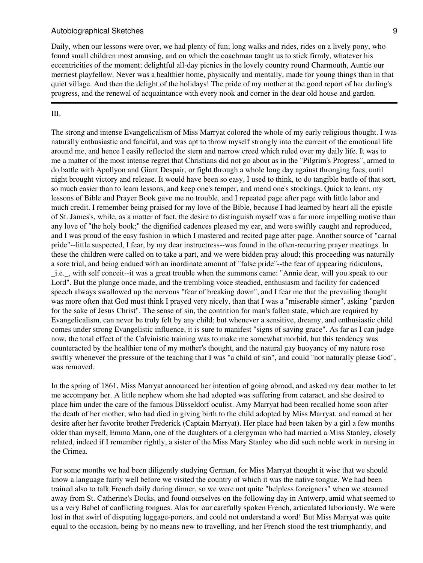Daily, when our lessons were over, we had plenty of fun; long walks and rides, rides on a lively pony, who found small children most amusing, and on which the coachman taught us to stick firmly, whatever his eccentricities of the moment; delightful all-day picnics in the lovely country round Charmouth, Auntie our merriest playfellow. Never was a healthier home, physically and mentally, made for young things than in that quiet village. And then the delight of the holidays! The pride of my mother at the good report of her darling's progress, and the renewal of acquaintance with every nook and corner in the dear old house and garden.

#### III.

The strong and intense Evangelicalism of Miss Marryat colored the whole of my early religious thought. I was naturally enthusiastic and fanciful, and was apt to throw myself strongly into the current of the emotional life around me, and hence I easily reflected the stern and narrow creed which ruled over my daily life. It was to me a matter of the most intense regret that Christians did not go about as in the "Pilgrim's Progress", armed to do battle with Apollyon and Giant Despair, or fight through a whole long day against thronging foes, until night brought victory and release. It would have been so easy, I used to think, to do tangible battle of that sort, so much easier than to learn lessons, and keep one's temper, and mend one's stockings. Quick to learn, my lessons of Bible and Prayer Book gave me no trouble, and I repeated page after page with little labor and much credit. I remember being praised for my love of the Bible, because I had learned by heart all the epistle of St. James's, while, as a matter of fact, the desire to distinguish myself was a far more impelling motive than any love of "the holy book;" the dignified cadences pleased my ear, and were swiftly caught and reproduced, and I was proud of the easy fashion in which I mastered and recited page after page. Another source of "carnal pride"--little suspected, I fear, by my dear instructress--was found in the often-recurring prayer meetings. In these the children were called on to take a part, and we were bidden pray aloud; this proceeding was naturally a sore trial, and being endued with an inordinate amount of "false pride"--the fear of appearing ridiculous, \_i.e.\_, with self conceit--it was a great trouble when the summons came: "Annie dear, will you speak to our Lord". But the plunge once made, and the trembling voice steadied, enthusiasm and facility for cadenced speech always swallowed up the nervous "fear of breaking down", and I fear me that the prevailing thought was more often that God must think I prayed very nicely, than that I was a "miserable sinner", asking "pardon for the sake of Jesus Christ". The sense of sin, the contrition for man's fallen state, which are required by Evangelicalism, can never be truly felt by any child; but whenever a sensitive, dreamy, and enthusiastic child comes under strong Evangelistic influence, it is sure to manifest "signs of saving grace". As far as I can judge now, the total effect of the Calvinistic training was to make me somewhat morbid, but this tendency was counteracted by the healthier tone of my mother's thought, and the natural gay buoyancy of my nature rose swiftly whenever the pressure of the teaching that I was "a child of sin", and could "not naturally please God", was removed.

In the spring of 1861, Miss Marryat announced her intention of going abroad, and asked my dear mother to let me accompany her. A little nephew whom she had adopted was suffering from cataract, and she desired to place him under the care of the famous Düsseldorf oculist. Amy Marryat had been recalled home soon after the death of her mother, who had died in giving birth to the child adopted by Miss Marryat, and named at her desire after her favorite brother Frederick (Captain Marryat). Her place had been taken by a girl a few months older than myself, Emma Mann, one of the daughters of a clergyman who had married a Miss Stanley, closely related, indeed if I remember rightly, a sister of the Miss Mary Stanley who did such noble work in nursing in the Crimea.

For some months we had been diligently studying German, for Miss Marryat thought it wise that we should know a language fairly well before we visited the country of which it was the native tongue. We had been trained also to talk French daily during dinner, so we were not quite "helpless foreigners" when we steamed away from St. Catherine's Docks, and found ourselves on the following day in Antwerp, amid what seemed to us a very Babel of conflicting tongues. Alas for our carefully spoken French, articulated laboriously. We were lost in that swirl of disputing luggage-porters, and could not understand a word! But Miss Marryat was quite equal to the occasion, being by no means new to travelling, and her French stood the test triumphantly, and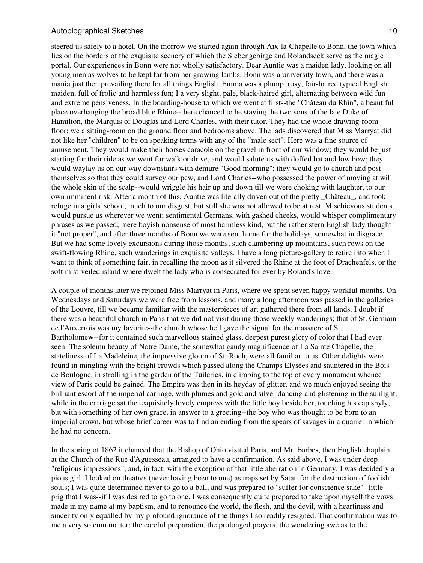steered us safely to a hotel. On the morrow we started again through Aix-la-Chapelle to Bonn, the town which lies on the borders of the exquisite scenery of which the Siebengebirge and Rolandseck serve as the magic portal. Our experiences in Bonn were not wholly satisfactory. Dear Auntie was a maiden lady, looking on all young men as wolves to be kept far from her growing lambs. Bonn was a university town, and there was a mania just then prevailing there for all things English. Emma was a plump, rosy, fair-haired typical English maiden, full of frolic and harmless fun; I a very slight, pale, black-haired girl, alternating between wild fun and extreme pensiveness. In the boarding-house to which we went at first--the "Château du Rhin", a beautiful place overhanging the broad blue Rhine--there chanced to be staying the two sons of the late Duke of Hamilton, the Marquis of Douglas and Lord Charles, with their tutor. They had the whole drawing-room floor: we a sitting-room on the ground floor and bedrooms above. The lads discovered that Miss Marryat did not like her "children" to be on speaking terms with any of the "male sect". Here was a fine source of amusement. They would make their horses caracole on the gravel in front of our window; they would be just starting for their ride as we went for walk or drive, and would salute us with doffed hat and low bow; they would waylay us on our way downstairs with demure "Good morning"; they would go to church and post themselves so that they could survey our pew, and Lord Charles--who possessed the power of moving at will the whole skin of the scalp--would wriggle his hair up and down till we were choking with laughter, to our own imminent risk. After a month of this, Auntie was literally driven out of the pretty \_Château\_, and took refuge in a girls' school, much to our disgust, but still she was not allowed to be at rest. Mischievous students would pursue us wherever we went; sentimental Germans, with gashed cheeks, would whisper complimentary phrases as we passed; mere boyish nonsense of most harmless kind, but the rather stern English lady thought it "not proper", and after three months of Bonn we were sent home for the holidays, somewhat in disgrace. But we had some lovely excursions during those months; such clambering up mountains, such rows on the swift-flowing Rhine, such wanderings in exquisite valleys. I have a long picture-gallery to retire into when I want to think of something fair, in recalling the moon as it silvered the Rhine at the foot of Drachenfels, or the soft mist-veiled island where dwelt the lady who is consecrated for ever by Roland's love.

A couple of months later we rejoined Miss Marryat in Paris, where we spent seven happy workful months. On Wednesdays and Saturdays we were free from lessons, and many a long afternoon was passed in the galleries of the Louvre, till we became familiar with the masterpieces of art gathered there from all lands. I doubt if there was a beautiful church in Paris that we did not visit during those weekly wanderings; that of St. Germain de l'Auxerrois was my favorite--the church whose bell gave the signal for the massacre of St. Bartholomew--for it contained such marvellous stained glass, deepest purest glory of color that I had ever seen. The solemn beauty of Notre Dame, the somewhat gaudy magnificence of La Sainte Chapelle, the stateliness of La Madeleine, the impressive gloom of St. Roch, were all familiar to us. Other delights were found in mingling with the bright crowds which passed along the Champs Elysées and sauntered in the Bois de Boulogne, in strolling in the garden of the Tuileries, in climbing to the top of every monument whence view of Paris could be gained. The Empire was then in its heyday of glitter, and we much enjoyed seeing the brilliant escort of the imperial carriage, with plumes and gold and silver dancing and glistening in the sunlight, while in the carriage sat the exquisitely lovely empress with the little boy beside her, touching his cap shyly, but with something of her own grace, in answer to a greeting--the boy who was thought to be born to an imperial crown, but whose brief career was to find an ending from the spears of savages in a quarrel in which he had no concern.

In the spring of 1862 it chanced that the Bishop of Ohio visited Paris, and Mr. Forbes, then English chaplain at the Church of the Rue d'Aguesseau, arranged to have a confirmation. As said above, I was under deep "religious impressions", and, in fact, with the exception of that little aberration in Germany, I was decidedly a pious girl. I looked on theatres (never having been to one) as traps set by Satan for the destruction of foolish souls; I was quite determined never to go to a ball, and was prepared to "suffer for conscience sake"--little prig that I was--if I was desired to go to one. I was consequently quite prepared to take upon myself the vows made in my name at my baptism, and to renounce the world, the flesh, and the devil, with a heartiness and sincerity only equalled by my profound ignorance of the things I so readily resigned. That confirmation was to me a very solemn matter; the careful preparation, the prolonged prayers, the wondering awe as to the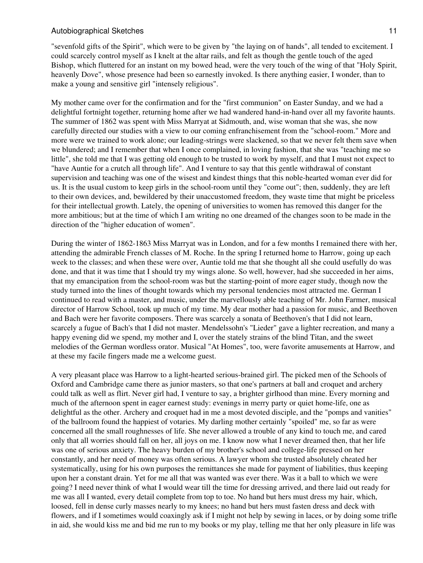"sevenfold gifts of the Spirit", which were to be given by "the laying on of hands", all tended to excitement. I could scarcely control myself as I knelt at the altar rails, and felt as though the gentle touch of the aged Bishop, which fluttered for an instant on my bowed head, were the very touch of the wing of that "Holy Spirit, heavenly Dove", whose presence had been so earnestly invoked. Is there anything easier, I wonder, than to make a young and sensitive girl "intensely religious".

My mother came over for the confirmation and for the "first communion" on Easter Sunday, and we had a delightful fortnight together, returning home after we had wandered hand-in-hand over all my favorite haunts. The summer of 1862 was spent with Miss Marryat at Sidmouth, and, wise woman that she was, she now carefully directed our studies with a view to our coming enfranchisement from the "school-room." More and more were we trained to work alone; our leading-strings were slackened, so that we never felt them save when we blundered; and I remember that when I once complained, in loving fashion, that she was "teaching me so little", she told me that I was getting old enough to be trusted to work by myself, and that I must not expect to "have Auntie for a crutch all through life". And I venture to say that this gentle withdrawal of constant supervision and teaching was one of the wisest and kindest things that this noble-hearted woman ever did for us. It is the usual custom to keep girls in the school-room until they "come out"; then, suddenly, they are left to their own devices, and, bewildered by their unaccustomed freedom, they waste time that might be priceless for their intellectual growth. Lately, the opening of universities to women has removed this danger for the more ambitious; but at the time of which I am writing no one dreamed of the changes soon to be made in the direction of the "higher education of women".

During the winter of 1862-1863 Miss Marryat was in London, and for a few months I remained there with her, attending the admirable French classes of M. Roche. In the spring I returned home to Harrow, going up each week to the classes; and when these were over, Auntie told me that she thought all she could usefully do was done, and that it was time that I should try my wings alone. So well, however, had she succeeded in her aims, that my emancipation from the school-room was but the starting-point of more eager study, though now the study turned into the lines of thought towards which my personal tendencies most attracted me. German I continued to read with a master, and music, under the marvellously able teaching of Mr. John Farmer, musical director of Harrow School, took up much of my time. My dear mother had a passion for music, and Beethoven and Bach were her favorite composers. There was scarcely a sonata of Beethoven's that I did not learn, scarcely a fugue of Bach's that I did not master. Mendelssohn's "Lieder" gave a lighter recreation, and many a happy evening did we spend, my mother and I, over the stately strains of the blind Titan, and the sweet melodies of the German wordless orator. Musical "At Homes", too, were favorite amusements at Harrow, and at these my facile fingers made me a welcome guest.

A very pleasant place was Harrow to a light-hearted serious-brained girl. The picked men of the Schools of Oxford and Cambridge came there as junior masters, so that one's partners at ball and croquet and archery could talk as well as flirt. Never girl had, I venture to say, a brighter girlhood than mine. Every morning and much of the afternoon spent in eager earnest study: evenings in merry party or quiet home-life, one as delightful as the other. Archery and croquet had in me a most devoted disciple, and the "pomps and vanities" of the ballroom found the happiest of votaries. My darling mother certainly "spoiled" me, so far as were concerned all the small roughnesses of life. She never allowed a trouble of any kind to touch me, and cared only that all worries should fall on her, all joys on me. I know now what I never dreamed then, that her life was one of serious anxiety. The heavy burden of my brother's school and college-life pressed on her constantly, and her need of money was often serious. A lawyer whom she trusted absolutely cheated her systematically, using for his own purposes the remittances she made for payment of liabilities, thus keeping upon her a constant drain. Yet for me all that was wanted was ever there. Was it a ball to which we were going? I need never think of what I would wear till the time for dressing arrived, and there laid out ready for me was all I wanted, every detail complete from top to toe. No hand but hers must dress my hair, which, loosed, fell in dense curly masses nearly to my knees; no hand but hers must fasten dress and deck with flowers, and if I sometimes would coaxingly ask if I might not help by sewing in laces, or by doing some trifle in aid, she would kiss me and bid me run to my books or my play, telling me that her only pleasure in life was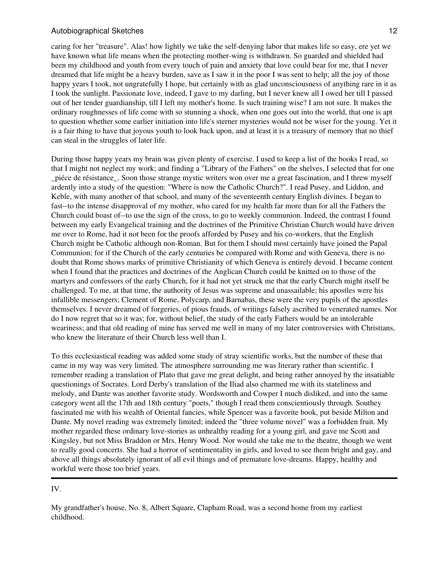caring for her "treasure". Alas! how lightly we take the self-denying labor that makes life so easy, ere yet we have known what life means when the protecting mother-wing is withdrawn. So guarded and shielded had been my childhood and youth from every touch of pain and anxiety that love could bear for me, that I never dreamed that life might be a heavy burden, save as I saw it in the poor I was sent to help; all the joy of those happy years I took, not ungratefully I hope, but certainly with as glad unconsciousness of anything rare in it as I took the sunlight. Passionate love, indeed, I gave to my darling, but I never knew all I owed her till I passed out of her tender guardianship, till I left my mother's home. Is such training wise? I am not sure. It makes the ordinary roughnesses of life come with so stunning a shock, when one goes out into the world, that one is apt to question whether some earlier initiation into life's sterner mysteries would not be wiser for the young. Yet it is a fair thing to have that joyous youth to look back upon, and at least it is a treasury of memory that no thief can steal in the struggles of later life.

During those happy years my brain was given plenty of exercise. I used to keep a list of the books I read, so that I might not neglect my work; and finding a "Library of the Fathers" on the shelves, I selected that for one \_piéce de résistance\_. Soon those strange mystic writers won over me a great fascination, and I threw myself ardently into a study of the question: "Where is now the Catholic Church?". I read Pusey, and Liddon, and Keble, with many another of that school, and many of the seventeenth century English divines. I began to fast--to the intense disapproval of my mother, who cared for my health far more than for all the Fathers the Church could boast of--to use the sign of the cross, to go to weekly communion. Indeed, the contrast I found between my early Evangelical training and the doctrines of the Primitive Christian Church would have driven me over to Rome, had it not been for the proofs afforded by Pusey and his co-workers, that the English Church might be Catholic although non-Roman. But for them I should most certainly have joined the Papal Communion; for if the Church of the early centuries be compared with Rome and with Geneva, there is no doubt that Rome shows marks of primitive Christianity of which Geneva is entirely devoid. I became content when I found that the practices and doctrines of the Anglican Church could be knitted on to those of the martyrs and confessors of the early Church, for it had not yet struck me that the early Church might itself be challenged. To me, at that time, the authority of Jesus was supreme and unassailable; his apostles were his infallible messengers; Clement of Rome, Polycarp, and Barnabas, these were the very pupils of the apostles themselves. I never dreamed of forgeries, of pious frauds, of writings falsely ascribed to venerated names. Nor do I now regret that so it was; for, without belief, the study of the early Fathers would be an intolerable weariness; and that old reading of mine has served me well in many of my later controversies with Christians, who knew the literature of their Church less well than I.

To this ecclesiastical reading was added some study of stray scientific works, but the number of these that came in my way was very limited. The atmosphere surrounding me was literary rather than scientific. I remember reading a translation of Plato that gave me great delight, and being rather annoyed by the insatiable questionings of Socrates. Lord Derby's translation of the Iliad also charmed me with its stateliness and melody, and Dante was another favorite study. Wordsworth and Cowper I much disliked, and into the same category went all the 17th and 18th century "poets," though I read them conscientiously through. Southey fascinated me with his wealth of Oriental fancies, while Spencer was a favorite book, put beside Milton and Dante. My novel reading was extremely limited; indeed the "three volume novel" was a forbidden fruit. My mother regarded these ordinary love-stories as unhealthy reading for a young girl, and gave me Scott and Kingsley, but not Miss Braddon or Mrs. Henry Wood. Nor would she take me to the theatre, though we went to really good concerts. She had a horror of sentimentality in girls, and loved to see them bright and gay, and above all things absolutely ignorant of all evil things and of premature love-dreams. Happy, healthy and workful were those too brief years.

#### IV.

My grandfather's house, No. 8, Albert Square, Clapham Road, was a second home from my earliest childhood.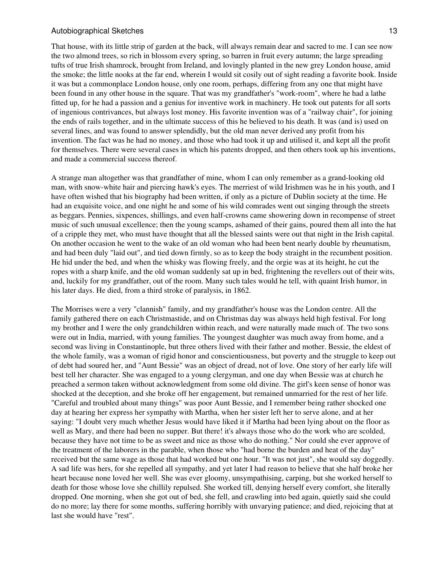That house, with its little strip of garden at the back, will always remain dear and sacred to me. I can see now the two almond trees, so rich in blossom every spring, so barren in fruit every autumn; the large spreading tufts of true Irish shamrock, brought from Ireland, and lovingly planted in the new grey London house, amid the smoke; the little nooks at the far end, wherein I would sit cosily out of sight reading a favorite book. Inside it was but a commonplace London house, only one room, perhaps, differing from any one that might have been found in any other house in the square. That was my grandfather's "work-room", where he had a lathe fitted up, for he had a passion and a genius for inventive work in machinery. He took out patents for all sorts of ingenious contrivances, but always lost money. His favorite invention was of a "railway chair", for joining the ends of rails together, and in the ultimate success of this he believed to his death. It was (and is) used on several lines, and was found to answer splendidly, but the old man never derived any profit from his invention. The fact was he had no money, and those who had took it up and utilised it, and kept all the profit for themselves. There were several cases in which his patents dropped, and then others took up his inventions, and made a commercial success thereof.

A strange man altogether was that grandfather of mine, whom I can only remember as a grand-looking old man, with snow-white hair and piercing hawk's eyes. The merriest of wild Irishmen was he in his youth, and I have often wished that his biography had been written, if only as a picture of Dublin society at the time. He had an exquisite voice, and one night he and some of his wild comrades went out singing through the streets as beggars. Pennies, sixpences, shillings, and even half-crowns came showering down in recompense of street music of such unusual excellence; then the young scamps, ashamed of their gains, poured them all into the hat of a cripple they met, who must have thought that all the blessed saints were out that night in the Irish capital. On another occasion he went to the wake of an old woman who had been bent nearly double by rheumatism, and had been duly "laid out", and tied down firmly, so as to keep the body straight in the recumbent position. He hid under the bed, and when the whisky was flowing freely, and the orgie was at its height, he cut the ropes with a sharp knife, and the old woman suddenly sat up in bed, frightening the revellers out of their wits, and, luckily for my grandfather, out of the room. Many such tales would he tell, with quaint Irish humor, in his later days. He died, from a third stroke of paralysis, in 1862.

The Morrises were a very "clannish" family, and my grandfather's house was the London centre. All the family gathered there on each Christmastide, and on Christmas day was always held high festival. For long my brother and I were the only grandchildren within reach, and were naturally made much of. The two sons were out in India, married, with young families. The youngest daughter was much away from home, and a second was living in Constantinople, but three others lived with their father and mother. Bessie, the eldest of the whole family, was a woman of rigid honor and conscientiousness, but poverty and the struggle to keep out of debt had soured her, and "Aunt Bessie" was an object of dread, not of love. One story of her early life will best tell her character. She was engaged to a young clergyman, and one day when Bessie was at church he preached a sermon taken without acknowledgment from some old divine. The girl's keen sense of honor was shocked at the deception, and she broke off her engagement, but remained unmarried for the rest of her life. "Careful and troubled about many things" was poor Aunt Bessie, and I remember being rather shocked one day at hearing her express her sympathy with Martha, when her sister left her to serve alone, and at her saying: "I doubt very much whether Jesus would have liked it if Martha had been lying about on the floor as well as Mary, and there had been no supper. But there! it's always those who do the work who are scolded, because they have not time to be as sweet and nice as those who do nothing." Nor could she ever approve of the treatment of the laborers in the parable, when those who "had borne the burden and heat of the day" received but the same wage as those that had worked but one hour. "It was not just", she would say doggedly. A sad life was hers, for she repelled all sympathy, and yet later I had reason to believe that she half broke her heart because none loved her well. She was ever gloomy, unsympathising, carping, but she worked herself to death for those whose love she chillily repulsed. She worked till, denying herself every comfort, she literally dropped. One morning, when she got out of bed, she fell, and crawling into bed again, quietly said she could do no more; lay there for some months, suffering horribly with unvarying patience; and died, rejoicing that at last she would have "rest".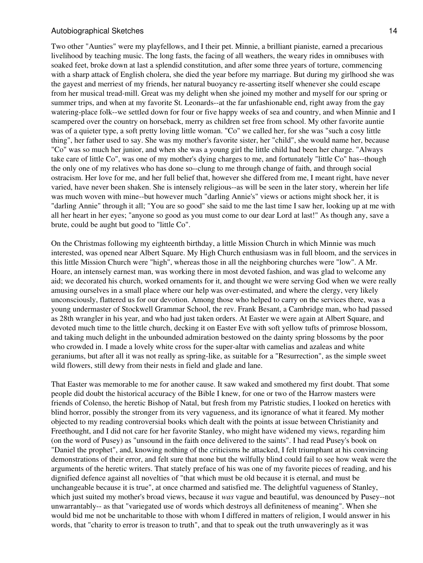Two other "Aunties" were my playfellows, and I their pet. Minnie, a brilliant pianiste, earned a precarious livelihood by teaching music. The long fasts, the facing of all weathers, the weary rides in omnibuses with soaked feet, broke down at last a splendid constitution, and after some three years of torture, commencing with a sharp attack of English cholera, she died the year before my marriage. But during my girlhood she was the gayest and merriest of my friends, her natural buoyancy re-asserting itself whenever she could escape from her musical tread-mill. Great was my delight when she joined my mother and myself for our spring or summer trips, and when at my favorite St. Leonards--at the far unfashionable end, right away from the gay watering-place folk--we settled down for four or five happy weeks of sea and country, and when Minnie and I scampered over the country on horseback, merry as children set free from school. My other favorite auntie was of a quieter type, a soft pretty loving little woman. "Co" we called her, for she was "such a cosy little thing", her father used to say. She was my mother's favorite sister, her "child", she would name her, because "Co" was so much her junior, and when she was a young girl the little child had been her charge. "Always take care of little Co", was one of my mother's dying charges to me, and fortunately "little Co" has--though the only one of my relatives who has done so--clung to me through change of faith, and through social ostracism. Her love for me, and her full belief that, however she differed from me, I meant right, have never varied, have never been shaken. She is intensely religious--as will be seen in the later story, wherein her life was much woven with mine--but however much "darling Annie's" views or actions might shock her, it is "darling Annie" through it all; "You are so good" she said to me the last time I saw her, looking up at me with all her heart in her eyes; "anyone so good as you must come to our dear Lord at last!" As though any, save a brute, could be aught but good to "little Co".

On the Christmas following my eighteenth birthday, a little Mission Church in which Minnie was much interested, was opened near Albert Square. My High Church enthusiasm was in full bloom, and the services in this little Mission Church were "high", whereas those in all the neighboring churches were "low". A Mr. Hoare, an intensely earnest man, was working there in most devoted fashion, and was glad to welcome any aid; we decorated his church, worked ornaments for it, and thought we were serving God when we were really amusing ourselves in a small place where our help was over-estimated, and where the clergy, very likely unconsciously, flattered us for our devotion. Among those who helped to carry on the services there, was a young undermaster of Stockwell Grammar School, the rev. Frank Besant, a Cambridge man, who had passed as 28th wrangler in his year, and who had just taken orders. At Easter we were again at Albert Square, and devoted much time to the little church, decking it on Easter Eve with soft yellow tufts of primrose blossom, and taking much delight in the unbounded admiration bestowed on the dainty spring blossoms by the poor who crowded in. I made a lovely white cross for the super-altar with camelias and azaleas and white geraniums, but after all it was not really as spring-like, as suitable for a "Resurrection", as the simple sweet wild flowers, still dewy from their nests in field and glade and lane.

That Easter was memorable to me for another cause. It saw waked and smothered my first doubt. That some people did doubt the historical accuracy of the Bible I knew, for one or two of the Harrow masters were friends of Colenso, the heretic Bishop of Natal, but fresh from my Patristic studies, I looked on heretics with blind horror, possibly the stronger from its very vagueness, and its ignorance of what it feared. My mother objected to my reading controversial books which dealt with the points at issue between Christianity and Freethought, and I did not care for her favorite Stanley, who might have widened my views, regarding him (on the word of Pusey) as "unsound in the faith once delivered to the saints". I had read Pusey's book on "Daniel the prophet", and, knowing nothing of the criticisms he attacked, I felt triumphant at his convincing demonstrations of their error, and felt sure that none but the wilfully blind could fail to see how weak were the arguments of the heretic writers. That stately preface of his was one of my favorite pieces of reading, and his dignified defence against all novelties of "that which must be old because it is eternal, and must be unchangeable because it is true", at once charmed and satisfied me. The delightful vagueness of Stanley, which just suited my mother's broad views, because it *was* vague and beautiful, was denounced by Pusey--not unwarrantably-- as that "variegated use of words which destroys all definiteness of meaning". When she would bid me not be uncharitable to those with whom I differed in matters of religion, I would answer in his words, that "charity to error is treason to truth", and that to speak out the truth unwaveringly as it was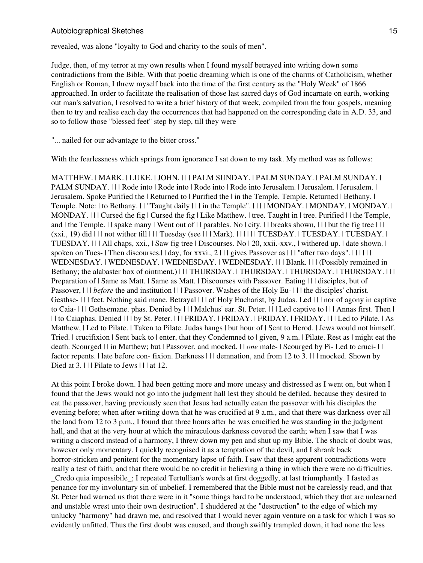revealed, was alone "loyalty to God and charity to the souls of men".

Judge, then, of my terror at my own results when I found myself betrayed into writing down some contradictions from the Bible. With that poetic dreaming which is one of the charms of Catholicism, whether English or Roman, I threw myself back into the time of the first century as the "Holy Week" of 1866 approached. In order to facilitate the realisation of those last sacred days of God incarnate on earth, working out man's salvation, I resolved to write a brief history of that week, compiled from the four gospels, meaning then to try and realise each day the occurrences that had happened on the corresponding date in A.D. 33, and so to follow those "blessed feet" step by step, till they were

"... nailed for our advantage to the bitter cross."

With the fearlessness which springs from ignorance I sat down to my task. My method was as follows:

MATTHEW. | MARK. | LUKE. | JOHN. | | | PALM SUNDAY. | PALM SUNDAY. | PALM SUNDAY. | PALM SUNDAY. | | | Rode into | Rode into | Rode into | Rode into Jerusalem. | Jerusalem. | Jerusalem. | Jerusalem. Spoke Purified the | Returned to | Purified the | in the Temple. Temple. Returned | Bethany. | Temple. Note: | to Bethany. | | "Taught daily | | | in the Temple". | | | | MONDAY. | MONDAY. | MONDAY. | MONDAY. | | | Cursed the fig | Cursed the fig | Like Matthew. | tree. Taught in | tree. Purified | | the Temple, and | the Temple. | | spake many | Went out of | | parables. No | city. | | breaks shown, | | | but the fig tree | | |  $(xxi., 19)$  did  $|||$  not wither till  $|||$  Tuesday (see  $|||$  Mark).  $|||$   $||$  TUESDAY.  $||$  TUESDAY.  $||$  TUESDAY.  $||$ TUESDAY. | | | All chaps, xxi., | Saw fig tree | Discourses. No | 20, xxii.-xxv., | withered up. | date shown. | spoken on Tues- | Then discourses.|| day, for xxvi., 2 | | | gives Passover as | | | "after two days". | | | | | | WEDNESDAY. | WEDNESDAY. | WEDNESDAY. | WEDNESDAY. | | | Blank. | | | (Possibly remained in Bethany; the alabaster box of ointment.) | | | THURSDAY. | THURSDAY. | THURSDAY. | THURSDAY. | | | | Preparation of | Same as Matt. | Same as Matt. | Discourses with Passover. Eating | | | disciples, but of Passover,  $||$  *before* the and institution  $||$  Passover. Washes of the Holy Eu-  $||$  the disciples' charist. Gesthse- | | | feet. Nothing said mane. Betrayal | | | of Holy Eucharist, by Judas. Led | | | nor of agony in captive to Caia- | | | Gethsemane. phas. Denied by | | | Malchus' ear. St. Peter. | | | Led captive to | | | Annas first. Then | | | to Caiaphas. Denied | | | by St. Peter. | | | FRIDAY. | FRIDAY. | FRIDAY. | FRIDAY. | | | Led to Pilate. | As Matthew, | Led to Pilate. | Taken to Pilate. Judas hangs | but hour of | Sent to Herod. | Jews would not himself. Tried. | crucifixion | Sent back to | enter, that they Condemned to | given, 9 a.m. | Pilate. Rest as | might eat the death. Scourged | | in Matthew; but | Passover. and mocked. | | *one* male- | Scourged by Pi- Led to cruci- | | factor repents. I late before con- fixion. Darkness III demnation, and from 12 to 3. III mocked. Shown by Died at 3. | | | Pilate to Jews | | | at 12.

At this point I broke down. I had been getting more and more uneasy and distressed as I went on, but when I found that the Jews would not go into the judgment hall lest they should be defiled, because they desired to eat the passover, having previously seen that Jesus had actually eaten the passover with his disciples the evening before; when after writing down that he was crucified at 9 a.m., and that there was darkness over all the land from 12 to 3 p.m., I found that three hours after he was crucified he was standing in the judgment hall, and that at the very hour at which the miraculous darkness covered the earth; when I saw that I was writing a discord instead of a harmony, I threw down my pen and shut up my Bible. The shock of doubt was, however only momentary. I quickly recognised it as a temptation of the devil, and I shrank back horror-stricken and penitent for the momentary lapse of faith. I saw that these apparent contradictions were really a test of faith, and that there would be no credit in believing a thing in which there were no difficulties. \_Credo quia impossibile\_; I repeated Tertullian's words at first doggedly, at last triumphantly. I fasted as penance for my involuntary sin of unbelief. I remembered that the Bible must not be carelessly read, and that

St. Peter had warned us that there were in it "some things hard to be understood, which they that are unlearned and unstable wrest unto their own destruction". I shuddered at the "destruction" to the edge of which my unlucky "harmony" had drawn me, and resolved that I would never again venture on a task for which I was so evidently unfitted. Thus the first doubt was caused, and though swiftly trampled down, it had none the less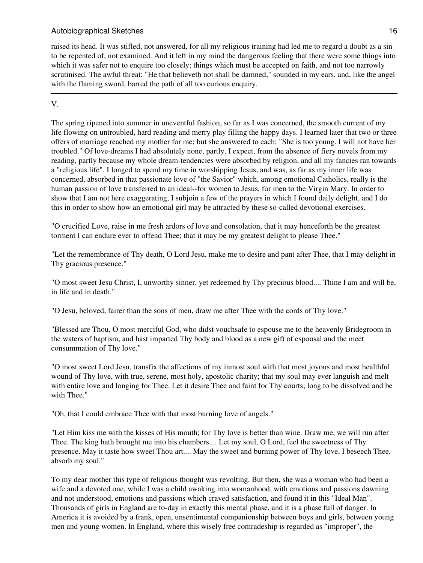raised its head. It was stifled, not answered, for all my religious training had led me to regard a doubt as a sin to be repented of, not examined. And it left in my mind the dangerous feeling that there were some things into which it was safer not to enquire too closely; things which must be accepted on faith, and not too narrowly scrutinised. The awful threat: "He that believeth not shall be damned," sounded in my ears, and, like the angel with the flaming sword, barred the path of all too curious enquiry.

# V.

The spring ripened into summer in uneventful fashion, so far as I was concerned, the smooth current of my life flowing on untroubled, hard reading and merry play filling the happy days. I learned later that two or three offers of marriage reached my mother for me; but she answered to each: "She is too young. I will not have her troubled." Of love-dreams I had absolutely none, partly, I expect, from the absence of fiery novels from my reading, partly because my whole dream-tendencies were absorbed by religion, and all my fancies ran towards a "religious life". I longed to spend my time in worshipping Jesus, and was, as far as my inner life was concerned, absorbed in that passionate love of "the Savior" which, among emotional Catholics, really is the human passion of love transferred to an ideal--for women to Jesus, for men to the Virgin Mary. In order to show that I am not here exaggerating, I subjoin a few of the prayers in which I found daily delight, and I do this in order to show how an emotional girl may be attracted by these so-called devotional exercises.

"O crucified Love, raise in me fresh ardors of love and consolation, that it may henceforth be the greatest torment I can endure ever to offend Thee; that it may be my greatest delight to please Thee."

"Let the remembrance of Thy death, O Lord Jesu, make me to desire and pant after Thee, that I may delight in Thy gracious presence."

"O most sweet Jesu Christ, I, unworthy sinner, yet redeemed by Thy precious blood.... Thine I am and will be, in life and in death."

"O Jesu, beloved, fairer than the sons of men, draw me after Thee with the cords of Thy love."

"Blessed are Thou, O most merciful God, who didst vouchsafe to espouse me to the heavenly Bridegroom in the waters of baptism, and hast imparted Thy body and blood as a new gift of espousal and the meet consummation of Thy love."

"O most sweet Lord Jesu, transfix the affections of my inmost soul with that most joyous and most healthful wound of Thy love, with true, serene, most holy, apostolic charity; that my soul may ever languish and melt with entire love and longing for Thee. Let it desire Thee and faint for Thy courts; long to be dissolved and be with Thee."

"Oh, that I could embrace Thee with that most burning love of angels."

"Let Him kiss me with the kisses of His mouth; for Thy love is better than wine. Draw me, we will run after Thee. The king hath brought me into his chambers.... Let my soul, O Lord, feel the sweetness of Thy presence. May it taste how sweet Thou art.... May the sweet and burning power of Thy love, I beseech Thee, absorb my soul."

To my dear mother this type of religious thought was revolting. But then, she was a woman who had been a wife and a devoted one, while I was a child awaking into womanhood, with emotions and passions dawning and not understood, emotions and passions which craved satisfaction, and found it in this "Ideal Man". Thousands of girls in England are to-day in exactly this mental phase, and it is a phase full of danger. In America it is avoided by a frank, open, unsentimental companionship between boys and girls, between young men and young women. In England, where this wisely free comradeship is regarded as "improper", the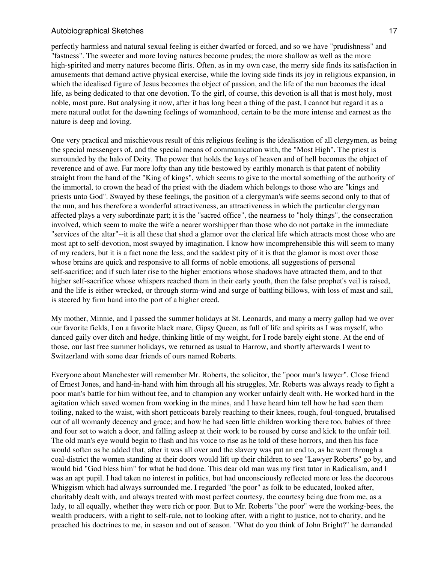perfectly harmless and natural sexual feeling is either dwarfed or forced, and so we have "prudishness" and "fastness". The sweeter and more loving natures become prudes; the more shallow as well as the more high-spirited and merry natures become flirts. Often, as in my own case, the merry side finds its satisfaction in amusements that demand active physical exercise, while the loving side finds its joy in religious expansion, in which the idealised figure of Jesus becomes the object of passion, and the life of the nun becomes the ideal life, as being dedicated to that one devotion. To the girl, of course, this devotion is all that is most holy, most noble, most pure. But analysing it now, after it has long been a thing of the past, I cannot but regard it as a mere natural outlet for the dawning feelings of womanhood, certain to be the more intense and earnest as the nature is deep and loving.

One very practical and mischievous result of this religious feeling is the idealisation of all clergymen, as being the special messengers of, and the special means of communication with, the "Most High". The priest is surrounded by the halo of Deity. The power that holds the keys of heaven and of hell becomes the object of reverence and of awe. Far more lofty than any title bestowed by earthly monarch is that patent of nobility straight from the hand of the "King of kings", which seems to give to the mortal something of the authority of the immortal, to crown the head of the priest with the diadem which belongs to those who are "kings and priests unto God". Swayed by these feelings, the position of a clergyman's wife seems second only to that of the nun, and has therefore a wonderful attractiveness, an attractiveness in which the particular clergyman affected plays a very subordinate part; it is the "sacred office", the nearness to "holy things", the consecration involved, which seem to make the wife a nearer worshipper than those who do not partake in the immediate "services of the altar"--it is all these that shed a glamor over the clerical life which attracts most those who are most apt to self-devotion, most swayed by imagination. I know how incomprehensible this will seem to many of my readers, but it is a fact none the less, and the saddest pity of it is that the glamor is most over those whose brains are quick and responsive to all forms of noble emotions, all suggestions of personal self-sacrifice; and if such later rise to the higher emotions whose shadows have attracted them, and to that higher self-sacrifice whose whispers reached them in their early youth, then the false prophet's veil is raised, and the life is either wrecked, or through storm-wind and surge of battling billows, with loss of mast and sail, is steered by firm hand into the port of a higher creed.

My mother, Minnie, and I passed the summer holidays at St. Leonards, and many a merry gallop had we over our favorite fields, I on a favorite black mare, Gipsy Queen, as full of life and spirits as I was myself, who danced gaily over ditch and hedge, thinking little of my weight, for I rode barely eight stone. At the end of those, our last free summer holidays, we returned as usual to Harrow, and shortly afterwards I went to Switzerland with some dear friends of ours named Roberts.

Everyone about Manchester will remember Mr. Roberts, the solicitor, the "poor man's lawyer". Close friend of Ernest Jones, and hand-in-hand with him through all his struggles, Mr. Roberts was always ready to fight a poor man's battle for him without fee, and to champion any worker unfairly dealt with. He worked hard in the agitation which saved women from working in the mines, and I have heard him tell how he had seen them toiling, naked to the waist, with short petticoats barely reaching to their knees, rough, foul-tongued, brutalised out of all womanly decency and grace; and how he had seen little children working there too, babies of three and four set to watch a door, and falling asleep at their work to be roused by curse and kick to the unfair toil. The old man's eye would begin to flash and his voice to rise as he told of these horrors, and then his face would soften as he added that, after it was all over and the slavery was put an end to, as he went through a coal-district the women standing at their doors would lift up their children to see "Lawyer Roberts" go by, and would bid "God bless him" for what he had done. This dear old man was my first tutor in Radicalism, and I was an apt pupil. I had taken no interest in politics, but had unconsciously reflected more or less the decorous Whiggism which had always surrounded me. I regarded "the poor" as folk to be educated, looked after, charitably dealt with, and always treated with most perfect courtesy, the courtesy being due from me, as a lady, to all equally, whether they were rich or poor. But to Mr. Roberts "the poor" were the working-bees, the wealth producers, with a right to self-rule, not to looking after, with a right to justice, not to charity, and he preached his doctrines to me, in season and out of season. "What do you think of John Bright?" he demanded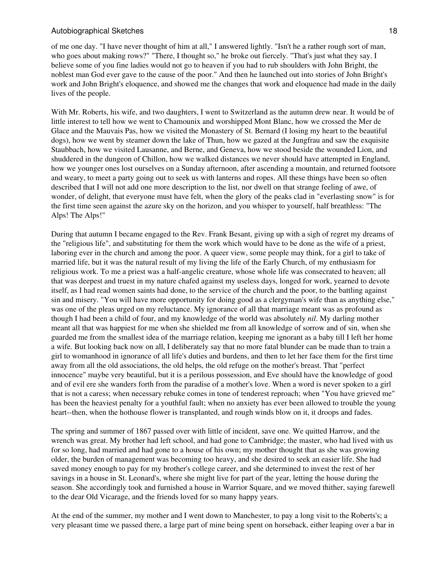of me one day. "I have never thought of him at all," I answered lightly. "Isn't he a rather rough sort of man, who goes about making rows?" "There, I thought so," he broke out fiercely. "That's just what they say. I believe some of you fine ladies would not go to heaven if you had to rub shoulders with John Bright, the noblest man God ever gave to the cause of the poor." And then he launched out into stories of John Bright's work and John Bright's eloquence, and showed me the changes that work and eloquence had made in the daily lives of the people.

With Mr. Roberts, his wife, and two daughters, I went to Switzerland as the autumn drew near. It would be of little interest to tell how we went to Chamounix and worshipped Mont Blanc, how we crossed the Mer de Glace and the Mauvais Pas, how we visited the Monastery of St. Bernard (I losing my heart to the beautiful dogs), how we went by steamer down the lake of Thun, how we gazed at the Jungfrau and saw the exquisite Staubbach, how we visited Lausanne, and Berne, and Geneva, how we stood beside the wounded Lion, and shuddered in the dungeon of Chillon, how we walked distances we never should have attempted in England, how we younger ones lost ourselves on a Sunday afternoon, after ascending a mountain, and returned footsore and weary, to meet a party going out to seek us with lanterns and ropes. All these things have been so often described that I will not add one more description to the list, nor dwell on that strange feeling of awe, of wonder, of delight, that everyone must have felt, when the glory of the peaks clad in "everlasting snow" is for the first time seen against the azure sky on the horizon, and you whisper to yourself, half breathless: "The Alps! The Alps!"

During that autumn I became engaged to the Rev. Frank Besant, giving up with a sigh of regret my dreams of the "religious life", and substituting for them the work which would have to be done as the wife of a priest, laboring ever in the church and among the poor. A queer view, some people may think, for a girl to take of married life, but it was the natural result of my living the life of the Early Church, of my enthusiasm for religious work. To me a priest was a half-angelic creature, whose whole life was consecrated to heaven; all that was deepest and truest in my nature chafed against my useless days, longed for work, yearned to devote itself, as I had read women saints had done, to the service of the church and the poor, to the battling against sin and misery. "You will have more opportunity for doing good as a clergyman's wife than as anything else," was one of the pleas urged on my reluctance. My ignorance of all that marriage meant was as profound as though I had been a child of four, and my knowledge of the world was absolutely *nil*. My darling mother meant all that was happiest for me when she shielded me from all knowledge of sorrow and of sin, when she guarded me from the smallest idea of the marriage relation, keeping me ignorant as a baby till I left her home a wife. But looking back now on all, I deliberately say that no more fatal blunder can be made than to train a girl to womanhood in ignorance of all life's duties and burdens, and then to let her face them for the first time away from all the old associations, the old helps, the old refuge on the mother's breast. That "perfect innocence" maybe very beautiful, but it is a perilous possession, and Eve should have the knowledge of good and of evil ere she wanders forth from the paradise of a mother's love. When a word is never spoken to a girl that is not a caress; when necessary rebuke comes in tone of tenderest reproach; when "You have grieved me" has been the heaviest penalty for a youthful fault; when no anxiety has ever been allowed to trouble the young heart--then, when the hothouse flower is transplanted, and rough winds blow on it, it droops and fades.

The spring and summer of 1867 passed over with little of incident, save one. We quitted Harrow, and the wrench was great. My brother had left school, and had gone to Cambridge; the master, who had lived with us for so long, had married and had gone to a house of his own; my mother thought that as she was growing older, the burden of management was becoming too heavy, and she desired to seek an easier life. She had saved money enough to pay for my brother's college career, and she determined to invest the rest of her savings in a house in St. Leonard's, where she might live for part of the year, letting the house during the season. She accordingly took and furnished a house in Warrior Square, and we moved thither, saying farewell to the dear Old Vicarage, and the friends loved for so many happy years.

At the end of the summer, my mother and I went down to Manchester, to pay a long visit to the Roberts's; a very pleasant time we passed there, a large part of mine being spent on horseback, either leaping over a bar in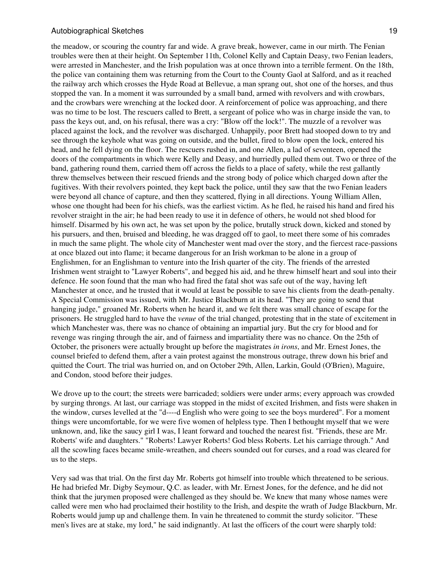the meadow, or scouring the country far and wide. A grave break, however, came in our mirth. The Fenian troubles were then at their height. On September 11th, Colonel Kelly and Captain Deasy, two Fenian leaders, were arrested in Manchester, and the Irish population was at once thrown into a terrible ferment. On the 18th, the police van containing them was returning from the Court to the County Gaol at Salford, and as it reached the railway arch which crosses the Hyde Road at Bellevue, a man sprang out, shot one of the horses, and thus stopped the van. In a moment it was surrounded by a small band, armed with revolvers and with crowbars, and the crowbars were wrenching at the locked door. A reinforcement of police was approaching, and there was no time to be lost. The rescuers called to Brett, a sergeant of police who was in charge inside the van, to pass the keys out, and, on his refusal, there was a cry: "Blow off the lock!". The muzzle of a revolver was placed against the lock, and the revolver was discharged. Unhappily, poor Brett had stooped down to try and see through the keyhole what was going on outside, and the bullet, fired to blow open the lock, entered his head, and he fell dying on the floor. The rescuers rushed in, and one Allen, a lad of seventeen, opened the doors of the compartments in which were Kelly and Deasy, and hurriedly pulled them out. Two or three of the band, gathering round them, carried them off across the fields to a place of safety, while the rest gallantly threw themselves between their rescued friends and the strong body of police which charged down after the fugitives. With their revolvers pointed, they kept back the police, until they saw that the two Fenian leaders were beyond all chance of capture, and then they scattered, flying in all directions. Young William Allen, whose one thought had been for his chiefs, was the earliest victim. As he fled, he raised his hand and fired his revolver straight in the air; he had been ready to use it in defence of others, he would not shed blood for himself. Disarmed by his own act, he was set upon by the police, brutally struck down, kicked and stoned by his pursuers, and then, bruised and bleeding, he was dragged off to gaol, to meet there some of his comrades in much the same plight. The whole city of Manchester went mad over the story, and the fiercest race-passions at once blazed out into flame; it became dangerous for an Irish workman to be alone in a group of Englishmen, for an Englishman to venture into the Irish quarter of the city. The friends of the arrested Irishmen went straight to "Lawyer Roberts", and begged his aid, and he threw himself heart and soul into their defence. He soon found that the man who had fired the fatal shot was safe out of the way, having left Manchester at once, and he trusted that it would at least be possible to save his clients from the death-penalty. A Special Commission was issued, with Mr. Justice Blackburn at its head. "They are going to send that hanging judge," groaned Mr. Roberts when he heard it, and we felt there was small chance of escape for the prisoners. He struggled hard to have the *venue* of the trial changed, protesting that in the state of excitement in which Manchester was, there was no chance of obtaining an impartial jury. But the cry for blood and for revenge was ringing through the air, and of fairness and impartiality there was no chance. On the 25th of October, the prisoners were actually brought up before the magistrates *in irons*, and Mr. Ernest Jones, the counsel briefed to defend them, after a vain protest against the monstrous outrage, threw down his brief and quitted the Court. The trial was hurried on, and on October 29th, Allen, Larkin, Gould (O'Brien), Maguire, and Condon, stood before their judges.

We drove up to the court; the streets were barricaded; soldiers were under arms; every approach was crowded by surging throngs. At last, our carriage was stopped in the midst of excited Irishmen, and fists were shaken in the window, curses levelled at the "d----d English who were going to see the boys murdered". For a moment things were uncomfortable, for we were five women of helpless type. Then I bethought myself that we were unknown, and, like the saucy girl I was, I leant forward and touched the nearest fist. "Friends, these are Mr. Roberts' wife and daughters." "Roberts! Lawyer Roberts! God bless Roberts. Let his carriage through." And all the scowling faces became smile-wreathen, and cheers sounded out for curses, and a road was cleared for us to the steps.

Very sad was that trial. On the first day Mr. Roberts got himself into trouble which threatened to be serious. He had briefed Mr. Digby Seymour, Q.C. as leader, with Mr. Ernest Jones, for the defence, and he did not think that the jurymen proposed were challenged as they should be. We knew that many whose names were called were men who had proclaimed their hostility to the Irish, and despite the wrath of Judge Blackburn, Mr. Roberts would jump up and challenge them. In vain he threatened to commit the sturdy solicitor. "These men's lives are at stake, my lord," he said indignantly. At last the officers of the court were sharply told: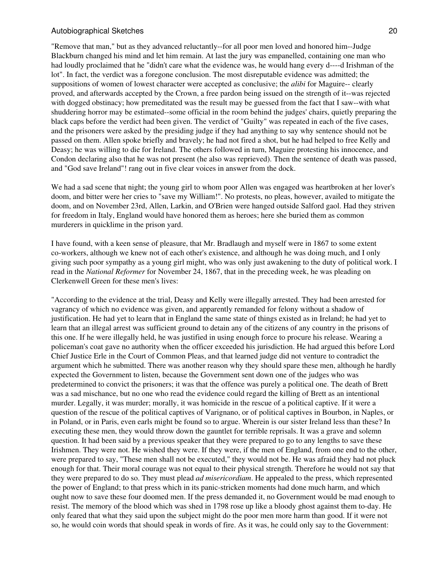"Remove that man," but as they advanced reluctantly--for all poor men loved and honored him--Judge Blackburn changed his mind and let him remain. At last the jury was empanelled, containing one man who had loudly proclaimed that he "didn't care what the evidence was, he would hang every d----d Irishman of the lot". In fact, the verdict was a foregone conclusion. The most disreputable evidence was admitted; the suppositions of women of lowest character were accepted as conclusive; the *alibi* for Maguire-- clearly proved, and afterwards accepted by the Crown, a free pardon being issued on the strength of it--was rejected with dogged obstinacy; how premeditated was the result may be guessed from the fact that I saw--with what shuddering horror may be estimated--some official in the room behind the judges' chairs, quietly preparing the black caps before the verdict had been given. The verdict of "Guilty" was repeated in each of the five cases, and the prisoners were asked by the presiding judge if they had anything to say why sentence should not be passed on them. Allen spoke briefly and bravely; he had not fired a shot, but he had helped to free Kelly and Deasy; he was willing to die for Ireland. The others followed in turn, Maguire protesting his innocence, and Condon declaring also that he was not present (he also was reprieved). Then the sentence of death was passed, and "God save Ireland"! rang out in five clear voices in answer from the dock.

We had a sad scene that night; the young girl to whom poor Allen was engaged was heartbroken at her lover's doom, and bitter were her cries to "save my William!". No protests, no pleas, however, availed to mitigate the doom, and on November 23rd, Allen, Larkin, and O'Brien were hanged outside Salford gaol. Had they striven for freedom in Italy, England would have honored them as heroes; here she buried them as common murderers in quicklime in the prison yard.

I have found, with a keen sense of pleasure, that Mr. Bradlaugh and myself were in 1867 to some extent co-workers, although we knew not of each other's existence, and although he was doing much, and I only giving such poor sympathy as a young girl might, who was only just awakening to the duty of political work. I read in the *National Reformer* for November 24, 1867, that in the preceding week, he was pleading on Clerkenwell Green for these men's lives:

"According to the evidence at the trial, Deasy and Kelly were illegally arrested. They had been arrested for vagrancy of which no evidence was given, and apparently remanded for felony without a shadow of justification. He had yet to learn that in England the same state of things existed as in Ireland; he had yet to learn that an illegal arrest was sufficient ground to detain any of the citizens of any country in the prisons of this one. If he were illegally held, he was justified in using enough force to procure his release. Wearing a policeman's coat gave no authority when the officer exceeded his jurisdiction. He had argued this before Lord Chief Justice Erle in the Court of Common Pleas, and that learned judge did not venture to contradict the argument which he submitted. There was another reason why they should spare these men, although he hardly expected the Government to listen, because the Government sent down one of the judges who was predetermined to convict the prisoners; it was that the offence was purely a political one. The death of Brett was a sad mischance, but no one who read the evidence could regard the killing of Brett as an intentional murder. Legally, it was murder; morally, it was homicide in the rescue of a political captive. If it were a question of the rescue of the political captives of Varignano, or of political captives in Bourbon, in Naples, or in Poland, or in Paris, even earls might be found so to argue. Wherein is our sister Ireland less than these? In executing these men, they would throw down the gauntlet for terrible reprisals. It was a grave and solemn question. It had been said by a previous speaker that they were prepared to go to any lengths to save these Irishmen. They were not. He wished they were. If they were, if the men of England, from one end to the other, were prepared to say, "These men shall not be executed," they would not be. He was afraid they had not pluck enough for that. Their moral courage was not equal to their physical strength. Therefore he would not say that they were prepared to do so. They must plead *ad misericordiam*. He appealed to the press, which represented the power of England; to that press which in its panic-stricken moments had done much harm, and which ought now to save these four doomed men. If the press demanded it, no Government would be mad enough to resist. The memory of the blood which was shed in 1798 rose up like a bloody ghost against them to-day. He only feared that what they said upon the subject might do the poor men more harm than good. If it were not so, he would coin words that should speak in words of fire. As it was, he could only say to the Government: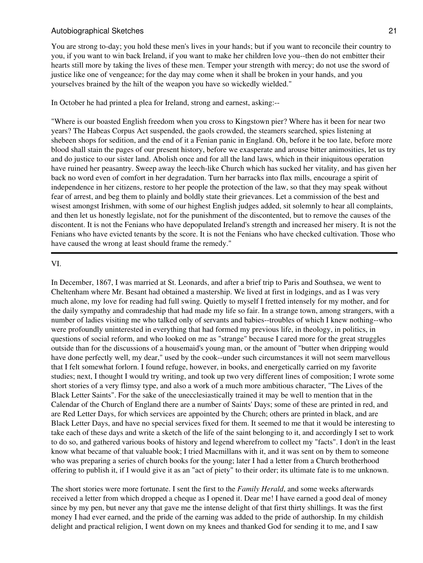You are strong to-day; you hold these men's lives in your hands; but if you want to reconcile their country to you, if you want to win back Ireland, if you want to make her children love you--then do not embitter their hearts still more by taking the lives of these men. Temper your strength with mercy; do not use the sword of justice like one of vengeance; for the day may come when it shall be broken in your hands, and you yourselves brained by the hilt of the weapon you have so wickedly wielded."

In October he had printed a plea for Ireland, strong and earnest, asking:--

"Where is our boasted English freedom when you cross to Kingstown pier? Where has it been for near two years? The Habeas Corpus Act suspended, the gaols crowded, the steamers searched, spies listening at shebeen shops for sedition, and the end of it a Fenian panic in England. Oh, before it be too late, before more blood shall stain the pages of our present history, before we exasperate and arouse bitter animosities, let us try and do justice to our sister land. Abolish once and for all the land laws, which in their iniquitous operation have ruined her peasantry. Sweep away the leech-like Church which has sucked her vitality, and has given her back no word even of comfort in her degradation. Turn her barracks into flax mills, encourage a spirit of independence in her citizens, restore to her people the protection of the law, so that they may speak without fear of arrest, and beg them to plainly and boldly state their grievances. Let a commission of the best and wisest amongst Irishmen, with some of our highest English judges added, sit solemnly to hear all complaints, and then let us honestly legislate, not for the punishment of the discontented, but to remove the causes of the discontent. It is not the Fenians who have depopulated Ireland's strength and increased her misery. It is not the Fenians who have evicted tenants by the score. It is not the Fenians who have checked cultivation. Those who have caused the wrong at least should frame the remedy."

#### VI.

In December, 1867, I was married at St. Leonards, and after a brief trip to Paris and Southsea, we went to Cheltenham where Mr. Besant had obtained a mastership. We lived at first in lodgings, and as I was very much alone, my love for reading had full swing. Quietly to myself I fretted intensely for my mother, and for the daily sympathy and comradeship that had made my life so fair. In a strange town, among strangers, with a number of ladies visiting me who talked only of servants and babies--troubles of which I knew nothing--who were profoundly uninterested in everything that had formed my previous life, in theology, in politics, in questions of social reform, and who looked on me as "strange" because I cared more for the great struggles outside than for the discussions of a housemaid's young man, or the amount of "butter when dripping would have done perfectly well, my dear," used by the cook--under such circumstances it will not seem marvellous that I felt somewhat forlorn. I found refuge, however, in books, and energetically carried on my favorite studies; next, I thought I would try writing, and took up two very different lines of composition; I wrote some short stories of a very flimsy type, and also a work of a much more ambitious character, "The Lives of the Black Letter Saints". For the sake of the unecclesiastically trained it may be well to mention that in the Calendar of the Church of England there are a number of Saints' Days; some of these are printed in red, and are Red Letter Days, for which services are appointed by the Church; others are printed in black, and are Black Letter Days, and have no special services fixed for them. It seemed to me that it would be interesting to take each of these days and write a sketch of the life of the saint belonging to it, and accordingly I set to work to do so, and gathered various books of history and legend wherefrom to collect my "facts". I don't in the least know what became of that valuable book; I tried Macmillans with it, and it was sent on by them to someone who was preparing a series of church books for the young; later I had a letter from a Church brotherhood offering to publish it, if I would give it as an "act of piety" to their order; its ultimate fate is to me unknown.

The short stories were more fortunate. I sent the first to the *Family Herald*, and some weeks afterwards received a letter from which dropped a cheque as I opened it. Dear me! I have earned a good deal of money since by my pen, but never any that gave me the intense delight of that first thirty shillings. It was the first money I had ever earned, and the pride of the earning was added to the pride of authorship. In my childish delight and practical religion, I went down on my knees and thanked God for sending it to me, and I saw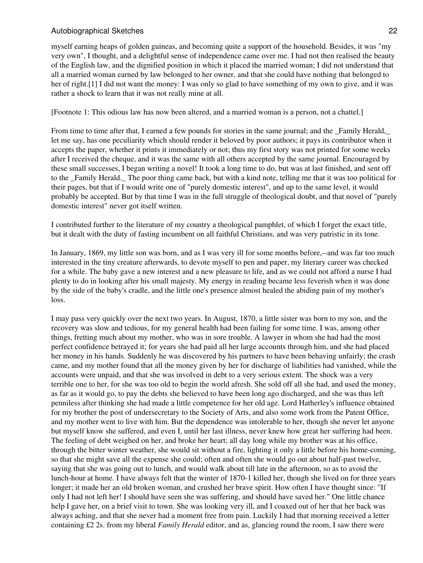myself earning heaps of golden guineas, and becoming quite a support of the household. Besides, it was "my very own", I thought, and a delightful sense of independence came over me. I had not then realised the beauty of the English law, and the dignified position in which it placed the married woman; I did not understand that all a married woman earned by law belonged to her owner, and that she could have nothing that belonged to her of right.[1] I did not want the money: I was only so glad to have something of my own to give, and it was rather a shock to learn that it was not really mine at all.

[Footnote 1: This odious law has now been altered, and a married woman is a person, not a chattel.]

From time to time after that, I earned a few pounds for stories in the same journal; and the Family Herald, let me say, has one peculiarity which should render it beloved by poor authors; it pays its contributor when it accepts the paper, whether it prints it immediately or not; thus my first story was not printed for some weeks after I received the cheque, and it was the same with all others accepted by the same journal. Encouraged by these small successes, I began writing a novel! It took a long time to do, but was at last finished, and sent off to the Family Herald. The poor thing came back, but with a kind note, telling me that it was too political for their pages, but that if I would write one of "purely domestic interest", and up to the same level, it would probably be accepted. But by that time I was in the full struggle of theological doubt, and that novel of "purely domestic interest" never got itself written.

I contributed further to the literature of my country a theological pamphlet, of which I forget the exact title, but it dealt with the duty of fasting incumbent on all faithful Christians, and was very patristic in its tone.

In January, 1869, my little son was born, and as I was very ill for some months before,--and was far too much interested in the tiny creature afterwards, to devote myself to pen and paper, my literary career was checked for a while. The baby gave a new interest and a new pleasure to life, and as we could not afford a nurse I had plenty to do in looking after his small majesty. My energy in reading became less feverish when it was done by the side of the baby's cradle, and the little one's presence almost healed the abiding pain of my mother's loss.

I may pass very quickly over the next two years. In August, 1870, a little sister was born to my son, and the recovery was slow and tedious, for my general health had been failing for some time. I was, among other things, fretting much about my mother, who was in sore trouble. A lawyer in whom she had had the most perfect confidence betrayed it; for years she had paid all her large accounts through him, and she had placed her money in his hands. Suddenly he was discovered by his partners to have been behaving unfairly; the crash came, and my mother found that all the money given by her for discharge of liabilities had vanished, while the accounts were unpaid, and that she was involved in debt to a very serious extent. The shock was a very terrible one to her, for she was too old to begin the world afresh. She sold off all she had, and used the money, as far as it would go, to pay the debts she believed to have been long ago discharged, and she was thus left penniless after thinking she had made a little competence for her old age. Lord Hatherley's influence obtained for my brother the post of undersecretary to the Society of Arts, and also some work from the Patent Office, and my mother went to live with him. But the dependence was intolerable to her, though she never let anyone but myself know she suffered, and even I, until her last illness, never knew how great her suffering had been. The feeling of debt weighed on her, and broke her heart; all day long while my brother was at his office, through the bitter winter weather, she would sit without a fire, lighting it only a little before his home-coming, so that she might save all the expense she could; often and often she would go out about half-past twelve, saying that she was going out to lunch, and would walk about till late in the afternoon, so as to avoid the lunch-hour at home. I have always felt that the winter of 1870-1 killed her, though she lived on for three years longer; it made her an old broken woman, and crushed her brave spirit. How often I have thought since: "If only I had not left her! I should have seen she was suffering, and should have saved her." One little chance help I gave her, on a brief visit to town. She was looking very ill, and I coaxed out of her that her back was always aching, and that she never had a moment free from pain. Luckily I had that morning received a letter containing £2 2s. from my liberal *Family Herald* editor, and as, glancing round the room, I saw there were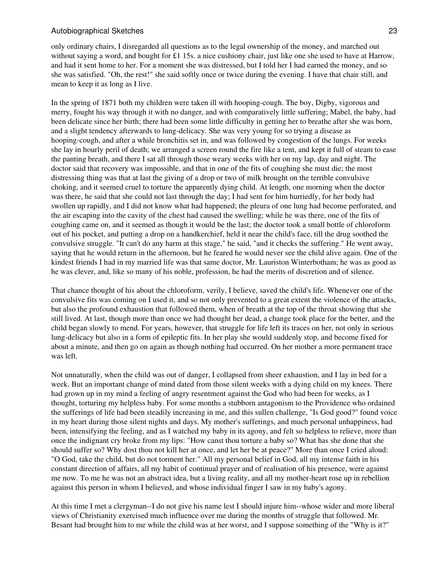only ordinary chairs, I disregarded all questions as to the legal ownership of the money, and marched out without saying a word, and bought for £1 15s. a nice cushiony chair, just like one she used to have at Harrow, and had it sent home to her. For a moment she was distressed, but I told her I had earned the money, and so she was satisfied. "Oh, the rest!" she said softly once or twice during the evening. I have that chair still, and mean to keep it as long as I live.

In the spring of 1871 both my children were taken ill with hooping-cough. The boy, Digby, vigorous and merry, fought his way through it with no danger, and with comparatively little suffering; Mabel, the baby, had been delicate since her birth; there had been some little difficulty in getting her to breathe after she was born, and a slight tendency afterwards to lung-delicacy. She was very young for so trying a disease as hooping-cough, and after a while bronchitis set in, and was followed by congestion of the lungs. For weeks she lay in hourly peril of death; we arranged a screen round the fire like a tent, and kept it full of steam to ease the panting breath, and there I sat all through those weary weeks with her on my lap, day and night. The doctor said that recovery was impossible, and that in one of the fits of coughing she must die; the most distressing thing was that at last the giving of a drop or two of milk brought on the terrible convulsive choking, and it seemed cruel to torture the apparently dying child. At length, one morning when the doctor was there, he said that she could not last through the day; I had sent for him hurriedly, for her body had swollen up rapidly, and I did not know what had happened; the pleura of one lung had become perforated, and the air escaping into the cavity of the chest had caused the swelling; while he was there, one of the fits of coughing came on, and it seemed as though it would be the last; the doctor took a small bottle of chloroform out of his pocket, and putting a drop on a handkerchief, held it near the child's face, till the drug soothed the convulsive struggle. "It can't do any harm at this stage," he said, "and it checks the suffering." He went away, saying that he would return in the afternoon, but he feared he would never see the child alive again. One of the kindest friends I had in my married life was that same doctor, Mr. Lauriston Winterbotham; he was as good as he was clever, and, like so many of his noble, profession, he had the merits of discretion and of silence.

That chance thought of his about the chloroform, verily, I believe, saved the child's life. Whenever one of the convulsive fits was coming on I used it, and so not only prevented to a great extent the violence of the attacks, but also the profound exhaustion that followed them, when of breath at the top of the throat showing that she still lived. At last, though more than once we had thought her dead, a change took place for the better, and the child began slowly to mend. For years, however, that struggle for life left its traces on her, not only in serious lung-delicacy but also in a form of epileptic fits. In her play she would suddenly stop, and become fixed for about a minute, and then go on again as though nothing had occurred. On her mother a more permanent trace was left.

Not unnaturally, when the child was out of danger, I collapsed from sheer exhaustion, and I lay in bed for a week. But an important change of mind dated from those silent weeks with a dying child on my knees. There had grown up in my mind a feeling of angry resentment against the God who had been for weeks, as I thought, torturing my helpless baby. For some months a stubborn antagonism to the Providence who ordained the sufferings of life had been steadily increasing in me, and this sullen challenge, "Is God good?" found voice in my heart during those silent nights and days. My mother's sufferings, and much personal unhappiness, had been, intensifying the feeling, and as I watched my baby in its agony, and felt so helpless to relieve, more than once the indignant cry broke from my lips: "How canst thou torture a baby so? What has she done that she should suffer so? Why dost thou not kill her at once, and let her be at peace?" More than once I cried aloud: "O God, take the child, but do not torment her." All my personal belief in God, all my intense faith in his constant direction of affairs, all my habit of continual prayer and of realisation of his presence, were against me now. To me he was not an abstract idea, but a living reality, and all my mother-heart rose up in rebellion against this person in whom I believed, and whose individual finger I saw in my baby's agony.

At this time I met a clergyman--I do not give his name lest I should injure him--whose wider and more liberal views of Christianity exercised much influence over me during the months of struggle that followed. Mr. Besant had brought him to me while the child was at her worst, and I suppose something of the "Why is it?"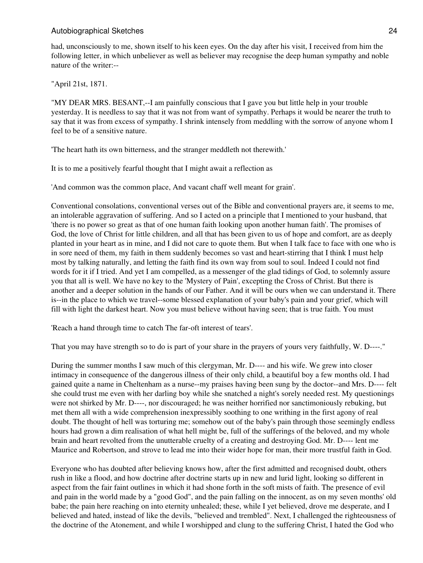had, unconsciously to me, shown itself to his keen eyes. On the day after his visit, I received from him the following letter, in which unbeliever as well as believer may recognise the deep human sympathy and noble nature of the writer:--

"April 21st, 1871.

"MY DEAR MRS. BESANT,--I am painfully conscious that I gave you but little help in your trouble yesterday. It is needless to say that it was not from want of sympathy. Perhaps it would be nearer the truth to say that it was from excess of sympathy. I shrink intensely from meddling with the sorrow of anyone whom I feel to be of a sensitive nature.

'The heart hath its own bitterness, and the stranger meddleth not therewith.'

It is to me a positively fearful thought that I might await a reflection as

'And common was the common place, And vacant chaff well meant for grain'.

Conventional consolations, conventional verses out of the Bible and conventional prayers are, it seems to me, an intolerable aggravation of suffering. And so I acted on a principle that I mentioned to your husband, that 'there is no power so great as that of one human faith looking upon another human faith'. The promises of God, the love of Christ for little children, and all that has been given to us of hope and comfort, are as deeply planted in your heart as in mine, and I did not care to quote them. But when I talk face to face with one who is in sore need of them, my faith in them suddenly becomes so vast and heart-stirring that I think I must help most by talking naturally, and letting the faith find its own way from soul to soul. Indeed I could not find words for it if I tried. And yet I am compelled, as a messenger of the glad tidings of God, to solemnly assure you that all is well. We have no key to the 'Mystery of Pain', excepting the Cross of Christ. But there is another and a deeper solution in the hands of our Father. And it will be ours when we can understand it. There is--in the place to which we travel--some blessed explanation of your baby's pain and your grief, which will fill with light the darkest heart. Now you must believe without having seen; that is true faith. You must

'Reach a hand through time to catch The far-oft interest of tears'.

That you may have strength so to do is part of your share in the prayers of yours very faithfully, W. D----."

During the summer months I saw much of this clergyman, Mr. D---- and his wife. We grew into closer intimacy in consequence of the dangerous illness of their only child, a beautiful boy a few months old. I had gained quite a name in Cheltenham as a nurse--my praises having been sung by the doctor--and Mrs. D---- felt she could trust me even with her darling boy while she snatched a night's sorely needed rest. My questionings were not shirked by Mr. D----, nor discouraged; he was neither horrified nor sanctimoniously rebuking, but met them all with a wide comprehension inexpressibly soothing to one writhing in the first agony of real doubt. The thought of hell was torturing me; somehow out of the baby's pain through those seemingly endless hours had grown a dim realisation of what hell might be, full of the sufferings of the beloved, and my whole brain and heart revolted from the unutterable cruelty of a creating and destroying God. Mr. D---- lent me Maurice and Robertson, and strove to lead me into their wider hope for man, their more trustful faith in God.

Everyone who has doubted after believing knows how, after the first admitted and recognised doubt, others rush in like a flood, and how doctrine after doctrine starts up in new and lurid light, looking so different in aspect from the fair faint outlines in which it had shone forth in the soft mists of faith. The presence of evil and pain in the world made by a "good God", and the pain falling on the innocent, as on my seven months' old babe; the pain here reaching on into eternity unhealed; these, while I yet believed, drove me desperate, and I believed and hated, instead of like the devils, "believed and trembled". Next, I challenged the righteousness of the doctrine of the Atonement, and while I worshipped and clung to the suffering Christ, I hated the God who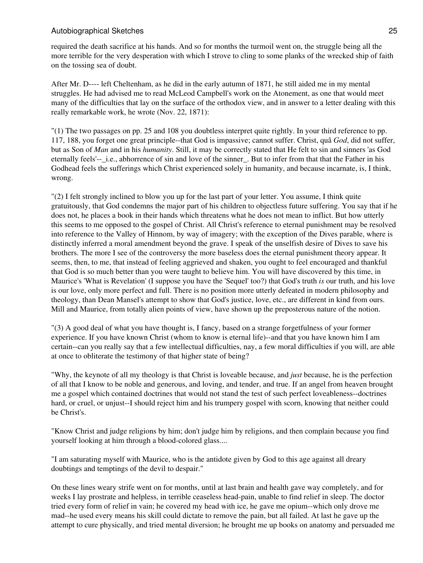required the death sacrifice at his hands. And so for months the turmoil went on, the struggle being all the more terrible for the very desperation with which I strove to cling to some planks of the wrecked ship of faith on the tossing sea of doubt.

After Mr. D---- left Cheltenham, as he did in the early autumn of 1871, he still aided me in my mental struggles. He had advised me to read McLeod Campbell's work on the Atonement, as one that would meet many of the difficulties that lay on the surface of the orthodox view, and in answer to a letter dealing with this really remarkable work, he wrote (Nov. 22, 1871):

"(1) The two passages on pp. 25 and 108 you doubtless interpret quite rightly. In your third reference to pp. 117, 188, you forget one great principle--that God is impassive; cannot suffer. Christ, quâ *God*, did not suffer, but as Son of *Man* and in his *humanity*. Still, it may be correctly stated that He felt to sin and sinners 'as God eternally feels'-- i.e., abhorrence of sin and love of the sinner. But to infer from that that the Father in his Godhead feels the sufferings which Christ experienced solely in humanity, and because incarnate, is, I think, wrong.

"(2) I felt strongly inclined to blow you up for the last part of your letter. You assume, I think quite gratuitously, that God condemns the major part of his children to objectless future suffering. You say that if he does not, he places a book in their hands which threatens what he does not mean to inflict. But how utterly this seems to me opposed to the gospel of Christ. All Christ's reference to eternal punishment may be resolved into reference to the Valley of Hinnom, by way of imagery; with the exception of the Dives parable, where is distinctly inferred a moral amendment beyond the grave. I speak of the unselfish desire of Dives to save his brothers. The more I see of the controversy the more baseless does the eternal punishment theory appear. It seems, then, to me, that instead of feeling aggrieved and shaken, you ought to feel encouraged and thankful that God is so much better than you were taught to believe him. You will have discovered by this time, in Maurice's 'What is Revelation' (I suppose you have the 'Sequel' too?) that God's truth *is* our truth, and his love is our love, only more perfect and full. There is no position more utterly defeated in modern philosophy and theology, than Dean Mansel's attempt to show that God's justice, love, etc., are different in kind from ours. Mill and Maurice, from totally alien points of view, have shown up the preposterous nature of the notion.

"(3) A good deal of what you have thought is, I fancy, based on a strange forgetfulness of your former experience. If you have known Christ (whom to know is eternal life)--and that you have known him I am certain--can you really say that a few intellectual difficulties, nay, a few moral difficulties if you will, are able at once to obliterate the testimony of that higher state of being?

"Why, the keynote of all my theology is that Christ is loveable because, and *just* because, he is the perfection of all that I know to be noble and generous, and loving, and tender, and true. If an angel from heaven brought me a gospel which contained doctrines that would not stand the test of such perfect loveableness--doctrines hard, or cruel, or unjust--I should reject him and his trumpery gospel with scorn, knowing that neither could be Christ's.

"Know Christ and judge religions by him; don't judge him by religions, and then complain because you find yourself looking at him through a blood-colored glass....

"I am saturating myself with Maurice, who is the antidote given by God to this age against all dreary doubtings and temptings of the devil to despair."

On these lines weary strife went on for months, until at last brain and health gave way completely, and for weeks I lay prostrate and helpless, in terrible ceaseless head-pain, unable to find relief in sleep. The doctor tried every form of relief in vain; he covered my head with ice, he gave me opium--which only drove me mad--he used every means his skill could dictate to remove the pain, but all failed. At last he gave up the attempt to cure physically, and tried mental diversion; he brought me up books on anatomy and persuaded me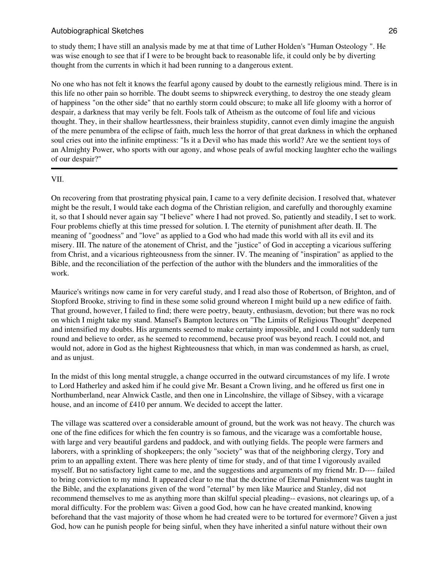to study them; I have still an analysis made by me at that time of Luther Holden's "Human Osteology ". He was wise enough to see that if I were to be brought back to reasonable life, it could only be by diverting thought from the currents in which it had been running to a dangerous extent.

No one who has not felt it knows the fearful agony caused by doubt to the earnestly religious mind. There is in this life no other pain so horrible. The doubt seems to shipwreck everything, to destroy the one steady gleam of happiness "on the other side" that no earthly storm could obscure; to make all life gloomy with a horror of despair, a darkness that may verily be felt. Fools talk of Atheism as the outcome of foul life and vicious thought. They, in their shallow heartlessness, their brainless stupidity, cannot even dimly imagine the anguish of the mere penumbra of the eclipse of faith, much less the horror of that great darkness in which the orphaned soul cries out into the infinite emptiness: "Is it a Devil who has made this world? Are we the sentient toys of an Almighty Power, who sports with our agony, and whose peals of awful mocking laughter echo the wailings of our despair?"

#### VII.

On recovering from that prostrating physical pain, I came to a very definite decision. I resolved that, whatever might be the result, I would take each dogma of the Christian religion, and carefully and thoroughly examine it, so that I should never again say "I believe" where I had not proved. So, patiently and steadily, I set to work. Four problems chiefly at this time pressed for solution. I. The eternity of punishment after death. II. The meaning of "goodness" and "love" as applied to a God who had made this world with all its evil and its misery. III. The nature of the atonement of Christ, and the "justice" of God in accepting a vicarious suffering from Christ, and a vicarious righteousness from the sinner. IV. The meaning of "inspiration" as applied to the Bible, and the reconciliation of the perfection of the author with the blunders and the immoralities of the work.

Maurice's writings now came in for very careful study, and I read also those of Robertson, of Brighton, and of Stopford Brooke, striving to find in these some solid ground whereon I might build up a new edifice of faith. That ground, however, I failed to find; there were poetry, beauty, enthusiasm, devotion; but there was no rock on which I might take my stand. Mansel's Bampton lectures on "The Limits of Religious Thought" deepened and intensified my doubts. His arguments seemed to make certainty impossible, and I could not suddenly turn round and believe to order, as he seemed to recommend, because proof was beyond reach. I could not, and would not, adore in God as the highest Righteousness that which, in man was condemned as harsh, as cruel, and as unjust.

In the midst of this long mental struggle, a change occurred in the outward circumstances of my life. I wrote to Lord Hatherley and asked him if he could give Mr. Besant a Crown living, and he offered us first one in Northumberland, near Alnwick Castle, and then one in Lincolnshire, the village of Sibsey, with a vicarage house, and an income of £410 per annum. We decided to accept the latter.

The village was scattered over a considerable amount of ground, but the work was not heavy. The church was one of the fine edifices for which the fen country is so famous, and the vicarage was a comfortable house, with large and very beautiful gardens and paddock, and with outlying fields. The people were farmers and laborers, with a sprinkling of shopkeepers; the only "society" was that of the neighboring clergy, Tory and prim to an appalling extent. There was here plenty of time for study, and of that time I vigorously availed myself. But no satisfactory light came to me, and the suggestions and arguments of my friend Mr. D---- failed to bring conviction to my mind. It appeared clear to me that the doctrine of Eternal Punishment was taught in the Bible, and the explanations given of the word "eternal" by men like Maurice and Stanley, did not recommend themselves to me as anything more than skilful special pleading-- evasions, not clearings up, of a moral difficulty. For the problem was: Given a good God, how can he have created mankind, knowing beforehand that the vast majority of those whom he had created were to be tortured for evermore? Given a just God, how can he punish people for being sinful, when they have inherited a sinful nature without their own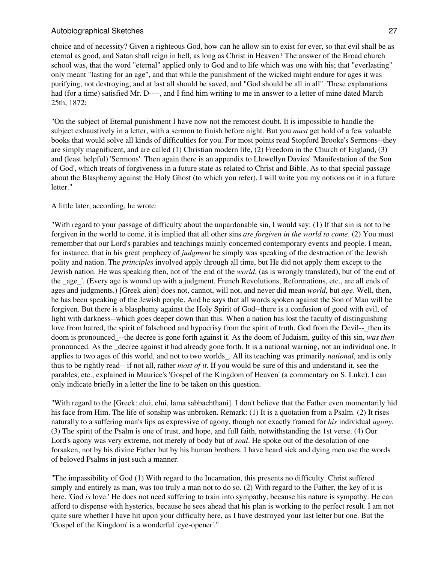choice and of necessity? Given a righteous God, how can he allow sin to exist for ever, so that evil shall be as eternal as good, and Satan shall reign in hell, as long as Christ in Heaven? The answer of the Broad church school was, that the word "eternal" applied only to God and to life which was one with his; that "everlasting" only meant "lasting for an age", and that while the punishment of the wicked might endure for ages it was purifying, not destroying, and at last all should be saved, and "God should be all in all". These explanations had (for a time) satisfied Mr. D----, and I find him writing to me in answer to a letter of mine dated March 25th, 1872:

"On the subject of Eternal punishment I have now not the remotest doubt. It is impossible to handle the subject exhaustively in a letter, with a sermon to finish before night. But you *must* get hold of a few valuable books that would solve all kinds of difficulties for you. For most points read Stopford Brooke's Sermons--they are simply magnificent, and are called (1) Christian modern life, (2) Freedom in the Church of England, (3) and (least helpful) 'Sermons'. Then again there is an appendix to Llewellyn Davies' 'Manifestation of the Son of God', which treats of forgiveness in a future state as related to Christ and Bible. As to that special passage about the Blasphemy against the Holy Ghost (to which you refer), I will write you my notions on it in a future letter."

## A little later, according, he wrote:

"With regard to your passage of difficulty about the unpardonable sin, I would say: (1) If that sin is not to be forgiven in the world to come, it is implied that all other sins *are forgiven in the world to come*. (2) You must remember that our Lord's parables and teachings mainly concerned contemporary events and people. I mean, for instance, that in his great prophecy of *judgment* he simply was speaking of the destruction of the Jewish polity and nation. The *principles* involved apply through all time, but He did not apply them except to the Jewish nation. He was speaking then, not of 'the end of the *world*, (as is wrongly translated), but of 'the end of the age '. (Every age is wound up with a judgment. French Revolutions, Reformations, etc., are all ends of ages and judgments.) [Greek aion] does not, cannot, will not, and never did mean *world*, but *age*. Well, then, he has been speaking of the Jewish people. And he says that all words spoken against the Son of Man will be forgiven. But there is a blasphemy against the Holy Spirit of God--there is a confusion of good with evil, of light with darkness--which goes deeper down than this. When a nation has lost the faculty of distinguishing love from hatred, the spirit of falsehood and hypocrisy from the spirit of truth, God from the Devil-- then its doom is pronounced\_--the decree is gone forth against it. As the doom of Judaism, guilty of this sin, *was then* pronounced. As the \_decree against it had already gone forth. It is a national warning, not an individual one. It applies to two ages of this world, and not to two worlds\_. All its teaching was primarily *national*, and is only thus to be rightly read-- if not all, rather *most of it*. If you would be sure of this and understand it, see the parables, etc., explained in Maurice's 'Gospel of the Kingdom of Heaven' (a commentary on S. Luke). I can only indicate briefly in a letter the line to be taken on this question.

"With regard to the [Greek: elui, elui, lama sabbachthani]. I don't believe that the Father even momentarily hid his face from Him. The life of sonship was unbroken. Remark: (1) It is a quotation from a Psalm. (2) It rises naturally to a suffering man's lips as expressive of agony, though not exactly framed for *his* individual *agony*. (3) The spirit of the Psalm is one of trust, and hope, and full faith, notwithstanding the 1st verse. (4) Our Lord's agony was very extreme, not merely of body but of *soul*. He spoke out of the desolation of one forsaken, not by his divine Father but by his human brothers. I have heard sick and dying men use the words of beloved Psalms in just such a manner.

"The impassibility of God (1) With regard to the Incarnation, this presents no difficulty. Christ suffered simply and entirely as man, was too truly a man not to do so. (2) With regard to the Father, the key of it is here. 'God *is* love.' He does not need suffering to train into sympathy, because his nature is sympathy. He can afford to dispense with hysterics, because he sees ahead that his plan is working to the perfect result. I am not quite sure whether I have hit upon your difficulty here, as I have destroyed your last letter but one. But the 'Gospel of the Kingdom' is a wonderful 'eye-opener'."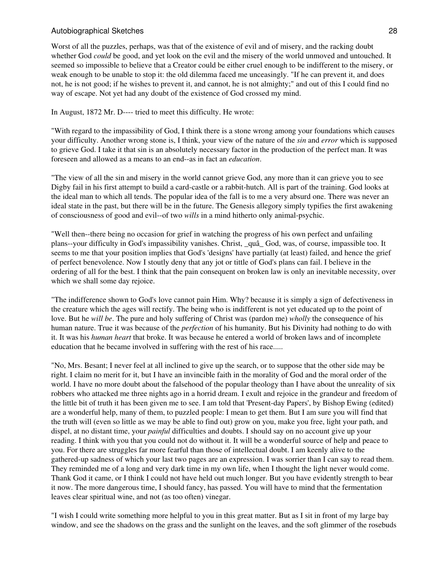Worst of all the puzzles, perhaps, was that of the existence of evil and of misery, and the racking doubt whether God *could* be good, and yet look on the evil and the misery of the world unmoved and untouched. It seemed so impossible to believe that a Creator could be either cruel enough to be indifferent to the misery, or weak enough to be unable to stop it: the old dilemma faced me unceasingly. "If he can prevent it, and does not, he is not good; if he wishes to prevent it, and cannot, he is not almighty;" and out of this I could find no way of escape. Not yet had any doubt of the existence of God crossed my mind.

In August, 1872 Mr. D---- tried to meet this difficulty. He wrote:

"With regard to the impassibility of God, I think there is a stone wrong among your foundations which causes your difficulty. Another wrong stone is, I think, your view of the nature of the *sin* and *error* which is supposed to grieve God. I take it that sin is an absolutely necessary factor in the production of the perfect man. It was foreseen and allowed as a means to an end--as in fact an *education*.

"The view of all the sin and misery in the world cannot grieve God, any more than it can grieve you to see Digby fail in his first attempt to build a card-castle or a rabbit-hutch. All is part of the training. God looks at the ideal man to which all tends. The popular idea of the fall is to me a very absurd one. There was never an ideal state in the past, but there will be in the future. The Genesis allegory simply typifies the first awakening of consciousness of good and evil--of two *wills* in a mind hitherto only animal-psychic.

"Well then--there being no occasion for grief in watching the progress of his own perfect and unfailing plans--your difficulty in God's impassibility vanishes. Christ, \_quâ\_ God, was, of course, impassible too. It seems to me that your position implies that God's 'designs' have partially (at least) failed, and hence the grief of perfect benevolence. Now I stoutly deny that any jot or tittle of God's plans can fail. I believe in the ordering of all for the best. I think that the pain consequent on broken law is only an inevitable necessity, over which we shall some day rejoice.

"The indifference shown to God's love cannot pain Him. Why? because it is simply a sign of defectiveness in the creature which the ages will rectify. The being who is indifferent is not yet educated up to the point of love. But he *will be*. The pure and holy suffering of Christ was (pardon me) *wholly* the consequence of his human nature. True it was because of the *perfection* of his humanity. But his Divinity had nothing to do with it. It was his *human heart* that broke. It was because he entered a world of broken laws and of incomplete education that he became involved in suffering with the rest of his race.....

"No, Mrs. Besant; I never feel at all inclined to give up the search, or to suppose that the other side may be right. I claim no merit for it, but I have an invincible faith in the morality of God and the moral order of the world. I have no more doubt about the falsehood of the popular theology than I have about the unreality of six robbers who attacked me three nights ago in a horrid dream. I exult and rejoice in the grandeur and freedom of the little bit of truth it has been given me to see. I am told that 'Present-day Papers', by Bishop Ewing (edited) are a wonderful help, many of them, to puzzled people: I mean to get them. But I am sure you will find that the truth will (even so little as we may be able to find out) grow on you, make you free, light your path, and dispel, at no distant time, your *painful* difficulties and doubts. I should say on no account give up your reading. I think with you that you could not do without it. It will be a wonderful source of help and peace to you. For there are struggles far more fearful than those of intellectual doubt. I am keenly alive to the gathered-up sadness of which your last two pages are an expression. I was sorrier than I can say to read them. They reminded me of a long and very dark time in my own life, when I thought the light never would come. Thank God it came, or I think I could not have held out much longer. But you have evidently strength to bear it now. The more dangerous time, I should fancy, has passed. You will have to mind that the fermentation leaves clear spiritual wine, and not (as too often) vinegar.

"I wish I could write something more helpful to you in this great matter. But as I sit in front of my large bay window, and see the shadows on the grass and the sunlight on the leaves, and the soft glimmer of the rosebuds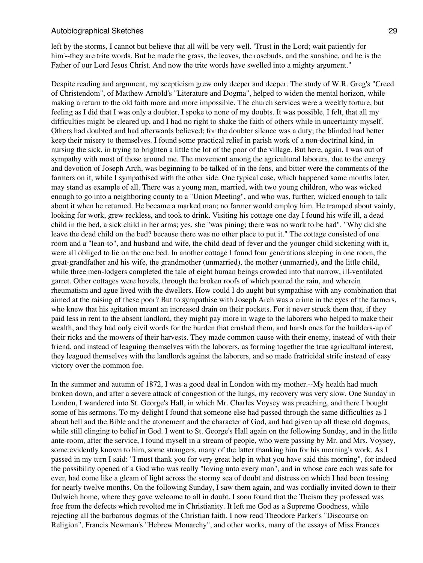left by the storms, I cannot but believe that all will be very well. 'Trust in the Lord; wait patiently for him'--they are trite words. But he made the grass, the leaves, the rosebuds, and the sunshine, and he is the Father of our Lord Jesus Christ. And now the trite words have swelled into a mighty argument."

Despite reading and argument, my scepticism grew only deeper and deeper. The study of W.R. Greg's "Creed of Christendom", of Matthew Arnold's "Literature and Dogma", helped to widen the mental horizon, while making a return to the old faith more and more impossible. The church services were a weekly torture, but feeling as I did that I was only a doubter, I spoke to none of my doubts. It was possible, I felt, that all my difficulties might be cleared up, and I had no right to shake the faith of others while in uncertainty myself. Others had doubted and had afterwards believed; for the doubter silence was a duty; the blinded had better keep their misery to themselves. I found some practical relief in parish work of a non-doctrinal kind, in nursing the sick, in trying to brighten a little the lot of the poor of the village. But here, again, I was out of sympathy with most of those around me. The movement among the agricultural laborers, due to the energy and devotion of Joseph Arch, was beginning to be talked of in the fens, and bitter were the comments of the farmers on it, while I sympathised with the other side. One typical case, which happened some months later, may stand as example of all. There was a young man, married, with two young children, who was wicked enough to go into a neighboring county to a "Union Meeting", and who was, further, wicked enough to talk about it when he returned. He became a marked man; no farmer would employ him. He tramped about vainly, looking for work, grew reckless, and took to drink. Visiting his cottage one day I found his wife ill, a dead child in the bed, a sick child in her arms; yes, she "was pining; there was no work to be had". "Why did she leave the dead child on the bed? because there was no other place to put it." The cottage consisted of one room and a "lean-to", and husband and wife, the child dead of fever and the younger child sickening with it, were all obliged to lie on the one bed. In another cottage I found four generations sleeping in one room, the great-grandfather and his wife, the grandmother (unmarried), the mother (unmarried), and the little child, while three men-lodgers completed the tale of eight human beings crowded into that narrow, ill-ventilated garret. Other cottages were hovels, through the broken roofs of which poured the rain, and wherein rheumatism and ague lived with the dwellers. How could I do aught but sympathise with any combination that aimed at the raising of these poor? But to sympathise with Joseph Arch was a crime in the eyes of the farmers, who knew that his agitation meant an increased drain on their pockets. For it never struck them that, if they paid less in rent to the absent landlord, they might pay more in wage to the laborers who helped to make their wealth, and they had only civil words for the burden that crushed them, and harsh ones for the builders-up of their ricks and the mowers of their harvests. They made common cause with their enemy, instead of with their friend, and instead of leaguing themselves with the laborers, as forming together the true agricultural interest, they leagued themselves with the landlords against the laborers, and so made fratricidal strife instead of easy victory over the common foe.

In the summer and autumn of 1872, I was a good deal in London with my mother.--My health had much broken down, and after a severe attack of congestion of the lungs, my recovery was very slow. One Sunday in London, I wandered into St. George's Hall, in which Mr. Charles Voysey was preaching, and there I bought some of his sermons. To my delight I found that someone else had passed through the same difficulties as I about hell and the Bible and the atonement and the character of God, and had given up all these old dogmas, while still clinging to belief in God. I went to St. George's Hall again on the following Sunday, and in the little ante-room, after the service, I found myself in a stream of people, who were passing by Mr. and Mrs. Voysey, some evidently known to him, some strangers, many of the latter thanking him for his morning's work. As I passed in my turn I said: "I must thank you for very great help in what you have said this morning", for indeed the possibility opened of a God who was really "loving unto every man", and in whose care each was safe for ever, had come like a gleam of light across the stormy sea of doubt and distress on which I had been tossing for nearly twelve months. On the following Sunday, I saw them again, and was cordially invited down to their Dulwich home, where they gave welcome to all in doubt. I soon found that the Theism they professed was free from the defects which revolted me in Christianity. It left me God as a Supreme Goodness, while rejecting all the barbarous dogmas of the Christian faith. I now read Theodore Parker's "Discourse on Religion", Francis Newman's "Hebrew Monarchy", and other works, many of the essays of Miss Frances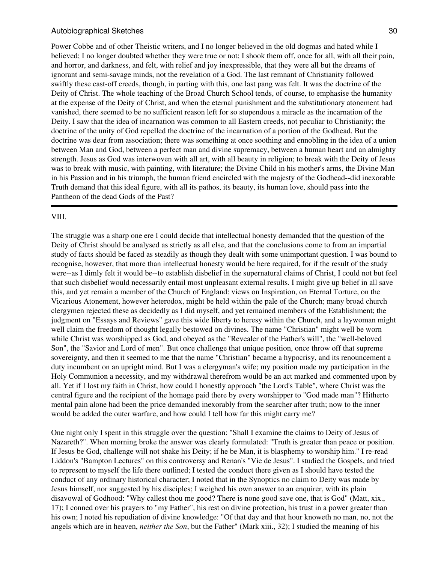Power Cobbe and of other Theistic writers, and I no longer believed in the old dogmas and hated while I believed; I no longer doubted whether they were true or not; I shook them off, once for all, with all their pain, and horror, and darkness, and felt, with relief and joy inexpressible, that they were all but the dreams of ignorant and semi-savage minds, not the revelation of a God. The last remnant of Christianity followed swiftly these cast-off creeds, though, in parting with this, one last pang was felt. It was the doctrine of the Deity of Christ. The whole teaching of the Broad Church School tends, of course, to emphasise the humanity at the expense of the Deity of Christ, and when the eternal punishment and the substitutionary atonement had vanished, there seemed to be no sufficient reason left for so stupendous a miracle as the incarnation of the Deity. I saw that the idea of incarnation was common to all Eastern creeds, not peculiar to Christianity; the doctrine of the unity of God repelled the doctrine of the incarnation of a portion of the Godhead. But the doctrine was dear from association; there was something at once soothing and ennobling in the idea of a union between Man and God, between a perfect man and divine supremacy, between a human heart and an almighty strength. Jesus as God was interwoven with all art, with all beauty in religion; to break with the Deity of Jesus was to break with music, with painting, with literature; the Divine Child in his mother's arms, the Divine Man in his Passion and in his triumph, the human friend encircled with the majesty of the Godhead--did inexorable Truth demand that this ideal figure, with all its pathos, its beauty, its human love, should pass into the Pantheon of the dead Gods of the Past?

#### VIII.

The struggle was a sharp one ere I could decide that intellectual honesty demanded that the question of the Deity of Christ should be analysed as strictly as all else, and that the conclusions come to from an impartial study of facts should be faced as steadily as though they dealt with some unimportant question. I was bound to recognise, however, that more than intellectual honesty would be here required, for if the result of the study were--as I dimly felt it would be--to establish disbelief in the supernatural claims of Christ, I could not but feel that such disbelief would necessarily entail most unpleasant external results. I might give up belief in all save this, and yet remain a member of the Church of England: views on Inspiration, on Eternal Torture, on the Vicarious Atonement, however heterodox, might be held within the pale of the Church; many broad church clergymen rejected these as decidedly as I did myself, and yet remained members of the Establishment; the judgment on "Essays and Reviews" gave this wide liberty to heresy within the Church, and a laywoman might well claim the freedom of thought legally bestowed on divines. The name "Christian" might well be worn while Christ was worshipped as God, and obeyed as the "Revealer of the Father's will", the "well-beloved Son", the "Savior and Lord of men". But once challenge that unique position, once throw off that supreme sovereignty, and then it seemed to me that the name "Christian" became a hypocrisy, and its renouncement a duty incumbent on an upright mind. But I was a clergyman's wife; my position made my participation in the Holy Communion a necessity, and my withdrawal therefrom would be an act marked and commented upon by all. Yet if I lost my faith in Christ, how could I honestly approach "the Lord's Table", where Christ was the central figure and the recipient of the homage paid there by every worshipper to "God made man"? Hitherto mental pain alone had been the price demanded inexorably from the searcher after truth; now to the inner would be added the outer warfare, and how could I tell how far this might carry me?

One night only I spent in this struggle over the question: "Shall I examine the claims to Deity of Jesus of Nazareth?". When morning broke the answer was clearly formulated: "Truth is greater than peace or position. If Jesus be God, challenge will not shake his Deity; if he be Man, it is blasphemy to worship him." I re-read Liddon's "Bampton Lectures" on this controversy and Renan's "Vie de Jesus". I studied the Gospels, and tried to represent to myself the life there outlined; I tested the conduct there given as I should have tested the conduct of any ordinary historical character; I noted that in the Synoptics no claim to Deity was made by Jesus himself, nor suggested by his disciples; I weighed his own answer to an enquirer, with its plain disavowal of Godhood: "Why callest thou me good? There is none good save one, that is God" (Matt, xix., 17); I conned over his prayers to "my Father", his rest on divine protection, his trust in a power greater than his own; I noted his repudiation of divine knowledge: "Of that day and that hour knoweth no man, no, not the angels which are in heaven, *neither the Son*, but the Father" (Mark xiii., 32); I studied the meaning of his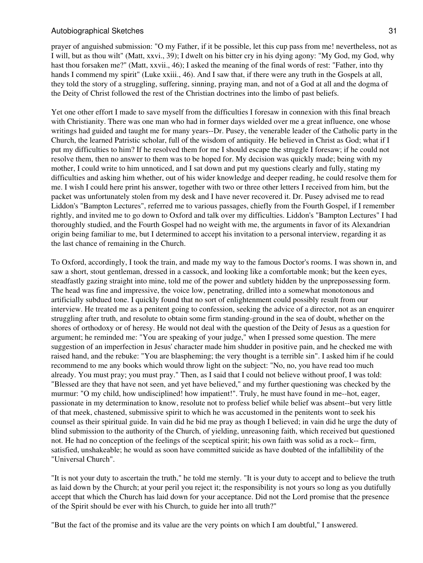prayer of anguished submission: "O my Father, if it be possible, let this cup pass from me! nevertheless, not as I will, but as thou wilt" (Matt, xxvi., 39); I dwelt on his bitter cry in his dying agony: "My God, my God, why hast thou forsaken me?" (Matt, xxvii., 46); I asked the meaning of the final words of rest: "Father, into thy hands I commend my spirit" (Luke xxiii., 46). And I saw that, if there were any truth in the Gospels at all, they told the story of a struggling, suffering, sinning, praying man, and not of a God at all and the dogma of the Deity of Christ followed the rest of the Christian doctrines into the limbo of past beliefs.

Yet one other effort I made to save myself from the difficulties I foresaw in connexion with this final breach with Christianity. There was one man who had in former days wielded over me a great influence, one whose writings had guided and taught me for many years--Dr. Pusey, the venerable leader of the Catholic party in the Church, the learned Patristic scholar, full of the wisdom of antiquity. He believed in Christ as God; what if I put my difficulties to him? If he resolved them for me I should escape the struggle I foresaw; if he could not resolve them, then no answer to them was to be hoped for. My decision was quickly made; being with my mother, I could write to him unnoticed, and I sat down and put my questions clearly and fully, stating my difficulties and asking him whether, out of his wider knowledge and deeper reading, he could resolve them for me. I wish I could here print his answer, together with two or three other letters I received from him, but the packet was unfortunately stolen from my desk and I have never recovered it. Dr. Pusey advised me to read Liddon's "Bampton Lectures", referred me to various passages, chiefly from the Fourth Gospel, if I remember rightly, and invited me to go down to Oxford and talk over my difficulties. Liddon's "Bampton Lectures" I had thoroughly studied, and the Fourth Gospel had no weight with me, the arguments in favor of its Alexandrian origin being familiar to me, but I determined to accept his invitation to a personal interview, regarding it as the last chance of remaining in the Church.

To Oxford, accordingly, I took the train, and made my way to the famous Doctor's rooms. I was shown in, and saw a short, stout gentleman, dressed in a cassock, and looking like a comfortable monk; but the keen eyes, steadfastly gazing straight into mine, told me of the power and subtlety hidden by the unprepossessing form. The head was fine and impressive, the voice low, penetrating, drilled into a somewhat monotonous and artificially subdued tone. I quickly found that no sort of enlightenment could possibly result from our interview. He treated me as a penitent going to confession, seeking the advice of a director, not as an enquirer struggling after truth, and resolute to obtain some firm standing-ground in the sea of doubt, whether on the shores of orthodoxy or of heresy. He would not deal with the question of the Deity of Jesus as a question for argument; he reminded me: "You are speaking of your judge," when I pressed some question. The mere suggestion of an imperfection in Jesus' character made him shudder in positive pain, and he checked me with raised hand, and the rebuke: "You are blaspheming; the very thought is a terrible sin". I asked him if he could recommend to me any books which would throw light on the subject: "No, no, you have read too much already. You must pray; you must pray." Then, as I said that I could not believe without proof, I was told: "Blessed are they that have not seen, and yet have believed," and my further questioning was checked by the murmur: "O my child, how undisciplined! how impatient!". Truly, he must have found in me--hot, eager, passionate in my determination to know, resolute not to profess belief while belief was absent--but very little of that meek, chastened, submissive spirit to which he was accustomed in the penitents wont to seek his counsel as their spiritual guide. In vain did he bid me pray as though I believed; in vain did he urge the duty of blind submission to the authority of the Church, of yielding, unreasoning faith, which received but questioned not. He had no conception of the feelings of the sceptical spirit; his own faith was solid as a rock-- firm, satisfied, unshakeable; he would as soon have committed suicide as have doubted of the infallibility of the "Universal Church".

"It is not your duty to ascertain the truth," he told me sternly. "It is your duty to accept and to believe the truth as laid down by the Church; at your peril you reject it; the responsibility is not yours so long as you dutifully accept that which the Church has laid down for your acceptance. Did not the Lord promise that the presence of the Spirit should be ever with his Church, to guide her into all truth?"

"But the fact of the promise and its value are the very points on which I am doubtful," I answered.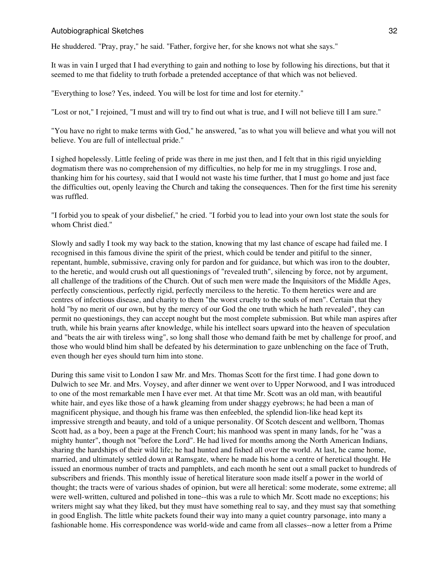He shuddered. "Pray, pray," he said. "Father, forgive her, for she knows not what she says."

It was in vain I urged that I had everything to gain and nothing to lose by following his directions, but that it seemed to me that fidelity to truth forbade a pretended acceptance of that which was not believed.

"Everything to lose? Yes, indeed. You will be lost for time and lost for eternity."

"Lost or not," I rejoined, "I must and will try to find out what is true, and I will not believe till I am sure."

"You have no right to make terms with God," he answered, "as to what you will believe and what you will not believe. You are full of intellectual pride."

I sighed hopelessly. Little feeling of pride was there in me just then, and I felt that in this rigid unyielding dogmatism there was no comprehension of my difficulties, no help for me in my strugglings. I rose and, thanking him for his courtesy, said that I would not waste his time further, that I must go home and just face the difficulties out, openly leaving the Church and taking the consequences. Then for the first time his serenity was ruffled.

"I forbid you to speak of your disbelief," he cried. "I forbid you to lead into your own lost state the souls for whom Christ died."

Slowly and sadly I took my way back to the station, knowing that my last chance of escape had failed me. I recognised in this famous divine the spirit of the priest, which could be tender and pitiful to the sinner, repentant, humble, submissive, craving only for pardon and for guidance, but which was iron to the doubter, to the heretic, and would crush out all questionings of "revealed truth", silencing by force, not by argument, all challenge of the traditions of the Church. Out of such men were made the Inquisitors of the Middle Ages, perfectly conscientious, perfectly rigid, perfectly merciless to the heretic. To them heretics were and are centres of infectious disease, and charity to them "the worst cruelty to the souls of men". Certain that they hold "by no merit of our own, but by the mercy of our God the one truth which he hath revealed", they can permit no questionings, they can accept nought but the most complete submission. But while man aspires after truth, while his brain yearns after knowledge, while his intellect soars upward into the heaven of speculation and "beats the air with tireless wing", so long shall those who demand faith be met by challenge for proof, and those who would blind him shall be defeated by his determination to gaze unblenching on the face of Truth, even though her eyes should turn him into stone.

During this same visit to London I saw Mr. and Mrs. Thomas Scott for the first time. I had gone down to Dulwich to see Mr. and Mrs. Voysey, and after dinner we went over to Upper Norwood, and I was introduced to one of the most remarkable men I have ever met. At that time Mr. Scott was an old man, with beautiful white hair, and eyes like those of a hawk gleaming from under shaggy eyebrows; he had been a man of magnificent physique, and though his frame was then enfeebled, the splendid lion-like head kept its impressive strength and beauty, and told of a unique personality. Of Scotch descent and wellborn, Thomas Scott had, as a boy, been a page at the French Court; his manhood was spent in many lands, for he "was a mighty hunter", though not "before the Lord". He had lived for months among the North American Indians, sharing the hardships of their wild life; he had hunted and fished all over the world. At last, he came home, married, and ultimately settled down at Ramsgate, where he made his home a centre of heretical thought. He issued an enormous number of tracts and pamphlets, and each month he sent out a small packet to hundreds of subscribers and friends. This monthly issue of heretical literature soon made itself a power in the world of thought; the tracts were of various shades of opinion, but were all heretical: some moderate, some extreme; all were well-written, cultured and polished in tone--this was a rule to which Mr. Scott made no exceptions; his writers might say what they liked, but they must have something real to say, and they must say that something in good English. The little white packets found their way into many a quiet country parsonage, into many a fashionable home. His correspondence was world-wide and came from all classes--now a letter from a Prime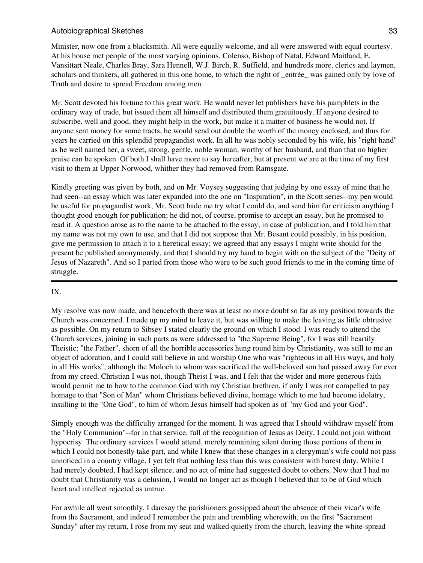Minister, now one from a blacksmith. All were equally welcome, and all were answered with equal courtesy. At his house met people of the most varying opinions. Colenso, Bishop of Natal, Edward Maitland, E. Vansittart Neale, Charles Bray, Sara Hennell, W.J. Birch, R. Suffield, and hundreds more, clerics and laymen, scholars and thinkers, all gathered in this one home, to which the right of entrée—was gained only by love of Truth and desire to spread Freedom among men.

Mr. Scott devoted his fortune to this great work. He would never let publishers have his pamphlets in the ordinary way of trade, but issued them all himself and distributed them gratuitously. If anyone desired to subscribe, well and good, they might help in the work, but make it a matter of business he would not. If anyone sent money for some tracts, he would send out double the worth of the money enclosed, and thus for years he carried on this splendid propagandist work. In all he was nobly seconded by his wife, his "right hand" as he well named her, a sweet, strong, gentle, noble woman, worthy of her husband, and than that no higher praise can be spoken. Of both I shall have more to say hereafter, but at present we are at the time of my first visit to them at Upper Norwood, whither they had removed from Ramsgate.

Kindly greeting was given by both, and on Mr. Voysey suggesting that judging by one essay of mine that he had seen--an essay which was later expanded into the one on "Inspiration", in the Scott series--my pen would be useful for propagandist work, Mr. Scott bade me try what I could do, and send him for criticism anything I thought good enough for publication; he did not, of course, promise to accept an essay, but he promised to read it. A question arose as to the name to be attached to the essay, in case of publication, and I told him that my name was not my own to use, and that I did not suppose that Mr. Besant could possibly, in his position, give me permission to attach it to a heretical essay; we agreed that any essays I might write should for the present be published anonymously, and that I should try my hand to begin with on the subject of the "Deity of Jesus of Nazareth". And so I parted from those who were to be such good friends to me in the coming time of struggle.

# IX.

My resolve was now made, and henceforth there was at least no more doubt so far as my position towards the Church was concerned. I made up my mind to leave it, but was willing to make the leaving as little obtrusive as possible. On my return to Sibsey I stated clearly the ground on which I stood. I was ready to attend the Church services, joining in such parts as were addressed to "the Supreme Being", for I was still heartily Theistic; "the Father", shorn of all the horrible accessories hung round him by Christianity, was still to me an object of adoration, and I could still believe in and worship One who was "righteous in all His ways, and holy in all His works", although the Moloch to whom was sacrificed the well-beloved son had passed away for ever from my creed. Christian I was not, though Theist I was, and I felt that the wider and more generous faith would permit me to bow to the common God with my Christian brethren, if only I was not compelled to pay homage to that "Son of Man" whom Christians believed divine, homage which to me had become idolatry, insulting to the "One God", to him of whom Jesus himself had spoken as of "my God and your God".

Simply enough was the difficulty arranged for the moment. It was agreed that I should withdraw myself from the "Holy Communion"--for in that service, full of the recognition of Jesus as Deity, I could not join without hypocrisy. The ordinary services I would attend, merely remaining silent during those portions of them in which I could not honestly take part, and while I knew that these changes in a clergyman's wife could not pass unnoticed in a country village, I yet felt that nothing less than this was consistent with barest duty. While I had merely doubted, I had kept silence, and no act of mine had suggested doubt to others. Now that I had no doubt that Christianity was a delusion, I would no longer act as though I believed that to be of God which heart and intellect rejected as untrue.

For awhile all went smoothly. I daresay the parishioners gossipped about the absence of their vicar's wife from the Sacrament, and indeed I remember the pain and trembling wherewith, on the first "Sacrament Sunday" after my return, I rose from my seat and walked quietly from the church, leaving the white-spread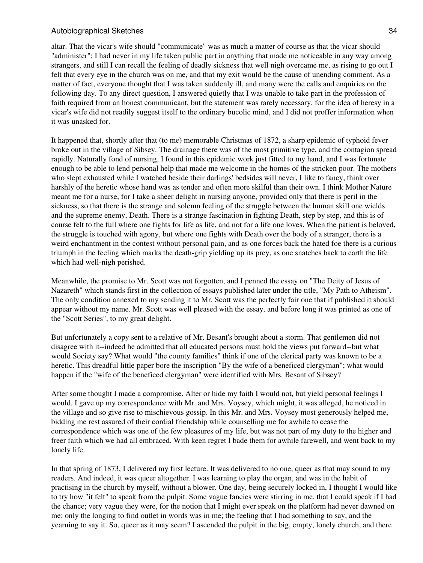altar. That the vicar's wife should "communicate" was as much a matter of course as that the vicar should "administer"; I had never in my life taken public part in anything that made me noticeable in any way among strangers, and still I can recall the feeling of deadly sickness that well nigh overcame me, as rising to go out I felt that every eye in the church was on me, and that my exit would be the cause of unending comment. As a matter of fact, everyone thought that I was taken suddenly ill, and many were the calls and enquiries on the following day. To any direct question, I answered quietly that I was unable to take part in the profession of faith required from an honest communicant, but the statement was rarely necessary, for the idea of heresy in a vicar's wife did not readily suggest itself to the ordinary bucolic mind, and I did not proffer information when it was unasked for.

It happened that, shortly after that (to me) memorable Christmas of 1872, a sharp epidemic of typhoid fever broke out in the village of Sibsey. The drainage there was of the most primitive type, and the contagion spread rapidly. Naturally fond of nursing, I found in this epidemic work just fitted to my hand, and I was fortunate enough to be able to lend personal help that made me welcome in the homes of the stricken poor. The mothers who slept exhausted while I watched beside their darlings' bedsides will never, I like to fancy, think over harshly of the heretic whose hand was as tender and often more skilful than their own. I think Mother Nature meant me for a nurse, for I take a sheer delight in nursing anyone, provided only that there is peril in the sickness, so that there is the strange and solemn feeling of the struggle between the human skill one wields and the supreme enemy, Death. There is a strange fascination in fighting Death, step by step, and this is of course felt to the full where one fights for life as life, and not for a life one loves. When the patient is beloved, the struggle is touched with agony, but where one fights with Death over the body of a stranger, there is a weird enchantment in the contest without personal pain, and as one forces back the hated foe there is a curious triumph in the feeling which marks the death-grip yielding up its prey, as one snatches back to earth the life which had well-nigh perished.

Meanwhile, the promise to Mr. Scott was not forgotten, and I penned the essay on "The Deity of Jesus of Nazareth" which stands first in the collection of essays published later under the title, "My Path to Atheism". The only condition annexed to my sending it to Mr. Scott was the perfectly fair one that if published it should appear without my name. Mr. Scott was well pleased with the essay, and before long it was printed as one of the "Scott Series", to my great delight.

But unfortunately a copy sent to a relative of Mr. Besant's brought about a storm. That gentlemen did not disagree with it--indeed he admitted that all educated persons must hold the views put forward--but what would Society say? What would "the county families" think if one of the clerical party was known to be a heretic. This dreadful little paper bore the inscription "By the wife of a beneficed clergyman"; what would happen if the "wife of the beneficed clergyman" were identified with Mrs. Besant of Sibsey?

After some thought I made a compromise. Alter or hide my faith I would not, but yield personal feelings I would. I gave up my correspondence with Mr. and Mrs. Voysey, which might, it was alleged, he noticed in the village and so give rise to mischievous gossip. In this Mr. and Mrs. Voysey most generously helped me, bidding me rest assured of their cordial friendship while counselling me for awhile to cease the correspondence which was one of the few pleasures of my life, but was not part of my duty to the higher and freer faith which we had all embraced. With keen regret I bade them for awhile farewell, and went back to my lonely life.

In that spring of 1873, I delivered my first lecture. It was delivered to no one, queer as that may sound to my readers. And indeed, it was queer altogether. I was learning to play the organ, and was in the habit of practising in the church by myself, without a blower. One day, being securely locked in, I thought I would like to try how "it felt" to speak from the pulpit. Some vague fancies were stirring in me, that I could speak if I had the chance; very vague they were, for the notion that I might ever speak on the platform had never dawned on me; only the longing to find outlet in words was in me; the feeling that I had something to say, and the yearning to say it. So, queer as it may seem? I ascended the pulpit in the big, empty, lonely church, and there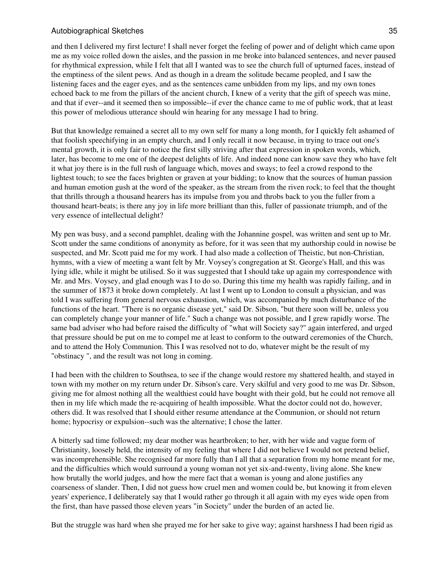and then I delivered my first lecture! I shall never forget the feeling of power and of delight which came upon me as my voice rolled down the aisles, and the passion in me broke into balanced sentences, and never paused for rhythmical expression, while I felt that all I wanted was to see the church full of upturned faces, instead of the emptiness of the silent pews. And as though in a dream the solitude became peopled, and I saw the listening faces and the eager eyes, and as the sentences came unbidden from my lips, and my own tones echoed back to me from the pillars of the ancient church, I knew of a verity that the gift of speech was mine, and that if ever--and it seemed then so impossible--if ever the chance came to me of public work, that at least this power of melodious utterance should win hearing for any message I had to bring.

But that knowledge remained a secret all to my own self for many a long month, for I quickly felt ashamed of that foolish speechifying in an empty church, and I only recall it now because, in trying to trace out one's mental growth, it is only fair to notice the first silly striving after that expression in spoken words, which, later, has become to me one of the deepest delights of life. And indeed none can know save they who have felt it what joy there is in the full rush of language which, moves and sways; to feel a crowd respond to the lightest touch; to see the faces brighten or graven at your bidding; to know that the sources of human passion and human emotion gush at the word of the speaker, as the stream from the riven rock; to feel that the thought that thrills through a thousand hearers has its impulse from you and throbs back to you the fuller from a thousand heart-beats; is there any joy in life more brilliant than this, fuller of passionate triumph, and of the very essence of intellectual delight?

My pen was busy, and a second pamphlet, dealing with the Johannine gospel, was written and sent up to Mr. Scott under the same conditions of anonymity as before, for it was seen that my authorship could in nowise be suspected, and Mr. Scott paid me for my work. I had also made a collection of Theistic, but non-Christian, hymns, with a view of meeting a want felt by Mr. Voysey's congregation at St. George's Hall, and this was lying idle, while it might be utilised. So it was suggested that I should take up again my correspondence with Mr. and Mrs. Voysey, and glad enough was I to do so. During this time my health was rapidly failing, and in the summer of 1873 it broke down completely. At last I went up to London to consult a physician, and was told I was suffering from general nervous exhaustion, which, was accompanied by much disturbance of the functions of the heart. "There is no organic disease yet," said Dr. Sibson, "but there soon will be, unless you can completely change your manner of life." Such a change was not possible, and I grew rapidly worse. The same bad adviser who had before raised the difficulty of "what will Society say?" again interfered, and urged that pressure should be put on me to compel me at least to conform to the outward ceremonies of the Church, and to attend the Holy Communion. This I was resolved not to do, whatever might be the result of my "obstinacy ", and the result was not long in coming.

I had been with the children to Southsea, to see if the change would restore my shattered health, and stayed in town with my mother on my return under Dr. Sibson's care. Very skilful and very good to me was Dr. Sibson, giving me for almost nothing all the wealthiest could have bought with their gold, but he could not remove all then in my life which made the re-acquiring of health impossible. What the doctor could not do, however, others did. It was resolved that I should either resume attendance at the Communion, or should not return home; hypocrisy or expulsion--such was the alternative; I chose the latter.

A bitterly sad time followed; my dear mother was heartbroken; to her, with her wide and vague form of Christianity, loosely held, the intensity of my feeling that where I did not believe I would not pretend belief, was incomprehensible. She recognised far more fully than I all that a separation from my home meant for me, and the difficulties which would surround a young woman not yet six-and-twenty, living alone. She knew how brutally the world judges, and how the mere fact that a woman is young and alone justifies any coarseness of slander. Then, I did not guess how cruel men and women could be, but knowing it from eleven years' experience, I deliberately say that I would rather go through it all again with my eyes wide open from the first, than have passed those eleven years "in Society" under the burden of an acted lie.

But the struggle was hard when she prayed me for her sake to give way; against harshness I had been rigid as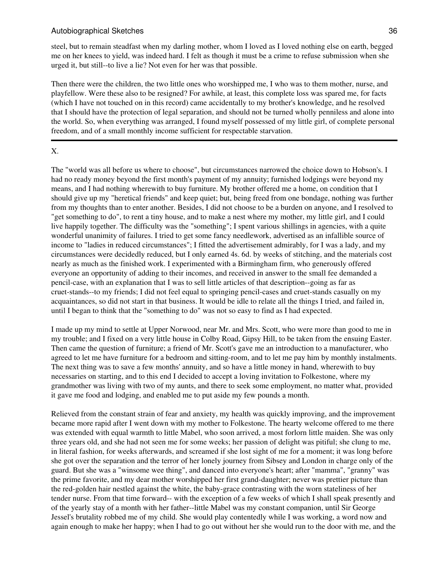steel, but to remain steadfast when my darling mother, whom I loved as I loved nothing else on earth, begged me on her knees to yield, was indeed hard. I felt as though it must be a crime to refuse submission when she urged it, but still--to live a lie? Not even for her was that possible.

Then there were the children, the two little ones who worshipped me, I who was to them mother, nurse, and playfellow. Were these also to be resigned? For awhile, at least, this complete loss was spared me, for facts (which I have not touched on in this record) came accidentally to my brother's knowledge, and he resolved that I should have the protection of legal separation, and should not be turned wholly penniless and alone into the world. So, when everything was arranged, I found myself possessed of my little girl, of complete personal freedom, and of a small monthly income sufficient for respectable starvation.

## X.

The "world was all before us where to choose", but circumstances narrowed the choice down to Hobson's. I had no ready money beyond the first month's payment of my annuity; furnished lodgings were beyond my means, and I had nothing wherewith to buy furniture. My brother offered me a home, on condition that I should give up my "heretical friends" and keep quiet; but, being freed from one bondage, nothing was further from my thoughts than to enter another. Besides, I did not choose to be a burden on anyone, and I resolved to "get something to do", to rent a tiny house, and to make a nest where my mother, my little girl, and I could live happily together. The difficulty was the "something"; I spent various shillings in agencies, with a quite wonderful unanimity of failures. I tried to get some fancy needlework, advertised as an infallible source of income to "ladies in reduced circumstances"; I fitted the advertisement admirably, for I was a lady, and my circumstances were decidedly reduced, but I only earned 4s. 6d. by weeks of stitching, and the materials cost nearly as much as the finished work. I experimented with a Birmingham firm, who generously offered everyone an opportunity of adding to their incomes, and received in answer to the small fee demanded a pencil-case, with an explanation that I was to sell little articles of that description--going as far as cruet-stands--to my friends; I did not feel equal to springing pencil-cases and cruet-stands casually on my acquaintances, so did not start in that business. It would be idle to relate all the things I tried, and failed in, until I began to think that the "something to do" was not so easy to find as I had expected.

I made up my mind to settle at Upper Norwood, near Mr. and Mrs. Scott, who were more than good to me in my trouble; and I fixed on a very little house in Colby Road, Gipsy Hill, to be taken from the ensuing Easter. Then came the question of furniture; a friend of Mr. Scott's gave me an introduction to a manufacturer, who agreed to let me have furniture for a bedroom and sitting-room, and to let me pay him by monthly instalments. The next thing was to save a few months' annuity, and so have a little money in hand, wherewith to buy necessaries on starting, and to this end I decided to accept a loving invitation to Folkestone, where my grandmother was living with two of my aunts, and there to seek some employment, no matter what, provided it gave me food and lodging, and enabled me to put aside my few pounds a month.

Relieved from the constant strain of fear and anxiety, my health was quickly improving, and the improvement became more rapid after I went down with my mother to Folkestone. The hearty welcome offered to me there was extended with equal warmth to little Mabel, who soon arrived, a most forlorn little maiden. She was only three years old, and she had not seen me for some weeks; her passion of delight was pitiful; she clung to me, in literal fashion, for weeks afterwards, and screamed if she lost sight of me for a moment; it was long before she got over the separation and the terror of her lonely journey from Sibsey and London in charge only of the guard. But she was a "winsome wee thing", and danced into everyone's heart; after "mamma", "granny" was the prime favorite, and my dear mother worshipped her first grand-daughter; never was prettier picture than the red-golden hair nestled against the white, the baby-grace contrasting with the worn stateliness of her tender nurse. From that time forward-- with the exception of a few weeks of which I shall speak presently and of the yearly stay of a month with her father--little Mabel was my constant companion, until Sir George Jessel's brutality robbed me of my child. She would play contentedly while I was working, a word now and again enough to make her happy; when I had to go out without her she would run to the door with me, and the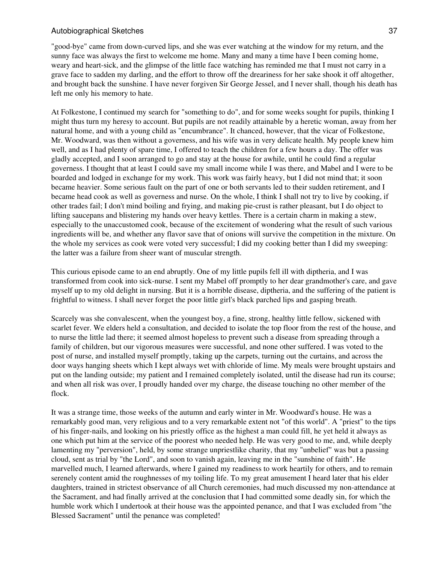"good-bye" came from down-curved lips, and she was ever watching at the window for my return, and the sunny face was always the first to welcome me home. Many and many a time have I been coming home, weary and heart-sick, and the glimpse of the little face watching has reminded me that I must not carry in a grave face to sadden my darling, and the effort to throw off the dreariness for her sake shook it off altogether, and brought back the sunshine. I have never forgiven Sir George Jessel, and I never shall, though his death has left me only his memory to hate.

At Folkestone, I continued my search for "something to do", and for some weeks sought for pupils, thinking I might thus turn my heresy to account. But pupils are not readily attainable by a heretic woman, away from her natural home, and with a young child as "encumbrance". It chanced, however, that the vicar of Folkestone, Mr. Woodward, was then without a governess, and his wife was in very delicate health. My people knew him well, and as I had plenty of spare time, I offered to teach the children for a few hours a day. The offer was gladly accepted, and I soon arranged to go and stay at the house for awhile, until he could find a regular governess. I thought that at least I could save my small income while I was there, and Mabel and I were to be boarded and lodged in exchange for my work. This work was fairly heavy, but I did not mind that; it soon became heavier. Some serious fault on the part of one or both servants led to their sudden retirement, and I became head cook as well as governess and nurse. On the whole, I think I shall not try to live by cooking, if other trades fail; I don't mind boiling and frying, and making pie-crust is rather pleasant, but I do object to lifting saucepans and blistering my hands over heavy kettles. There is a certain charm in making a stew, especially to the unaccustomed cook, because of the excitement of wondering what the result of such various ingredients will be, and whether any flavor save that of onions will survive the competition in the mixture. On the whole my services as cook were voted very successful; I did my cooking better than I did my sweeping: the latter was a failure from sheer want of muscular strength.

This curious episode came to an end abruptly. One of my little pupils fell ill with diptheria, and I was transformed from cook into sick-nurse. I sent my Mabel off promptly to her dear grandmother's care, and gave myself up to my old delight in nursing. But it is a horrible disease, diptheria, and the suffering of the patient is frightful to witness. I shall never forget the poor little girl's black parched lips and gasping breath.

Scarcely was she convalescent, when the youngest boy, a fine, strong, healthy little fellow, sickened with scarlet fever. We elders held a consultation, and decided to isolate the top floor from the rest of the house, and to nurse the little lad there; it seemed almost hopeless to prevent such a disease from spreading through a family of children, but our vigorous measures were successful, and none other suffered. I was voted to the post of nurse, and installed myself promptly, taking up the carpets, turning out the curtains, and across the door ways hanging sheets which I kept always wet with chloride of lime. My meals were brought upstairs and put on the landing outside; my patient and I remained completely isolated, until the disease had run its course; and when all risk was over, I proudly handed over my charge, the disease touching no other member of the flock.

It was a strange time, those weeks of the autumn and early winter in Mr. Woodward's house. He was a remarkably good man, very religious and to a very remarkable extent not "of this world". A "priest" to the tips of his finger-nails, and looking on his priestly office as the highest a man could fill, he yet held it always as one which put him at the service of the poorest who needed help. He was very good to me, and, while deeply lamenting my "perversion", held, by some strange unpriestlike charity, that my "unbelief" was but a passing cloud, sent as trial by "the Lord", and soon to vanish again, leaving me in the "sunshine of faith". He marvelled much, I learned afterwards, where I gained my readiness to work heartily for others, and to remain serenely content amid the roughnesses of my toiling life. To my great amusement I heard later that his elder daughters, trained in strictest observance of all Church ceremonies, had much discussed my non-attendance at the Sacrament, and had finally arrived at the conclusion that I had committed some deadly sin, for which the humble work which I undertook at their house was the appointed penance, and that I was excluded from "the Blessed Sacrament" until the penance was completed!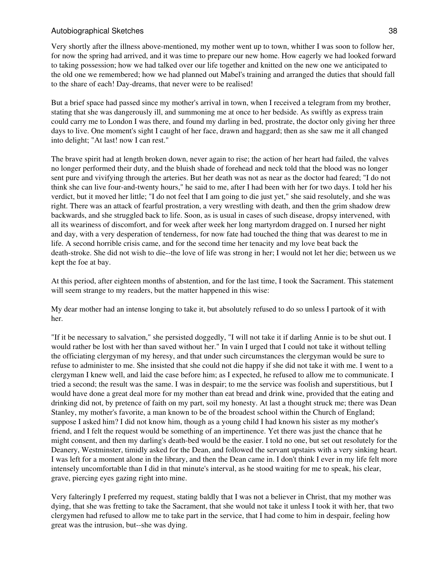Very shortly after the illness above-mentioned, my mother went up to town, whither I was soon to follow her, for now the spring had arrived, and it was time to prepare our new home. How eagerly we had looked forward to taking possession; how we had talked over our life together and knitted on the new one we anticipated to the old one we remembered; how we had planned out Mabel's training and arranged the duties that should fall to the share of each! Day-dreams, that never were to be realised!

But a brief space had passed since my mother's arrival in town, when I received a telegram from my brother, stating that she was dangerously ill, and summoning me at once to her bedside. As swiftly as express train could carry me to London I was there, and found my darling in bed, prostrate, the doctor only giving her three days to live. One moment's sight I caught of her face, drawn and haggard; then as she saw me it all changed into delight; "At last! now I can rest."

The brave spirit had at length broken down, never again to rise; the action of her heart had failed, the valves no longer performed their duty, and the bluish shade of forehead and neck told that the blood was no longer sent pure and vivifying through the arteries. But her death was not as near as the doctor had feared; "I do not think she can live four-and-twenty hours," he said to me, after I had been with her for two days. I told her his verdict, but it moved her little; "I do not feel that I am going to die just yet," she said resolutely, and she was right. There was an attack of fearful prostration, a very wrestling with death, and then the grim shadow drew backwards, and she struggled back to life. Soon, as is usual in cases of such disease, dropsy intervened, with all its weariness of discomfort, and for week after week her long martyrdom dragged on. I nursed her night and day, with a very desperation of tenderness, for now fate had touched the thing that was dearest to me in life. A second horrible crisis came, and for the second time her tenacity and my love beat back the death-stroke. She did not wish to die--the love of life was strong in her; I would not let her die; between us we kept the foe at bay.

At this period, after eighteen months of abstention, and for the last time, I took the Sacrament. This statement will seem strange to my readers, but the matter happened in this wise:

My dear mother had an intense longing to take it, but absolutely refused to do so unless I partook of it with her.

"If it be necessary to salvation," she persisted doggedly, "I will not take it if darling Annie is to be shut out. I would rather be lost with her than saved without her." In vain I urged that I could not take it without telling the officiating clergyman of my heresy, and that under such circumstances the clergyman would be sure to refuse to administer to me. She insisted that she could not die happy if she did not take it with me. I went to a clergyman I knew well, and laid the case before him; as I expected, he refused to allow me to communicate. I tried a second; the result was the same. I was in despair; to me the service was foolish and superstitious, but I would have done a great deal more for my mother than eat bread and drink wine, provided that the eating and drinking did not, by pretence of faith on my part, soil my honesty. At last a thought struck me; there was Dean Stanley, my mother's favorite, a man known to be of the broadest school within the Church of England; suppose I asked him? I did not know him, though as a young child I had known his sister as my mother's friend, and I felt the request would be something of an impertinence. Yet there was just the chance that he might consent, and then my darling's death-bed would be the easier. I told no one, but set out resolutely for the Deanery, Westminster, timidly asked for the Dean, and followed the servant upstairs with a very sinking heart. I was left for a moment alone in the library, and then the Dean came in. I don't think I ever in my life felt more intensely uncomfortable than I did in that minute's interval, as he stood waiting for me to speak, his clear, grave, piercing eyes gazing right into mine.

Very falteringly I preferred my request, stating baldly that I was not a believer in Christ, that my mother was dying, that she was fretting to take the Sacrament, that she would not take it unless I took it with her, that two clergymen had refused to allow me to take part in the service, that I had come to him in despair, feeling how great was the intrusion, but--she was dying.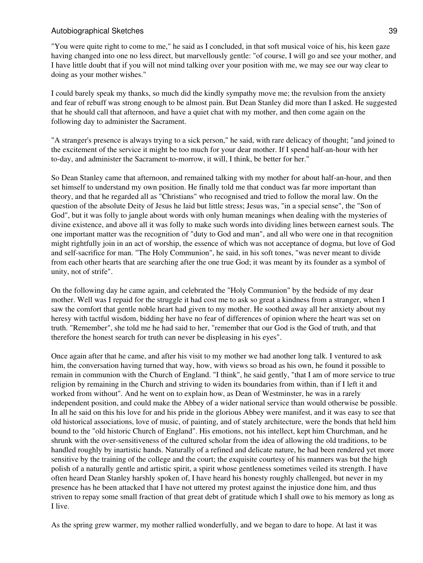"You were quite right to come to me," he said as I concluded, in that soft musical voice of his, his keen gaze having changed into one no less direct, but marvellously gentle: "of course, I will go and see your mother, and I have little doubt that if you will not mind talking over your position with me, we may see our way clear to doing as your mother wishes."

I could barely speak my thanks, so much did the kindly sympathy move me; the revulsion from the anxiety and fear of rebuff was strong enough to be almost pain. But Dean Stanley did more than I asked. He suggested that he should call that afternoon, and have a quiet chat with my mother, and then come again on the following day to administer the Sacrament.

"A stranger's presence is always trying to a sick person," he said, with rare delicacy of thought; "and joined to the excitement of the service it might be too much for your dear mother. If I spend half-an-hour with her to-day, and administer the Sacrament to-morrow, it will, I think, be better for her."

So Dean Stanley came that afternoon, and remained talking with my mother for about half-an-hour, and then set himself to understand my own position. He finally told me that conduct was far more important than theory, and that he regarded all as "Christians" who recognised and tried to follow the moral law. On the question of the absolute Deity of Jesus he laid but little stress; Jesus was, "in a special sense", the "Son of God", but it was folly to jangle about words with only human meanings when dealing with the mysteries of divine existence, and above all it was folly to make such words into dividing lines between earnest souls. The one important matter was the recognition of "duty to God and man", and all who were one in that recognition might rightfully join in an act of worship, the essence of which was not acceptance of dogma, but love of God and self-sacrifice for man. "The Holy Communion", he said, in his soft tones, "was never meant to divide from each other hearts that are searching after the one true God; it was meant by its founder as a symbol of unity, not of strife".

On the following day he came again, and celebrated the "Holy Communion" by the bedside of my dear mother. Well was I repaid for the struggle it had cost me to ask so great a kindness from a stranger, when I saw the comfort that gentle noble heart had given to my mother. He soothed away all her anxiety about my heresy with tactful wisdom, bidding her have no fear of differences of opinion where the heart was set on truth. "Remember", she told me he had said to her, "remember that our God is the God of truth, and that therefore the honest search for truth can never be displeasing in his eyes".

Once again after that he came, and after his visit to my mother we had another long talk. I ventured to ask him, the conversation having turned that way, how, with views so broad as his own, he found it possible to remain in communion with the Church of England. "I think", he said gently, "that I am of more service to true religion by remaining in the Church and striving to widen its boundaries from within, than if I left it and worked from without". And he went on to explain how, as Dean of Westminster, he was in a rarely independent position, and could make the Abbey of a wider national service than would otherwise be possible. In all he said on this his love for and his pride in the glorious Abbey were manifest, and it was easy to see that old historical associations, love of music, of painting, and of stately architecture, were the bonds that held him bound to the "old historic Church of England". His emotions, not his intellect, kept him Churchman, and he shrunk with the over-sensitiveness of the cultured scholar from the idea of allowing the old traditions, to be handled roughly by inartistic hands. Naturally of a refined and delicate nature, he had been rendered yet more sensitive by the training of the college and the court; the exquisite courtesy of his manners was but the high polish of a naturally gentle and artistic spirit, a spirit whose gentleness sometimes veiled its strength. I have often heard Dean Stanley harshly spoken of, I have heard his honesty roughly challenged, but never in my presence has he been attacked that I have not uttered my protest against the injustice done him, and thus striven to repay some small fraction of that great debt of gratitude which I shall owe to his memory as long as I live.

As the spring grew warmer, my mother rallied wonderfully, and we began to dare to hope. At last it was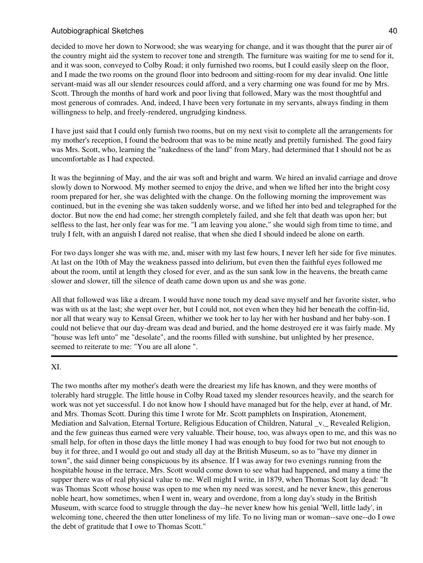decided to move her down to Norwood; she was wearying for change, and it was thought that the purer air of the country might aid the system to recover tone and strength. The furniture was waiting for me to send for it, and it was soon, conveyed to Colby Road; it only furnished two rooms, but I could easily sleep on the floor, and I made the two rooms on the ground floor into bedroom and sitting-room for my dear invalid. One little servant-maid was all our slender resources could afford, and a very charming one was found for me by Mrs. Scott. Through the months of hard work and poor living that followed, Mary was the most thoughtful and most generous of comrades. And, indeed, I have been very fortunate in my servants, always finding in them willingness to help, and freely-rendered, ungrudging kindness.

I have just said that I could only furnish two rooms, but on my next visit to complete all the arrangements for my mother's reception, I found the bedroom that was to be mine neatly and prettily furnished. The good fairy was Mrs. Scott, who, learning the "nakedness of the land" from Mary, had determined that I should not be as uncomfortable as I had expected.

It was the beginning of May, and the air was soft and bright and warm. We hired an invalid carriage and drove slowly down to Norwood. My mother seemed to enjoy the drive, and when we lifted her into the bright cosy room prepared for her, she was delighted with the change. On the following morning the improvement was continued, but in the evening she was taken suddenly worse, and we lifted her into bed and telegraphed for the doctor. But now the end had come; her strength completely failed, and she felt that death was upon her; but selfless to the last, her only fear was for me. "I am leaving you alone," she would sigh from time to time, and truly I felt, with an anguish I dared not realise, that when she died I should indeed be alone on earth.

For two days longer she was with me, and, miser with my last few hours, I never left her side for five minutes. At last on the 10th of May the weakness passed into delirium, but even then the faithful eyes followed me about the room, until at length they closed for ever, and as the sun sank low in the heavens, the breath came slower and slower, till the silence of death came down upon us and she was gone.

All that followed was like a dream. I would have none touch my dead save myself and her favorite sister, who was with us at the last; she wept over her, but I could not, not even when they hid her beneath the coffin-lid, nor all that weary way to Kensal Green, whither we took her to lay her with her husband and her baby-son. I could not believe that our day-dream was dead and buried, and the home destroyed ere it was fairly made. My "house was left unto" me "desolate", and the rooms filled with sunshine, but unlighted by her presence, seemed to reiterate to me: "You are all alone ".

### XI.

The two months after my mother's death were the dreariest my life has known, and they were months of tolerably hard struggle. The little house in Colby Road taxed my slender resources heavily, and the search for work was not yet successful. I do not know how I should have managed but for the help, ever at hand, of Mr. and Mrs. Thomas Scott. During this time I wrote for Mr. Scott pamphlets on Inspiration, Atonement, Mediation and Salvation, Eternal Torture, Religious Education of Children, Natural \_v.\_ Revealed Religion, and the few guineas thus earned were very valuable. Their house, too, was always open to me, and this was no small help, for often in those days the little money I had was enough to buy food for two but not enough to buy it for three, and I would go out and study all day at the British Museum, so as to "have my dinner in town", the said dinner being conspicuous by its absence. If I was away for two evenings running from the hospitable house in the terrace, Mrs. Scott would come down to see what had happened, and many a time the supper there was of real physical value to me. Well might I write, in 1879, when Thomas Scott lay dead: "It was Thomas Scott whose house was open to me when my need was sorest, and he never knew, this generous noble heart, how sometimes, when I went in, weary and overdone, from a long day's study in the British Museum, with scarce food to struggle through the day--he never knew how his genial 'Well, little lady', in welcoming tone, cheered the then utter loneliness of my life. To no living man or woman--save one--do I owe the debt of gratitude that I owe to Thomas Scott."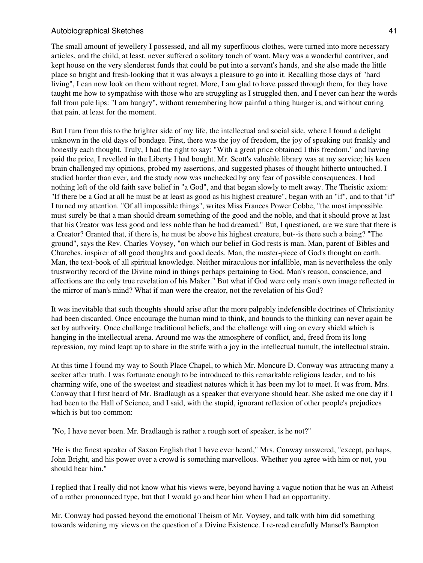The small amount of jewellery I possessed, and all my superfluous clothes, were turned into more necessary articles, and the child, at least, never suffered a solitary touch of want. Mary was a wonderful contriver, and kept house on the very slenderest funds that could be put into a servant's hands, and she also made the little place so bright and fresh-looking that it was always a pleasure to go into it. Recalling those days of "hard living", I can now look on them without regret. More, I am glad to have passed through them, for they have taught me how to sympathise with those who are struggling as I struggled then, and I never can hear the words fall from pale lips: "I am hungry", without remembering how painful a thing hunger is, and without curing that pain, at least for the moment.

But I turn from this to the brighter side of my life, the intellectual and social side, where I found a delight unknown in the old days of bondage. First, there was the joy of freedom, the joy of speaking out frankly and honestly each thought. Truly, I had the right to say: "With a great price obtained I this freedom," and having paid the price, I revelled in the Liberty I had bought. Mr. Scott's valuable library was at my service; his keen brain challenged my opinions, probed my assertions, and suggested phases of thought hitherto untouched. I studied harder than ever, and the study now was unchecked by any fear of possible consequences. I had nothing left of the old faith save belief in "a God", and that began slowly to melt away. The Theistic axiom: "If there be a God at all he must be at least as good as his highest creature", began with an "if", and to that "if" I turned my attention. "Of all impossible things", writes Miss Frances Power Cobbe, "the most impossible must surely be that a man should dream something of the good and the noble, and that it should prove at last that his Creator was less good and less noble than he had dreamed." But, I questioned, are we sure that there is a Creator? Granted that, if there is, he must be above his highest creature, but--is there such a being? "The ground", says the Rev. Charles Voysey, "on which our belief in God rests is man. Man, parent of Bibles and Churches, inspirer of all good thoughts and good deeds. Man, the master-piece of God's thought on earth. Man, the text-book of all spiritual knowledge. Neither miraculous nor infallible, man is nevertheless the only trustworthy record of the Divine mind in things perhaps pertaining to God. Man's reason, conscience, and affections are the only true revelation of his Maker." But what if God were only man's own image reflected in the mirror of man's mind? What if man were the creator, not the revelation of his God?

It was inevitable that such thoughts should arise after the more palpably indefensible doctrines of Christianity had been discarded. Once encourage the human mind to think, and bounds to the thinking can never again be set by authority. Once challenge traditional beliefs, and the challenge will ring on every shield which is hanging in the intellectual arena. Around me was the atmosphere of conflict, and, freed from its long repression, my mind leapt up to share in the strife with a joy in the intellectual tumult, the intellectual strain.

At this time I found my way to South Place Chapel, to which Mr. Moncure D. Conway was attracting many a seeker after truth. I was fortunate enough to be introduced to this remarkable religious leader, and to his charming wife, one of the sweetest and steadiest natures which it has been my lot to meet. It was from. Mrs. Conway that I first heard of Mr. Bradlaugh as a speaker that everyone should hear. She asked me one day if I had been to the Hall of Science, and I said, with the stupid, ignorant reflexion of other people's prejudices which is but too common:

"No, I have never been. Mr. Bradlaugh is rather a rough sort of speaker, is he not?"

"He is the finest speaker of Saxon English that I have ever heard," Mrs. Conway answered, "except, perhaps, John Bright, and his power over a crowd is something marvellous. Whether you agree with him or not, you should hear him."

I replied that I really did not know what his views were, beyond having a vague notion that he was an Atheist of a rather pronounced type, but that I would go and hear him when I had an opportunity.

Mr. Conway had passed beyond the emotional Theism of Mr. Voysey, and talk with him did something towards widening my views on the question of a Divine Existence. I re-read carefully Mansel's Bampton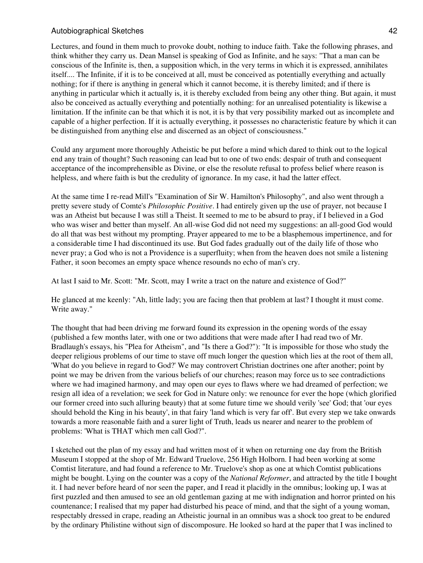Lectures, and found in them much to provoke doubt, nothing to induce faith. Take the following phrases, and think whither they carry us. Dean Mansel is speaking of God as Infinite, and he says: "That a man can be conscious of the Infinite is, then, a supposition which, in the very terms in which it is expressed, annihilates itself.... The Infinite, if it is to be conceived at all, must be conceived as potentially everything and actually nothing; for if there is anything in general which it cannot become, it is thereby limited; and if there is anything in particular which it actually is, it is thereby excluded from being any other thing. But again, it must also be conceived as actually everything and potentially nothing: for an unrealised potentiality is likewise a limitation. If the infinite can be that which it is not, it is by that very possibility marked out as incomplete and capable of a higher perfection. If it is actually everything, it possesses no characteristic feature by which it can be distinguished from anything else and discerned as an object of consciousness."

Could any argument more thoroughly Atheistic be put before a mind which dared to think out to the logical end any train of thought? Such reasoning can lead but to one of two ends: despair of truth and consequent acceptance of the incomprehensible as Divine, or else the resolute refusal to profess belief where reason is helpless, and where faith is but the credulity of ignorance. In my case, it had the latter effect.

At the same time I re-read Mill's "Examination of Sir W. Hamilton's Philosophy", and also went through a pretty severe study of Comte's *Philosophic Positive*. I had entirely given up the use of prayer, not because I was an Atheist but because I was still a Theist. It seemed to me to be absurd to pray, if I believed in a God who was wiser and better than myself. An all-wise God did not need my suggestions: an all-good God would do all that was best without my prompting. Prayer appeared to me to be a blasphemous impertinence, and for a considerable time I had discontinued its use. But God fades gradually out of the daily life of those who never pray; a God who is not a Providence is a superfluity; when from the heaven does not smile a listening Father, it soon becomes an empty space whence resounds no echo of man's cry.

At last I said to Mr. Scott: "Mr. Scott, may I write a tract on the nature and existence of God?"

He glanced at me keenly: "Ah, little lady; you are facing then that problem at last? I thought it must come. Write away."

The thought that had been driving me forward found its expression in the opening words of the essay (published a few months later, with one or two additions that were made after I had read two of Mr. Bradlaugh's essays, his "Plea for Atheism", and "Is there a God?"): "It is impossible for those who study the deeper religious problems of our time to stave off much longer the question which lies at the root of them all, 'What do you believe in regard to God?' We may controvert Christian doctrines one after another; point by point we may be driven from the various beliefs of our churches; reason may force us to see contradictions where we had imagined harmony, and may open our eyes to flaws where we had dreamed of perfection; we resign all idea of a revelation; we seek for God in Nature only: we renounce for ever the hope (which glorified our former creed into such alluring beauty) that at some future time we should verily 'see' God; that 'our eyes should behold the King in his beauty', in that fairy 'land which is very far off'. But every step we take onwards towards a more reasonable faith and a surer light of Truth, leads us nearer and nearer to the problem of problems: 'What is THAT which men call God?".

I sketched out the plan of my essay and had written most of it when on returning one day from the British Museum I stopped at the shop of Mr. Edward Truelove, 256 High Holborn. I had been working at some Comtist literature, and had found a reference to Mr. Truelove's shop as one at which Comtist publications might be bought. Lying on the counter was a copy of the *National Reformer*, and attracted by the title I bought it. I had never before heard of nor seen the paper, and I read it placidly in the omnibus; looking up, I was at first puzzled and then amused to see an old gentleman gazing at me with indignation and horror printed on his countenance; I realised that my paper had disturbed his peace of mind, and that the sight of a young woman, respectably dressed in crape, reading an Atheistic journal in an omnibus was a shock too great to be endured by the ordinary Philistine without sign of discomposure. He looked so hard at the paper that I was inclined to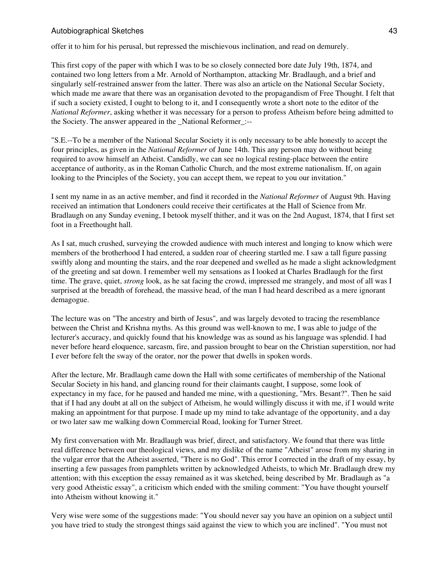offer it to him for his perusal, but repressed the mischievous inclination, and read on demurely.

This first copy of the paper with which I was to be so closely connected bore date July 19th, 1874, and contained two long letters from a Mr. Arnold of Northampton, attacking Mr. Bradlaugh, and a brief and singularly self-restrained answer from the latter. There was also an article on the National Secular Society, which made me aware that there was an organisation devoted to the propagandism of Free Thought. I felt that if such a society existed, I ought to belong to it, and I consequently wrote a short note to the editor of the *National Reformer*, asking whether it was necessary for a person to profess Atheism before being admitted to the Society. The answer appeared in the National Reformer :--

"S.E.--To be a member of the National Secular Society it is only necessary to be able honestly to accept the four principles, as given in the *National Reformer* of June 14th. This any person may do without being required to avow himself an Atheist. Candidly, we can see no logical resting-place between the entire acceptance of authority, as in the Roman Catholic Church, and the most extreme nationalism. If, on again looking to the Principles of the Society, you can accept them, we repeat to you our invitation."

I sent my name in as an active member, and find it recorded in the *National Reformer* of August 9th. Having received an intimation that Londoners could receive their certificates at the Hall of Science from Mr. Bradlaugh on any Sunday evening, I betook myself thither, and it was on the 2nd August, 1874, that I first set foot in a Freethought hall.

As I sat, much crushed, surveying the crowded audience with much interest and longing to know which were members of the brotherhood I had entered, a sudden roar of cheering startled me. I saw a tall figure passing swiftly along and mounting the stairs, and the roar deepened and swelled as he made a slight acknowledgment of the greeting and sat down. I remember well my sensations as I looked at Charles Bradlaugh for the first time. The grave, quiet, *strong* look, as he sat facing the crowd, impressed me strangely, and most of all was I surprised at the breadth of forehead, the massive head, of the man I had heard described as a mere ignorant demagogue.

The lecture was on "The ancestry and birth of Jesus", and was largely devoted to tracing the resemblance between the Christ and Krishna myths. As this ground was well-known to me, I was able to judge of the lecturer's accuracy, and quickly found that his knowledge was as sound as his language was splendid. I had never before heard eloquence, sarcasm, fire, and passion brought to bear on the Christian superstition, nor had I ever before felt the sway of the orator, nor the power that dwells in spoken words.

After the lecture, Mr. Bradlaugh came down the Hall with some certificates of membership of the National Secular Society in his hand, and glancing round for their claimants caught, I suppose, some look of expectancy in my face, for he paused and handed me mine, with a questioning, "Mrs. Besant?". Then he said that if I had any doubt at all on the subject of Atheism, he would willingly discuss it with me, if I would write making an appointment for that purpose. I made up my mind to take advantage of the opportunity, and a day or two later saw me walking down Commercial Road, looking for Turner Street.

My first conversation with Mr. Bradlaugh was brief, direct, and satisfactory. We found that there was little real difference between our theological views, and my dislike of the name "Atheist" arose from my sharing in the vulgar error that the Atheist asserted, "There is no God". This error I corrected in the draft of my essay, by inserting a few passages from pamphlets written by acknowledged Atheists, to which Mr. Bradlaugh drew my attention; with this exception the essay remained as it was sketched, being described by Mr. Bradlaugh as "a very good Atheistic essay", a criticism which ended with the smiling comment: "You have thought yourself into Atheism without knowing it."

Very wise were some of the suggestions made: "You should never say you have an opinion on a subject until you have tried to study the strongest things said against the view to which you are inclined". "You must not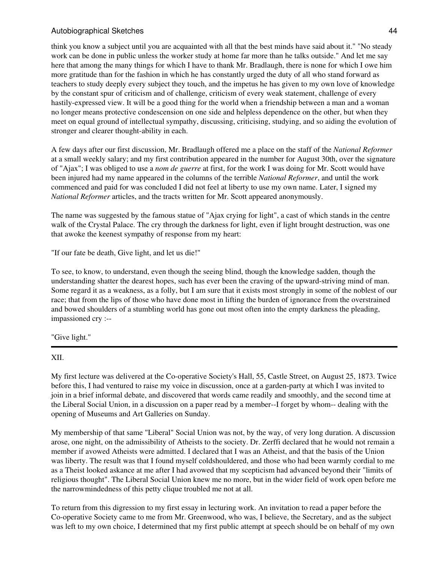# Autobiographical Sketches **44** and 2008 and 2008 and 2008 and 2008 and 2008 and 2008 and 2008 and 2008 and 2008 and 2008 and 2008 and 2008 and 2008 and 2008 and 2008 and 2008 and 2008 and 2008 and 2008 and 2008 and 2008 an

think you know a subject until you are acquainted with all that the best minds have said about it." "No steady work can be done in public unless the worker study at home far more than he talks outside." And let me say here that among the many things for which I have to thank Mr. Bradlaugh, there is none for which I owe him more gratitude than for the fashion in which he has constantly urged the duty of all who stand forward as teachers to study deeply every subject they touch, and the impetus he has given to my own love of knowledge by the constant spur of criticism and of challenge, criticism of every weak statement, challenge of every hastily-expressed view. It will be a good thing for the world when a friendship between a man and a woman no longer means protective condescension on one side and helpless dependence on the other, but when they meet on equal ground of intellectual sympathy, discussing, criticising, studying, and so aiding the evolution of stronger and clearer thought-ability in each.

A few days after our first discussion, Mr. Bradlaugh offered me a place on the staff of the *National Reformer* at a small weekly salary; and my first contribution appeared in the number for August 30th, over the signature of "Ajax"; I was obliged to use a *nom de guerre* at first, for the work I was doing for Mr. Scott would have been injured had my name appeared in the columns of the terrible *National Reformer*, and until the work commenced and paid for was concluded I did not feel at liberty to use my own name. Later, I signed my *National Reformer* articles, and the tracts written for Mr. Scott appeared anonymously.

The name was suggested by the famous statue of "Ajax crying for light", a cast of which stands in the centre walk of the Crystal Palace. The cry through the darkness for light, even if light brought destruction, was one that awoke the keenest sympathy of response from my heart:

"If our fate be death, Give light, and let us die!"

To see, to know, to understand, even though the seeing blind, though the knowledge sadden, though the understanding shatter the dearest hopes, such has ever been the craving of the upward-striving mind of man. Some regard it as a weakness, as a folly, but I am sure that it exists most strongly in some of the noblest of our race; that from the lips of those who have done most in lifting the burden of ignorance from the overstrained and bowed shoulders of a stumbling world has gone out most often into the empty darkness the pleading, impassioned cry :--

"Give light."

XII.

My first lecture was delivered at the Co-operative Society's Hall, 55, Castle Street, on August 25, 1873. Twice before this, I had ventured to raise my voice in discussion, once at a garden-party at which I was invited to join in a brief informal debate, and discovered that words came readily and smoothly, and the second time at the Liberal Social Union, in a discussion on a paper read by a member--I forget by whom-- dealing with the opening of Museums and Art Galleries on Sunday.

My membership of that same "Liberal" Social Union was not, by the way, of very long duration. A discussion arose, one night, on the admissibility of Atheists to the society. Dr. Zerffi declared that he would not remain a member if avowed Atheists were admitted. I declared that I was an Atheist, and that the basis of the Union was liberty. The result was that I found myself coldshouldered, and those who had been warmly cordial to me as a Theist looked askance at me after I had avowed that my scepticism had advanced beyond their "limits of religious thought". The Liberal Social Union knew me no more, but in the wider field of work open before me the narrowmindedness of this petty clique troubled me not at all.

To return from this digression to my first essay in lecturing work. An invitation to read a paper before the Co-operative Society came to me from Mr. Greenwood, who was, I believe, the Secretary, and as the subject was left to my own choice, I determined that my first public attempt at speech should be on behalf of my own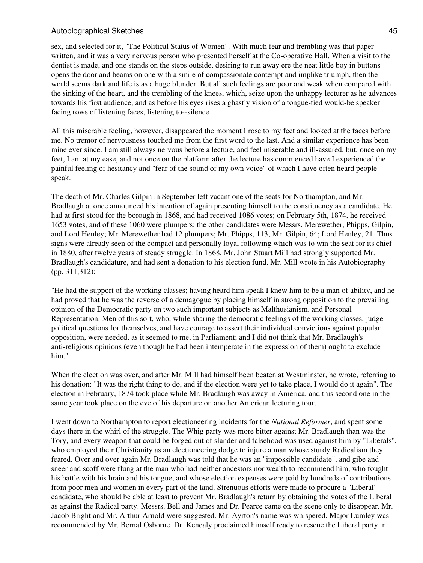sex, and selected for it, "The Political Status of Women". With much fear and trembling was that paper written, and it was a very nervous person who presented herself at the Co-operative Hall. When a visit to the dentist is made, and one stands on the steps outside, desiring to run away ere the neat little boy in buttons opens the door and beams on one with a smile of compassionate contempt and implike triumph, then the world seems dark and life is as a huge blunder. But all such feelings are poor and weak when compared with the sinking of the heart, and the trembling of the knees, which, seize upon the unhappy lecturer as he advances towards his first audience, and as before his eyes rises a ghastly vision of a tongue-tied would-be speaker facing rows of listening faces, listening to--silence.

All this miserable feeling, however, disappeared the moment I rose to my feet and looked at the faces before me. No tremor of nervousness touched me from the first word to the last. And a similar experience has been mine ever since. I am still always nervous before a lecture, and feel miserable and ill-assured, but, once on my feet, I am at my ease, and not once on the platform after the lecture has commenced have I experienced the painful feeling of hesitancy and "fear of the sound of my own voice" of which I have often heard people speak.

The death of Mr. Charles Gilpin in September left vacant one of the seats for Northampton, and Mr. Bradlaugh at once announced his intention of again presenting himself to the constituency as a candidate. He had at first stood for the borough in 1868, and had received 1086 votes; on February 5th, 1874, he received 1653 votes, and of these 1060 were plumpers; the other candidates were Messrs. Merewether, Phipps, Gilpin, and Lord Henley; Mr. Merewether had 12 plumpers; Mr. Phipps, 113; Mr. Gilpin, 64; Lord Henley, 21. Thus signs were already seen of the compact and personally loyal following which was to win the seat for its chief in 1880, after twelve years of steady struggle. In 1868, Mr. John Stuart Mill had strongly supported Mr. Bradlaugh's candidature, and had sent a donation to his election fund. Mr. Mill wrote in his Autobiography (pp. 311,312):

"He had the support of the working classes; having heard him speak I knew him to be a man of ability, and he had proved that he was the reverse of a demagogue by placing himself in strong opposition to the prevailing opinion of the Democratic party on two such important subjects as Malthusianism. and Personal Representation. Men of this sort, who, while sharing the democratic feelings of the working classes, judge political questions for themselves, and have courage to assert their individual convictions against popular opposition, were needed, as it seemed to me, in Parliament; and I did not think that Mr. Bradlaugh's anti-religious opinions (even though he had been intemperate in the expression of them) ought to exclude him."

When the election was over, and after Mr. Mill had himself been beaten at Westminster, he wrote, referring to his donation: "It was the right thing to do, and if the election were yet to take place, I would do it again". The election in February, 1874 took place while Mr. Bradlaugh was away in America, and this second one in the same year took place on the eve of his departure on another American lecturing tour.

I went down to Northampton to report electioneering incidents for the *National Reformer*, and spent some days there in the whirl of the struggle. The Whig party was more bitter against Mr. Bradlaugh than was the Tory, and every weapon that could be forged out of slander and falsehood was used against him by "Liberals", who employed their Christianity as an electioneering dodge to injure a man whose sturdy Radicalism they feared. Over and over again Mr. Bradlaugh was told that he was an "impossible candidate", and gibe and sneer and scoff were flung at the man who had neither ancestors nor wealth to recommend him, who fought his battle with his brain and his tongue, and whose election expenses were paid by hundreds of contributions from poor men and women in every part of the land. Strenuous efforts were made to procure a "Liberal" candidate, who should be able at least to prevent Mr. Bradlaugh's return by obtaining the votes of the Liberal as against the Radical party. Messrs. Bell and James and Dr. Pearce came on the scene only to disappear. Mr. Jacob Bright and Mr. Arthur Arnold were suggested. Mr. Ayrton's name was whispered. Major Lumley was recommended by Mr. Bernal Osborne. Dr. Kenealy proclaimed himself ready to rescue the Liberal party in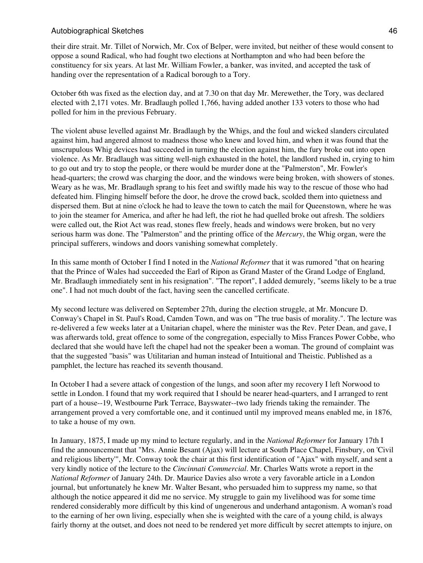their dire strait. Mr. Tillet of Norwich, Mr. Cox of Belper, were invited, but neither of these would consent to oppose a sound Radical, who had fought two elections at Northampton and who had been before the constituency for six years. At last Mr. William Fowler, a banker, was invited, and accepted the task of handing over the representation of a Radical borough to a Tory.

October 6th was fixed as the election day, and at 7.30 on that day Mr. Merewether, the Tory, was declared elected with 2,171 votes. Mr. Bradlaugh polled 1,766, having added another 133 voters to those who had polled for him in the previous February.

The violent abuse levelled against Mr. Bradlaugh by the Whigs, and the foul and wicked slanders circulated against him, had angered almost to madness those who knew and loved him, and when it was found that the unscrupulous Whig devices had succeeded in turning the election against him, the fury broke out into open violence. As Mr. Bradlaugh was sitting well-nigh exhausted in the hotel, the landlord rushed in, crying to him to go out and try to stop the people, or there would be murder done at the "Palmerston", Mr. Fowler's head-quarters; the crowd was charging the door, and the windows were being broken, with showers of stones. Weary as he was, Mr. Bradlaugh sprang to his feet and swiftly made his way to the rescue of those who had defeated him. Flinging himself before the door, he drove the crowd back, scolded them into quietness and dispersed them. But at nine o'clock he had to leave the town to catch the mail for Queenstown, where he was to join the steamer for America, and after he had left, the riot he had quelled broke out afresh. The soldiers were called out, the Riot Act was read, stones flew freely, heads and windows were broken, but no very serious harm was done. The "Palmerston" and the printing office of the *Mercury*, the Whig organ, were the principal sufferers, windows and doors vanishing somewhat completely.

In this same month of October I find I noted in the *National Reformer* that it was rumored "that on hearing that the Prince of Wales had succeeded the Earl of Ripon as Grand Master of the Grand Lodge of England, Mr. Bradlaugh immediately sent in his resignation". "The report", I added demurely, "seems likely to be a true one". I had not much doubt of the fact, having seen the cancelled certificate.

My second lecture was delivered on September 27th, during the election struggle, at Mr. Moncure D. Conway's Chapel in St. Paul's Road, Camden Town, and was on "The true basis of morality.". The lecture was re-delivered a few weeks later at a Unitarian chapel, where the minister was the Rev. Peter Dean, and gave, I was afterwards told, great offence to some of the congregation, especially to Miss Frances Power Cobbe, who declared that she would have left the chapel had not the speaker been a woman. The ground of complaint was that the suggested "basis" was Utilitarian and human instead of Intuitional and Theistic. Published as a pamphlet, the lecture has reached its seventh thousand.

In October I had a severe attack of congestion of the lungs, and soon after my recovery I left Norwood to settle in London. I found that my work required that I should be nearer head-quarters, and I arranged to rent part of a house--19, Westbourne Park Terrace, Bayswater--two lady friends taking the remainder. The arrangement proved a very comfortable one, and it continued until my improved means enabled me, in 1876, to take a house of my own.

In January, 1875, I made up my mind to lecture regularly, and in the *National Reformer* for January 17th I find the announcement that "Mrs. Annie Besant (Ajax) will lecture at South Place Chapel, Finsbury, on 'Civil and religious liberty'", Mr. Conway took the chair at this first identification of "Ajax" with myself, and sent a very kindly notice of the lecture to the *Cincinnati Commercial*. Mr. Charles Watts wrote a report in the *National Reformer* of January 24th. Dr. Maurice Davies also wrote a very favorable article in a London journal, but unfortunately he knew Mr. Walter Besant, who persuaded him to suppress my name, so that although the notice appeared it did me no service. My struggle to gain my livelihood was for some time rendered considerably more difficult by this kind of ungenerous and underhand antagonism. A woman's road to the earning of her own living, especially when she is weighted with the care of a young child, is always fairly thorny at the outset, and does not need to be rendered yet more difficult by secret attempts to injure, on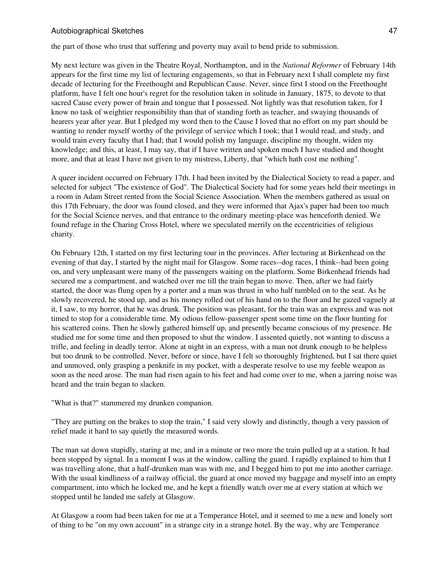the part of those who trust that suffering and poverty may avail to bend pride to submission.

My next lecture was given in the Theatre Royal, Northampton, and in the *National Reformer* of February 14th appears for the first time my list of lecturing engagements, so that in February next I shall complete my first decade of lecturing for the Freethought and Republican Cause. Never, since first I stood on the Freethought platform, have I felt one hour's regret for the resolution taken in solitude in January, 1875, to devote to that sacred Cause every power of brain and tongue that I possessed. Not lightly was that resolution taken, for I know no task of weightier responsibility than that of standing forth as teacher, and swaying thousands of hearers year after year. But I pledged my word then to the Cause I loved that no effort on my part should be wanting to render myself worthy of the privilege of service which I took; that I would read, and study, and would train every faculty that I had; that I would polish my language, discipline my thought, widen my knowledge; and this, at least, I may say, that if I have written and spoken much I have studied and thought more, and that at least I have not given to my mistress, Liberty, that "which hath cost me nothing".

A queer incident occurred on February 17th. I had been invited by the Dialectical Society to read a paper, and selected for subject "The existence of God". The Dialectical Society had for some years held their meetings in a room in Adam Street rented from the Social Science Association. When the members gathered as usual on this 17th February, the door was found closed, and they were informed that Ajax's paper had been too much for the Social Science nerves, and that entrance to the ordinary meeting-place was henceforth denied. We found refuge in the Charing Cross Hotel, where we speculated merrily on the eccentricities of religious charity.

On February 12th, I started on my first lecturing tour in the provinces. After lecturing at Birkenhead on the evening of that day, I started by the night mail for Glasgow. Some races--dog races, I think--had been going on, and very unpleasant were many of the passengers waiting on the platform. Some Birkenhead friends had secured me a compartment, and watched over me till the train began to move. Then, after we had fairly started, the door was flung open by a porter and a man was thrust in who half tumbled on to the seat. As he slowly recovered, he stood up, and as his money rolled out of his hand on to the floor and he gazed vaguely at it, I saw, to my horror, that he was drunk. The position was pleasant, for the train was an express and was not timed to stop for a considerable time. My odious fellow-passenger spent some time on the floor hunting for his scattered coins. Then he slowly gathered himself up, and presently became conscious of my presence. He studied me for some time and then proposed to shut the window. I assented quietly, not wanting to discuss a trifle, and feeling in deadly terror. Alone at night in an express, with a man not drunk enough to be helpless but too drunk to be controlled. Never, before or since, have I felt so thoroughly frightened, but I sat there quiet and unmoved, only grasping a penknife in my pocket, with a desperate resolve to use my feeble weapon as soon as the need arose. The man had risen again to his feet and had come over to me, when a jarring noise was heard and the train began to slacken.

"What is that?" stammered my drunken companion.

"They are putting on the brakes to stop the train," I said very slowly and distinctly, though a very passion of relief made it hard to say quietly the measured words.

The man sat down stupidly, staring at me, and in a minute or two more the train pulled up at a station. It had been stopped by signal. In a moment I was at the window, calling the guard. I rapidly explained to him that I was travelling alone, that a half-drunken man was with me, and I begged him to put me into another carriage. With the usual kindliness of a railway official, the guard at once moved my baggage and myself into an empty compartment, into which he locked me, and he kept a friendly watch over me at every station at which we stopped until he landed me safely at Glasgow.

At Glasgow a room had been taken for me at a Temperance Hotel, and it seemed to me a new and lonely sort of thing to be "on my own account" in a strange city in a strange hotel. By the way, why are Temperance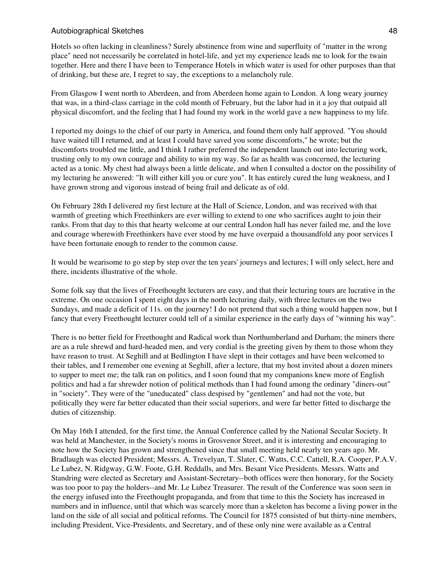Hotels so often lacking in cleanliness? Surely abstinence from wine and superfluity of "matter in the wrong place" need not necessarily be correlated in hotel-life, and yet my experience leads me to look for the twain together. Here and there I have been to Temperance Hotels in which water is used for other purposes than that of drinking, but these are, I regret to say, the exceptions to a melancholy rule.

From Glasgow I went north to Aberdeen, and from Aberdeen home again to London. A long weary journey that was, in a third-class carriage in the cold month of February, but the labor had in it a joy that outpaid all physical discomfort, and the feeling that I had found my work in the world gave a new happiness to my life.

I reported my doings to the chief of our party in America, and found them only half approved. "You should have waited till I returned, and at least I could have saved you some discomforts," he wrote; but the discomforts troubled me little, and I think I rather preferred the independent launch out into lecturing work, trusting only to my own courage and ability to win my way. So far as health was concerned, the lecturing acted as a tonic. My chest had always been a little delicate, and when I consulted a doctor on the possibility of my lecturing he answered: "It will either kill you or cure you". It has entirely cured the lung weakness, and I have grown strong and vigorous instead of being frail and delicate as of old.

On February 28th I delivered my first lecture at the Hall of Science, London, and was received with that warmth of greeting which Freethinkers are ever willing to extend to one who sacrifices aught to join their ranks. From that day to this that hearty welcome at our central London hall has never failed me, and the love and courage wherewith Freethinkers have ever stood by me have overpaid a thousandfold any poor services I have been fortunate enough to render to the common cause.

It would be wearisome to go step by step over the ten years' journeys and lectures; I will only select, here and there, incidents illustrative of the whole.

Some folk say that the lives of Freethought lecturers are easy, and that their lecturing tours are lucrative in the extreme. On one occasion I spent eight days in the north lecturing daily, with three lectures on the two Sundays, and made a deficit of 11s. on the journey! I do not pretend that such a thing would happen now, but I fancy that every Freethought lecturer could tell of a similar experience in the early days of "winning his way".

There is no better field for Freethought and Radical work than Northumberland and Durham; the miners there are as a rule shrewd and hard-headed men, and very cordial is the greeting given by them to those whom they have reason to trust. At Seghill and at Bedlington I have slept in their cottages and have been welcomed to their tables, and I remember one evening at Seghill, after a lecture, that my host invited about a dozen miners to supper to meet me; the talk ran on politics, and I soon found that my companions knew more of English politics and had a far shrewder notion of political methods than I had found among the ordinary "diners-out" in "society". They were of the "uneducated" class despised by "gentlemen" and had not the vote, but politically they were far better educated than their social superiors, and were far better fitted to discharge the duties of citizenship.

On May 16th I attended, for the first time, the Annual Conference called by the National Secular Society. It was held at Manchester, in the Society's rooms in Grosvenor Street, and it is interesting and encouraging to note how the Society has grown and strengthened since that small meeting held nearly ten years ago. Mr. Bradlaugh was elected President; Messrs. A. Trevelyan, T. Slater, C. Watts, C.C. Cattell, R.A. Cooper, P.A.V. Le Lubez, N. Ridgway, G.W. Foote, G.H. Reddalls, and Mrs. Besant Vice Presidents. Messrs. Watts and Standring were elected as Secretary and Assistant-Secretary--both offices were then honorary, for the Society was too poor to pay the holders--and Mr. Le Lubez Treasurer. The result of the Conference was soon seen in the energy infused into the Freethought propaganda, and from that time to this the Society has increased in numbers and in influence, until that which was scarcely more than a skeleton has become a living power in the land on the side of all social and political reforms. The Council for 1875 consisted of but thirty-nine members, including President, Vice-Presidents, and Secretary, and of these only nine were available as a Central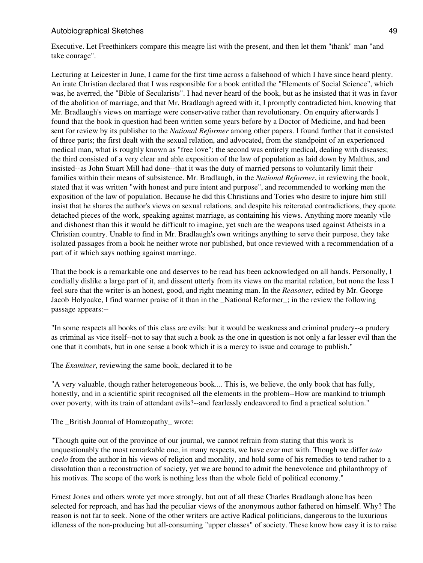Executive. Let Freethinkers compare this meagre list with the present, and then let them "thank" man "and take courage".

Lecturing at Leicester in June, I came for the first time across a falsehood of which I have since heard plenty. An irate Christian declared that I was responsible for a book entitled the "Elements of Social Science", which was, he averred, the "Bible of Secularists". I had never heard of the book, but as he insisted that it was in favor of the abolition of marriage, and that Mr. Bradlaugh agreed with it, I promptly contradicted him, knowing that Mr. Bradlaugh's views on marriage were conservative rather than revolutionary. On enquiry afterwards I found that the book in question had been written some years before by a Doctor of Medicine, and had been sent for review by its publisher to the *National Reformer* among other papers. I found further that it consisted of three parts; the first dealt with the sexual relation, and advocated, from the standpoint of an experienced medical man, what is roughly known as "free love"; the second was entirely medical, dealing with diseases; the third consisted of a very clear and able exposition of the law of population as laid down by Malthus, and insisted--as John Stuart Mill had done--that it was the duty of married persons to voluntarily limit their families within their means of subsistence. Mr. Bradlaugh, in the *National Reformer*, in reviewing the book, stated that it was written "with honest and pure intent and purpose", and recommended to working men the exposition of the law of population. Because he did this Christians and Tories who desire to injure him still insist that he shares the author's views on sexual relations, and despite his reiterated contradictions, they quote detached pieces of the work, speaking against marriage, as containing his views. Anything more meanly vile and dishonest than this it would be difficult to imagine, yet such are the weapons used against Atheists in a Christian country. Unable to find in Mr. Bradlaugh's own writings anything to serve their purpose, they take isolated passages from a book he neither wrote nor published, but once reviewed with a recommendation of a part of it which says nothing against marriage.

That the book is a remarkable one and deserves to be read has been acknowledged on all hands. Personally, I cordially dislike a large part of it, and dissent utterly from its views on the marital relation, but none the less I feel sure that the writer is an honest, good, and right meaning man. In the *Reasoner*, edited by Mr. George Jacob Holyoake, I find warmer praise of it than in the \_National Reformer\_; in the review the following passage appears:--

"In some respects all books of this class are evils: but it would be weakness and criminal prudery--a prudery as criminal as vice itself--not to say that such a book as the one in question is not only a far lesser evil than the one that it combats, but in one sense a book which it is a mercy to issue and courage to publish."

The *Examiner*, reviewing the same book, declared it to be

"A very valuable, though rather heterogeneous book.... This is, we believe, the only book that has fully, honestly, and in a scientific spirit recognised all the elements in the problem--How are mankind to triumph over poverty, with its train of attendant evils?--and fearlessly endeavored to find a practical solution."

The \_British Journal of Homæopathy\_ wrote:

"Though quite out of the province of our journal, we cannot refrain from stating that this work is unquestionably the most remarkable one, in many respects, we have ever met with. Though we differ *toto coelo* from the author in his views of religion and morality, and hold some of his remedies to tend rather to a dissolution than a reconstruction of society, yet we are bound to admit the benevolence and philanthropy of his motives. The scope of the work is nothing less than the whole field of political economy."

Ernest Jones and others wrote yet more strongly, but out of all these Charles Bradlaugh alone has been selected for reproach, and has had the peculiar views of the anonymous author fathered on himself. Why? The reason is not far to seek. None of the other writers are active Radical politicians, dangerous to the luxurious idleness of the non-producing but all-consuming "upper classes" of society. These know how easy it is to raise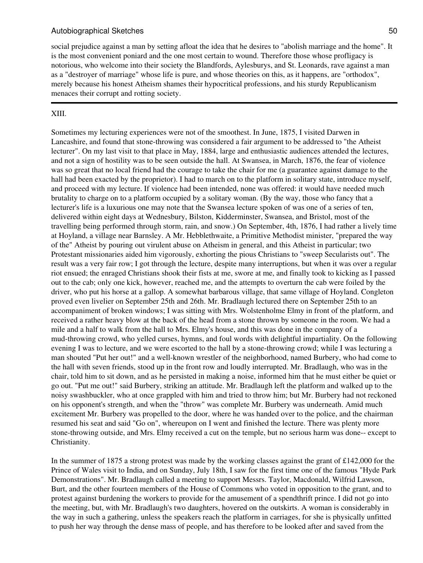social prejudice against a man by setting afloat the idea that he desires to "abolish marriage and the home". It is the most convenient poniard and the one most certain to wound. Therefore those whose profligacy is notorious, who welcome into their society the Blandfords, Aylesburys, and St. Leonards, rave against a man as a "destroyer of marriage" whose life is pure, and whose theories on this, as it happens, are "orthodox", merely because his honest Atheism shames their hypocritical professions, and his sturdy Republicanism menaces their corrupt and rotting society.

#### XIII.

Sometimes my lecturing experiences were not of the smoothest. In June, 1875, I visited Darwen in Lancashire, and found that stone-throwing was considered a fair argument to be addressed to "the Atheist lecturer". On my last visit to that place in May, 1884, large and enthusiastic audiences attended the lectures, and not a sign of hostility was to be seen outside the hall. At Swansea, in March, 1876, the fear of violence was so great that no local friend had the courage to take the chair for me (a guarantee against damage to the hall had been exacted by the proprietor). I had to march on to the platform in solitary state, introduce myself, and proceed with my lecture. If violence had been intended, none was offered: it would have needed much brutality to charge on to a platform occupied by a solitary woman. (By the way, those who fancy that a lecturer's life is a luxurious one may note that the Swansea lecture spoken of was one of a series of ten, delivered within eight days at Wednesbury, Bilston, Kidderminster, Swansea, and Bristol, most of the travelling being performed through storm, rain, and snow.) On September, 4th, 1876, I had rather a lively time at Hoyland, a village near Barnsley. A Mr. Hebblethwaite, a Primitive Methodist minister, "prepared the way of the" Atheist by pouring out virulent abuse on Atheism in general, and this Atheist in particular; two Protestant missionaries aided him vigorously, exhorting the pious Christians to "sweep Secularists out". The result was a very fair row; I got through the lecture, despite many interruptions, but when it was over a regular riot ensued; the enraged Christians shook their fists at me, swore at me, and finally took to kicking as I passed out to the cab; only one kick, however, reached me, and the attempts to overturn the cab were foiled by the driver, who put his horse at a gallop. A somewhat barbarous village, that same village of Hoyland. Congleton proved even livelier on September 25th and 26th. Mr. Bradlaugh lectured there on September 25th to an accompaniment of broken windows; I was sitting with Mrs. Wolstenholme Elmy in front of the platform, and received a rather heavy blow at the back of the head from a stone thrown by someone in the room. We had a mile and a half to walk from the hall to Mrs. Elmy's house, and this was done in the company of a mud-throwing crowd, who yelled curses, hymns, and foul words with delightful impartiality. On the following evening I was to lecture, and we were escorted to the hall by a stone-throwing crowd; while I was lecturing a man shouted "Put her out!" and a well-known wrestler of the neighborhood, named Burbery, who had come to the hall with seven friends, stood up in the front row and loudly interrupted. Mr. Bradlaugh, who was in the chair, told him to sit down, and as he persisted in making a noise, informed him that he must either be quiet or go out. "Put me out!" said Burbery, striking an attitude. Mr. Bradlaugh left the platform and walked up to the noisy swashbuckler, who at once grappled with him and tried to throw him; but Mr. Burbery had not reckoned on his opponent's strength, and when the "throw" was complete Mr. Burbery was underneath. Amid much excitement Mr. Burbery was propelled to the door, where he was handed over to the police, and the chairman resumed his seat and said "Go on", whereupon on I went and finished the lecture. There was plenty more stone-throwing outside, and Mrs. Elmy received a cut on the temple, but no serious harm was done-- except to Christianity.

In the summer of 1875 a strong protest was made by the working classes against the grant of £142,000 for the Prince of Wales visit to India, and on Sunday, July 18th, I saw for the first time one of the famous "Hyde Park Demonstrations". Mr. Bradlaugh called a meeting to support Messrs. Taylor, Macdonald, Wilfrid Lawson, Burt, and the other fourteen members of the House of Commons who voted in opposition to the grant, and to protest against burdening the workers to provide for the amusement of a spendthrift prince. I did not go into the meeting, but, with Mr. Bradlaugh's two daughters, hovered on the outskirts. A woman is considerably in the way in such a gathering, unless the speakers reach the platform in carriages, for she is physically unfitted to push her way through the dense mass of people, and has therefore to be looked after and saved from the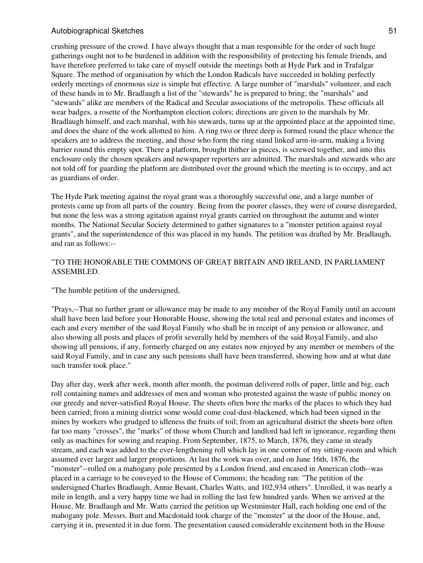crushing pressure of the crowd. I have always thought that a man responsible for the order of such huge gatherings ought not to be burdened in addition with the responsibility of protecting his female friends, and have therefore preferred to take care of myself outside the meetings both at Hyde Park and in Trafalgar Square. The method of organisation by which the London Radicals have succeeded in holding perfectly orderly meetings of enormous size is simple but effective. A large number of "marshals" volunteer, and each of these hands in to Mr. Bradlaugh a list of the "stewards" he is prepared to bring; the "marshals" and "stewards" alike are members of the Radical and Secular associations of the metropolis. These officials all wear badges, a rosette of the Northampton election colors; directions are given to the marshals by Mr. Bradlaugh himself, and each marshal, with his stewards, turns up at the appointed place at the appointed time, and does the share of the work allotted to him. A ring two or three deep is formed round the place whence the speakers are to address the meeting, and those who form the ring stand linked arm-in-arm, making a living barrier round this empty spot. There a platform, brought thither in pieces, is screwed together, and into this enclosure only the chosen speakers and newspaper reporters are admitted. The marshals and stewards who are not told off for guarding the platform are distributed over the ground which the meeting is to occupy, and act as guardians of order.

The Hyde Park meeting against the royal grant was a thoroughly successful one, and a large number of protests came up from all parts of the country. Being from the poorer classes, they were of course disregarded, but none the less was a strong agitation against royal grants carried on throughout the autumn and winter months. The National Secular Society determined to gather signatures to a "monster petition against royal grants", and the superintendence of this was placed in my hands. The petition was drafted by Mr. Bradlaugh, and ran as follows:--

## "TO THE HONORABLE THE COMMONS OF GREAT BRITAIN AND IRELAND, IN PARLIAMENT ASSEMBLED.

"The humble petition of the undersigned,

"Prays,--That no further grant or allowance may be made to any member of the Royal Family until an account shall have been laid before your Honorable House, showing the total real and personal estates and incomes of each and every member of the said Royal Family who shall be in receipt of any pension or allowance, and also showing all posts and places of profit severally held by members of the said Royal Family, and also showing all pensions, if any, formerly charged on any estates now enjoyed by any member or members of the said Royal Family, and in case any such pensions shall have been transferred, showing how and at what date such transfer took place."

Day after day, week after week, month after month, the postman delivered rolls of paper, little and big, each roll containing names and addresses of men and woman who protested against the waste of public money on our greedy and never-satisfied Royal House. The sheets often bore the marks of the places to which they had been carried; from a mining district some would come coal-dust-blackened, which had been signed in the mines by workers who grudged to idleness the fruits of toil; from an agricultural district the sheets bore often far too many "crosses", the "marks" of those whom Church and landlord had left in ignorance, regarding them only as machines for sowing and reaping. From September, 1875, to March, 1876, they came in steady stream, and each was added to the ever-lengthening roll which lay in one corner of my sitting-room and which assumed ever larger and larger proportions. At last the work was over, and on June 16th, 1876, the "monster"--rolled on a mahogany pole presented by a London friend, and encased in American cloth--was placed in a carriage to be conveyed to the House of Commons; the heading ran: "The petition of the undersigned Charles Bradlaugh, Annie Besant, Charles Watts, and 102,934 others". Unrolled, it was nearly a mile in length, and a very happy time we had in rolling the last few hundred yards. When we arrived at the House, Mr. Bradlaugh and Mr. Watts carried the petition up Westminster Hall, each holding one end of the mahogany pole. Messrs. Burt and Macdonald took charge of the "monster" at the door of the House, and, carrying it in, presented it in due form. The presentation caused considerable excitement both in the House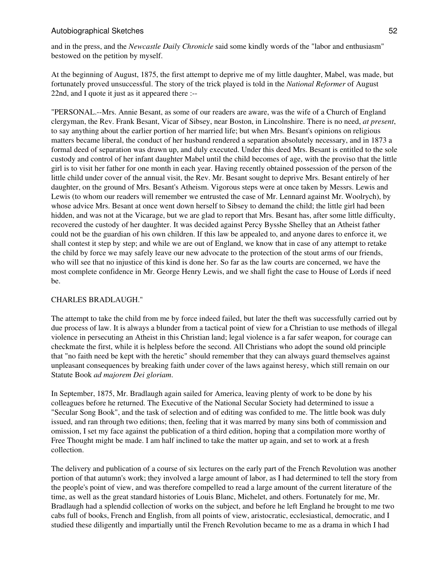and in the press, and the *Newcastle Daily Chronicle* said some kindly words of the "labor and enthusiasm" bestowed on the petition by myself.

At the beginning of August, 1875, the first attempt to deprive me of my little daughter, Mabel, was made, but fortunately proved unsuccessful. The story of the trick played is told in the *National Reformer* of August 22nd, and I quote it just as it appeared there :--

"PERSONAL.--Mrs. Annie Besant, as some of our readers are aware, was the wife of a Church of England clergyman, the Rev. Frank Besant, Vicar of Sibsey, near Boston, in Lincolnshire. There is no need, *at present*, to say anything about the earlier portion of her married life; but when Mrs. Besant's opinions on religious matters became liberal, the conduct of her husband rendered a separation absolutely necessary, and in 1873 a formal deed of separation was drawn up, and duly executed. Under this deed Mrs. Besant is entitled to the sole custody and control of her infant daughter Mabel until the child becomes of age, with the proviso that the little girl is to visit her father for one month in each year. Having recently obtained possession of the person of the little child under cover of the annual visit, the Rev. Mr. Besant sought to deprive Mrs. Besant entirely of her daughter, on the ground of Mrs. Besant's Atheism. Vigorous steps were at once taken by Messrs. Lewis and Lewis (to whom our readers will remember we entrusted the case of Mr. Lennard against Mr. Woolrych), by whose advice Mrs. Besant at once went down herself to Sibsey to demand the child; the little girl had been hidden, and was not at the Vicarage, but we are glad to report that Mrs. Besant has, after some little difficulty, recovered the custody of her daughter. It was decided against Percy Bysshe Shelley that an Atheist father could not be the guardian of his own children. If this law be appealed to, and anyone dares to enforce it, we shall contest it step by step; and while we are out of England, we know that in case of any attempt to retake the child by force we may safely leave our new advocate to the protection of the stout arms of our friends, who will see that no injustice of this kind is done her. So far as the law courts are concerned, we have the most complete confidence in Mr. George Henry Lewis, and we shall fight the case to House of Lords if need be.

# CHARLES BRADLAUGH."

The attempt to take the child from me by force indeed failed, but later the theft was successfully carried out by due process of law. It is always a blunder from a tactical point of view for a Christian to use methods of illegal violence in persecuting an Atheist in this Christian land; legal violence is a far safer weapon, for courage can checkmate the first, while it is helpless before the second. All Christians who adopt the sound old principle that "no faith need be kept with the heretic" should remember that they can always guard themselves against unpleasant consequences by breaking faith under cover of the laws against heresy, which still remain on our Statute Book *ad majorem Dei gloriam*.

In September, 1875, Mr. Bradlaugh again sailed for America, leaving plenty of work to be done by his colleagues before he returned. The Executive of the National Secular Society had determined to issue a "Secular Song Book", and the task of selection and of editing was confided to me. The little book was duly issued, and ran through two editions; then, feeling that it was marred by many sins both of commission and omission, I set my face against the publication of a third edition, hoping that a compilation more worthy of Free Thought might be made. I am half inclined to take the matter up again, and set to work at a fresh collection.

The delivery and publication of a course of six lectures on the early part of the French Revolution was another portion of that autumn's work; they involved a large amount of labor, as I had determined to tell the story from the people's point of view, and was therefore compelled to read a large amount of the current literature of the time, as well as the great standard histories of Louis Blanc, Michelet, and others. Fortunately for me, Mr. Bradlaugh had a splendid collection of works on the subject, and before he left England he brought to me two cabs full of books, French and English, from all points of view, aristocratic, ecclesiastical, democratic, and I studied these diligently and impartially until the French Revolution became to me as a drama in which I had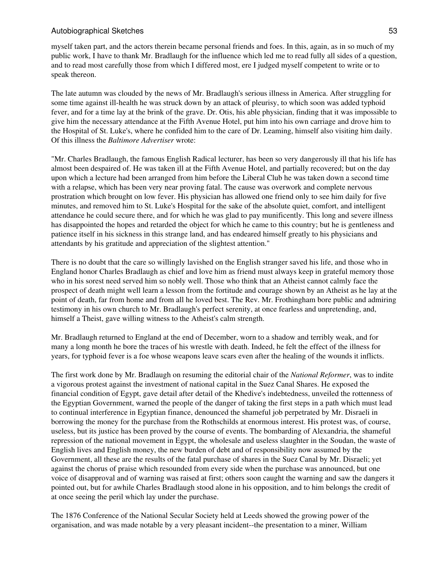myself taken part, and the actors therein became personal friends and foes. In this, again, as in so much of my public work, I have to thank Mr. Bradlaugh for the influence which led me to read fully all sides of a question, and to read most carefully those from which I differed most, ere I judged myself competent to write or to speak thereon.

The late autumn was clouded by the news of Mr. Bradlaugh's serious illness in America. After struggling for some time against ill-health he was struck down by an attack of pleurisy, to which soon was added typhoid fever, and for a time lay at the brink of the grave. Dr. Otis, his able physician, finding that it was impossible to give him the necessary attendance at the Fifth Avenue Hotel, put him into his own carriage and drove him to the Hospital of St. Luke's, where he confided him to the care of Dr. Leaming, himself also visiting him daily. Of this illness the *Baltimore Advertiser* wrote:

"Mr. Charles Bradlaugh, the famous English Radical lecturer, has been so very dangerously ill that his life has almost been despaired of. He was taken ill at the Fifth Avenue Hotel, and partially recovered; but on the day upon which a lecture had been arranged from him before the Liberal Club he was taken down a second time with a relapse, which has been very near proving fatal. The cause was overwork and complete nervous prostration which brought on low fever. His physician has allowed one friend only to see him daily for five minutes, and removed him to St. Luke's Hospital for the sake of the absolute quiet, comfort, and intelligent attendance he could secure there, and for which he was glad to pay munificently. This long and severe illness has disappointed the hopes and retarded the object for which he came to this country; but he is gentleness and patience itself in his sickness in this strange land, and has endeared himself greatly to his physicians and attendants by his gratitude and appreciation of the slightest attention."

There is no doubt that the care so willingly lavished on the English stranger saved his life, and those who in England honor Charles Bradlaugh as chief and love him as friend must always keep in grateful memory those who in his sorest need served him so nobly well. Those who think that an Atheist cannot calmly face the prospect of death might well learn a lesson from the fortitude and courage shown by an Atheist as he lay at the point of death, far from home and from all he loved best. The Rev. Mr. Frothingham bore public and admiring testimony in his own church to Mr. Bradlaugh's perfect serenity, at once fearless and unpretending, and, himself a Theist, gave willing witness to the Atheist's calm strength.

Mr. Bradlaugh returned to England at the end of December, worn to a shadow and terribly weak, and for many a long month he bore the traces of his wrestle with death. Indeed, he felt the effect of the illness for years, for typhoid fever is a foe whose weapons leave scars even after the healing of the wounds it inflicts.

The first work done by Mr. Bradlaugh on resuming the editorial chair of the *National Reformer*, was to indite a vigorous protest against the investment of national capital in the Suez Canal Shares. He exposed the financial condition of Egypt, gave detail after detail of the Khedive's indebtedness, unveiled the rottenness of the Egyptian Government, warned the people of the danger of taking the first steps in a path which must lead to continual interference in Egyptian finance, denounced the shameful job perpetrated by Mr. Disraeli in borrowing the money for the purchase from the Rothschilds at enormous interest. His protest was, of course, useless, but its justice has been proved by the course of events. The bombarding of Alexandria, the shameful repression of the national movement in Egypt, the wholesale and useless slaughter in the Soudan, the waste of English lives and English money, the new burden of debt and of responsibility now assumed by the Government, all these are the results of the fatal purchase of shares in the Suez Canal by Mr. Disraeli; yet against the chorus of praise which resounded from every side when the purchase was announced, but one voice of disapproval and of warning was raised at first; others soon caught the warning and saw the dangers it pointed out, but for awhile Charles Bradlaugh stood alone in his opposition, and to him belongs the credit of at once seeing the peril which lay under the purchase.

The 1876 Conference of the National Secular Society held at Leeds showed the growing power of the organisation, and was made notable by a very pleasant incident--the presentation to a miner, William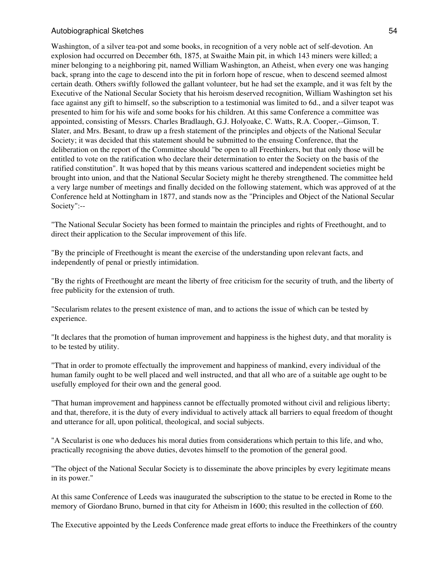Washington, of a silver tea-pot and some books, in recognition of a very noble act of self-devotion. An explosion had occurred on December 6th, 1875, at Swaithe Main pit, in which 143 miners were killed; a miner belonging to a neighboring pit, named William Washington, an Atheist, when every one was hanging back, sprang into the cage to descend into the pit in forlorn hope of rescue, when to descend seemed almost certain death. Others swiftly followed the gallant volunteer, but he had set the example, and it was felt by the Executive of the National Secular Society that his heroism deserved recognition, William Washington set his face against any gift to himself, so the subscription to a testimonial was limited to 6d., and a silver teapot was presented to him for his wife and some books for his children. At this same Conference a committee was appointed, consisting of Messrs. Charles Bradlaugh, G.J. Holyoake, C. Watts, R.A. Cooper,--Gimson, T. Slater, and Mrs. Besant, to draw up a fresh statement of the principles and objects of the National Secular Society; it was decided that this statement should be submitted to the ensuing Conference, that the deliberation on the report of the Committee should "be open to all Freethinkers, but that only those will be entitled to vote on the ratification who declare their determination to enter the Society on the basis of the ratified constitution". It was hoped that by this means various scattered and independent societies might be brought into union, and that the National Secular Society might he thereby strengthened. The committee held a very large number of meetings and finally decided on the following statement, which was approved of at the Conference held at Nottingham in 1877, and stands now as the "Principles and Object of the National Secular Society":--

"The National Secular Society has been formed to maintain the principles and rights of Freethought, and to direct their application to the Secular improvement of this life.

"By the principle of Freethought is meant the exercise of the understanding upon relevant facts, and independently of penal or priestly intimidation.

"By the rights of Freethought are meant the liberty of free criticism for the security of truth, and the liberty of free publicity for the extension of truth.

"Secularism relates to the present existence of man, and to actions the issue of which can be tested by experience.

"It declares that the promotion of human improvement and happiness is the highest duty, and that morality is to be tested by utility.

"That in order to promote effectually the improvement and happiness of mankind, every individual of the human family ought to be well placed and well instructed, and that all who are of a suitable age ought to be usefully employed for their own and the general good.

"That human improvement and happiness cannot be effectually promoted without civil and religious liberty; and that, therefore, it is the duty of every individual to actively attack all barriers to equal freedom of thought and utterance for all, upon political, theological, and social subjects.

"A Secularist is one who deduces his moral duties from considerations which pertain to this life, and who, practically recognising the above duties, devotes himself to the promotion of the general good.

"The object of the National Secular Society is to disseminate the above principles by every legitimate means in its power."

At this same Conference of Leeds was inaugurated the subscription to the statue to be erected in Rome to the memory of Giordano Bruno, burned in that city for Atheism in 1600; this resulted in the collection of £60.

The Executive appointed by the Leeds Conference made great efforts to induce the Freethinkers of the country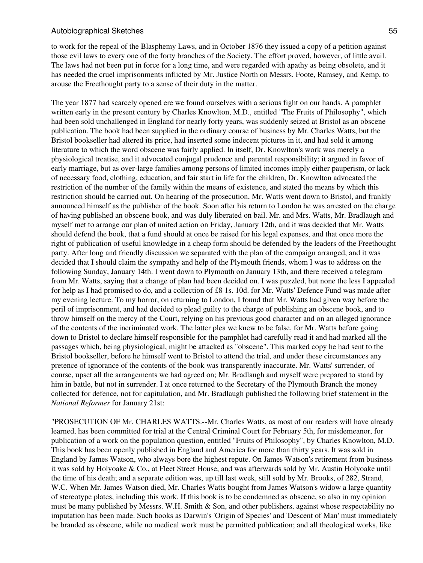to work for the repeal of the Blasphemy Laws, and in October 1876 they issued a copy of a petition against those evil laws to every one of the forty branches of the Society. The effort proved, however, of little avail. The laws had not been put in force for a long time, and were regarded with apathy as being obsolete, and it has needed the cruel imprisonments inflicted by Mr. Justice North on Messrs. Foote, Ramsey, and Kemp, to arouse the Freethought party to a sense of their duty in the matter.

The year 1877 had scarcely opened ere we found ourselves with a serious fight on our hands. A pamphlet written early in the present century by Charles Knowlton, M.D., entitled "The Fruits of Philosophy", which had been sold unchallenged in England for nearly forty years, was suddenly seized at Bristol as an obscene publication. The book had been supplied in the ordinary course of business by Mr. Charles Watts, but the Bristol bookseller had altered its price, had inserted some indecent pictures in it, and had sold it among literature to which the word obscene was fairly applied. In itself, Dr. Knowlton's work was merely a physiological treatise, and it advocated conjugal prudence and parental responsibility; it argued in favor of early marriage, but as over-large families among persons of limited incomes imply either pauperism, or lack of necessary food, clothing, education, and fair start in life for the children, Dr. Knowlton advocated the restriction of the number of the family within the means of existence, and stated the means by which this restriction should be carried out. On hearing of the prosecution, Mr. Watts went down to Bristol, and frankly announced himself as the publisher of the book. Soon after his return to London he was arrested on the charge of having published an obscene book, and was duly liberated on bail. Mr. and Mrs. Watts, Mr. Bradlaugh and myself met to arrange our plan of united action on Friday, January 12th, and it was decided that Mr. Watts should defend the book, that a fund should at once be raised for his legal expenses, and that once more the right of publication of useful knowledge in a cheap form should be defended by the leaders of the Freethought party. After long and friendly discussion we separated with the plan of the campaign arranged, and it was decided that I should claim the sympathy and help of the Plymouth friends, whom I was to address on the following Sunday, January 14th. I went down to Plymouth on January 13th, and there received a telegram from Mr. Watts, saying that a change of plan had been decided on. I was puzzled, but none the less I appealed for help as I had promised to do, and a collection of £8 1s. 10d. for Mr. Watts' Defence Fund was made after my evening lecture. To my horror, on returning to London, I found that Mr. Watts had given way before the peril of imprisonment, and had decided to plead guilty to the charge of publishing an obscene book, and to throw himself on the mercy of the Court, relying on his previous good character and on an alleged ignorance of the contents of the incriminated work. The latter plea we knew to be false, for Mr. Watts before going down to Bristol to declare himself responsible for the pamphlet had carefully read it and had marked all the passages which, being physiological, might be attacked as "obscene". This marked copy he had sent to the Bristol bookseller, before he himself went to Bristol to attend the trial, and under these circumstances any pretence of ignorance of the contents of the book was transparently inaccurate. Mr. Watts' surrender, of course, upset all the arrangements we had agreed on; Mr. Bradlaugh and myself were prepared to stand by him in battle, but not in surrender. I at once returned to the Secretary of the Plymouth Branch the money collected for defence, not for capitulation, and Mr. Bradlaugh published the following brief statement in the *National Reformer* for January 21st:

"PROSECUTION OF Mr. CHARLES WATTS.--Mr. Charles Watts, as most of our readers will have already learned, has been committed for trial at the Central Criminal Court for February 5th, for misdemeanor, for publication of a work on the population question, entitled "Fruits of Philosophy", by Charles Knowlton, M.D. This book has been openly published in England and America for more than thirty years. It was sold in England by James Watson, who always bore the highest repute. On James Watson's retirement from business it was sold by Holyoake & Co., at Fleet Street House, and was afterwards sold by Mr. Austin Holyoake until the time of his death; and a separate edition was, up till last week, still sold by Mr. Brooks, of 282, Strand, W.C. When Mr. James Watson died, Mr. Charles Watts bought from James Watson's widow a large quantity of stereotype plates, including this work. If this book is to be condemned as obscene, so also in my opinion must be many published by Messrs. W.H. Smith & Son, and other publishers, against whose respectability no imputation has been made. Such books as Darwin's 'Origin of Species' and 'Descent of Man' must immediately be branded as obscene, while no medical work must be permitted publication; and all theological works, like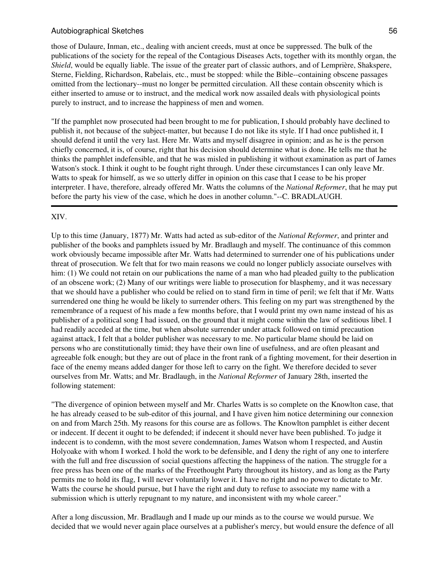those of Dulaure, Inman, etc., dealing with ancient creeds, must at once be suppressed. The bulk of the publications of the society for the repeal of the Contagious Diseases Acts, together with its monthly organ, the *Shield*, would be equally liable. The issue of the greater part of classic authors, and of Lemprière, Shakspere, Sterne, Fielding, Richardson, Rabelais, etc., must be stopped: while the Bible--containing obscene passages omitted from the lectionary--must no longer be permitted circulation. All these contain obscenity which is either inserted to amuse or to instruct, and the medical work now assailed deals with physiological points purely to instruct, and to increase the happiness of men and women.

"If the pamphlet now prosecuted had been brought to me for publication, I should probably have declined to publish it, not because of the subject-matter, but because I do not like its style. If I had once published it, I should defend it until the very last. Here Mr. Watts and myself disagree in opinion; and as he is the person chiefly concerned, it is, of course, right that his decision should determine what is done. He tells me that he thinks the pamphlet indefensible, and that he was misled in publishing it without examination as part of James Watson's stock. I think it ought to be fought right through. Under these circumstances I can only leave Mr. Watts to speak for himself, as we so utterly differ in opinion on this case that I cease to be his proper interpreter. I have, therefore, already offered Mr. Watts the columns of the *National Reformer*, that he may put before the party his view of the case, which he does in another column."--C. BRADLAUGH.

# XIV.

Up to this time (January, 1877) Mr. Watts had acted as sub-editor of the *National Reformer*, and printer and publisher of the books and pamphlets issued by Mr. Bradlaugh and myself. The continuance of this common work obviously became impossible after Mr. Watts had determined to surrender one of his publications under threat of prosecution. We felt that for two main reasons we could no longer publicly associate ourselves with him: (1) We could not retain on our publications the name of a man who had pleaded guilty to the publication of an obscene work; (2) Many of our writings were liable to prosecution for blasphemy, and it was necessary that we should have a publisher who could be relied on to stand firm in time of peril; we felt that if Mr. Watts surrendered one thing he would be likely to surrender others. This feeling on my part was strengthened by the remembrance of a request of his made a few months before, that I would print my own name instead of his as publisher of a political song I had issued, on the ground that it might come within the law of seditious libel. I had readily acceded at the time, but when absolute surrender under attack followed on timid precaution against attack, I felt that a bolder publisher was necessary to me. No particular blame should be laid on persons who are constitutionally timid; they have their own line of usefulness, and are often pleasant and agreeable folk enough; but they are out of place in the front rank of a fighting movement, for their desertion in face of the enemy means added danger for those left to carry on the fight. We therefore decided to sever ourselves from Mr. Watts; and Mr. Bradlaugh, in the *National Reformer* of January 28th, inserted the following statement:

"The divergence of opinion between myself and Mr. Charles Watts is so complete on the Knowlton case, that he has already ceased to be sub-editor of this journal, and I have given him notice determining our connexion on and from March 25th. My reasons for this course are as follows. The Knowlton pamphlet is either decent or indecent. If decent it ought to be defended; if indecent it should never have been published. To judge it indecent is to condemn, with the most severe condemnation, James Watson whom I respected, and Austin Holyoake with whom I worked. I hold the work to be defensible, and I deny the right of any one to interfere with the full and free discussion of social questions affecting the happiness of the nation. The struggle for a free press has been one of the marks of the Freethought Party throughout its history, and as long as the Party permits me to hold its flag, I will never voluntarily lower it. I have no right and no power to dictate to Mr. Watts the course he should pursue, but I have the right and duty to refuse to associate my name with a submission which is utterly repugnant to my nature, and inconsistent with my whole career."

After a long discussion, Mr. Bradlaugh and I made up our minds as to the course we would pursue. We decided that we would never again place ourselves at a publisher's mercy, but would ensure the defence of all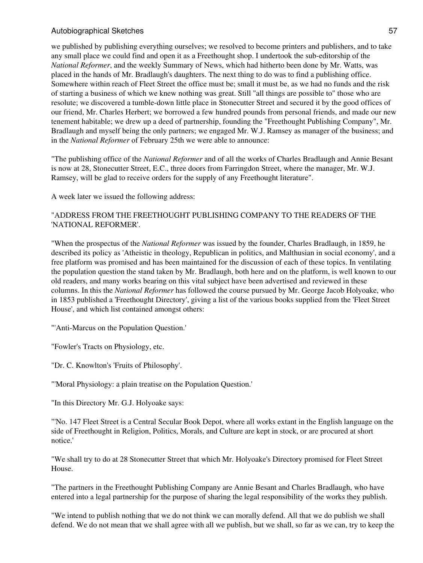we published by publishing everything ourselves; we resolved to become printers and publishers, and to take any small place we could find and open it as a Freethought shop. I undertook the sub-editorship of the *National Reformer*, and the weekly Summary of News, which had hitherto been done by Mr. Watts, was placed in the hands of Mr. Bradlaugh's daughters. The next thing to do was to find a publishing office. Somewhere within reach of Fleet Street the office must be; small it must be, as we had no funds and the risk of starting a business of which we knew nothing was great. Still "all things are possible to" those who are resolute; we discovered a tumble-down little place in Stonecutter Street and secured it by the good offices of our friend, Mr. Charles Herbert; we borrowed a few hundred pounds from personal friends, and made our new tenement habitable; we drew up a deed of partnership, founding the "Freethought Publishing Company", Mr. Bradlaugh and myself being the only partners; we engaged Mr. W.J. Ramsey as manager of the business; and in the *National Reformer* of February 25th we were able to announce:

"The publishing office of the *National Reformer* and of all the works of Charles Bradlaugh and Annie Besant is now at 28, Stonecutter Street, E.C., three doors from Farringdon Street, where the manager, Mr. W.J. Ramsey, will be glad to receive orders for the supply of any Freethought literature".

A week later we issued the following address:

# "ADDRESS FROM THE FREETHOUGHT PUBLISHING COMPANY TO THE READERS OF THE 'NATIONAL REFORMER'.

"When the prospectus of the *National Reformer* was issued by the founder, Charles Bradlaugh, in 1859, he described its policy as 'Atheistic in theology, Republican in politics, and Malthusian in social economy', and a free platform was promised and has been maintained for the discussion of each of these topics. In ventilating the population question the stand taken by Mr. Bradlaugh, both here and on the platform, is well known to our old readers, and many works bearing on this vital subject have been advertised and reviewed in these columns. In this the *National Reformer* has followed the course pursued by Mr. George Jacob Holyoake, who in 1853 published a 'Freethought Directory', giving a list of the various books supplied from the 'Fleet Street House', and which list contained amongst others:

"'Anti-Marcus on the Population Question.'

"Fowler's Tracts on Physiology, etc.

"Dr. C. Knowlton's 'Fruits of Philosophy'.

"'Moral Physiology: a plain treatise on the Population Question.'

"In this Directory Mr. G.J. Holyoake says:

"'No. 147 Fleet Street is a Central Secular Book Depot, where all works extant in the English language on the side of Freethought in Religion, Politics, Morals, and Culture are kept in stock, or are procured at short notice.'

"We shall try to do at 28 Stonecutter Street that which Mr. Holyoake's Directory promised for Fleet Street House.

"The partners in the Freethought Publishing Company are Annie Besant and Charles Bradlaugh, who have entered into a legal partnership for the purpose of sharing the legal responsibility of the works they publish.

"We intend to publish nothing that we do not think we can morally defend. All that we do publish we shall defend. We do not mean that we shall agree with all we publish, but we shall, so far as we can, try to keep the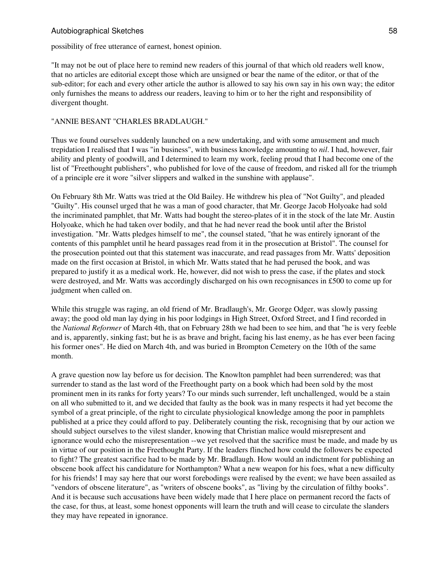possibility of free utterance of earnest, honest opinion.

"It may not be out of place here to remind new readers of this journal of that which old readers well know, that no articles are editorial except those which are unsigned or bear the name of the editor, or that of the sub-editor; for each and every other article the author is allowed to say his own say in his own way; the editor only furnishes the means to address our readers, leaving to him or to her the right and responsibility of divergent thought.

### "ANNIE BESANT "CHARLES BRADLAUGH."

Thus we found ourselves suddenly launched on a new undertaking, and with some amusement and much trepidation I realised that I was "in business", with business knowledge amounting to *nil*. I had, however, fair ability and plenty of goodwill, and I determined to learn my work, feeling proud that I had become one of the list of "Freethought publishers", who published for love of the cause of freedom, and risked all for the triumph of a principle ere it wore "silver slippers and walked in the sunshine with applause".

On February 8th Mr. Watts was tried at the Old Bailey. He withdrew his plea of "Not Guilty", and pleaded "Guilty". His counsel urged that he was a man of good character, that Mr. George Jacob Holyoake had sold the incriminated pamphlet, that Mr. Watts had bought the stereo-plates of it in the stock of the late Mr. Austin Holyoake, which he had taken over bodily, and that he had never read the book until after the Bristol investigation. "Mr. Watts pledges himself to me", the counsel stated, "that he was entirely ignorant of the contents of this pamphlet until he heard passages read from it in the prosecution at Bristol". The counsel for the prosecution pointed out that this statement was inaccurate, and read passages from Mr. Watts' deposition made on the first occasion at Bristol, in which Mr. Watts stated that he had perused the book, and was prepared to justify it as a medical work. He, however, did not wish to press the case, if the plates and stock were destroyed, and Mr. Watts was accordingly discharged on his own recognisances in £500 to come up for judgment when called on.

While this struggle was raging, an old friend of Mr. Bradlaugh's, Mr. George Odger, was slowly passing away; the good old man lay dying in his poor lodgings in High Street, Oxford Street, and I find recorded in the *National Reformer* of March 4th, that on February 28th we had been to see him, and that "he is very feeble and is, apparently, sinking fast; but he is as brave and bright, facing his last enemy, as he has ever been facing his former ones". He died on March 4th, and was buried in Brompton Cemetery on the 10th of the same month.

A grave question now lay before us for decision. The Knowlton pamphlet had been surrendered; was that surrender to stand as the last word of the Freethought party on a book which had been sold by the most prominent men in its ranks for forty years? To our minds such surrender, left unchallenged, would be a stain on all who submitted to it, and we decided that faulty as the book was in many respects it had yet become the symbol of a great principle, of the right to circulate physiological knowledge among the poor in pamphlets published at a price they could afford to pay. Deliberately counting the risk, recognising that by our action we should subject ourselves to the vilest slander, knowing that Christian malice would misrepresent and ignorance would echo the misrepresentation --we yet resolved that the sacrifice must be made, and made by us in virtue of our position in the Freethought Party. If the leaders flinched how could the followers be expected to fight? The greatest sacrifice had to be made by Mr. Bradlaugh. How would an indictment for publishing an obscene book affect his candidature for Northampton? What a new weapon for his foes, what a new difficulty for his friends! I may say here that our worst forebodings were realised by the event; we have been assailed as "vendors of obscene literature", as "writers of obscene books", as "living by the circulation of filthy books". And it is because such accusations have been widely made that I here place on permanent record the facts of the case, for thus, at least, some honest opponents will learn the truth and will cease to circulate the slanders they may have repeated in ignorance.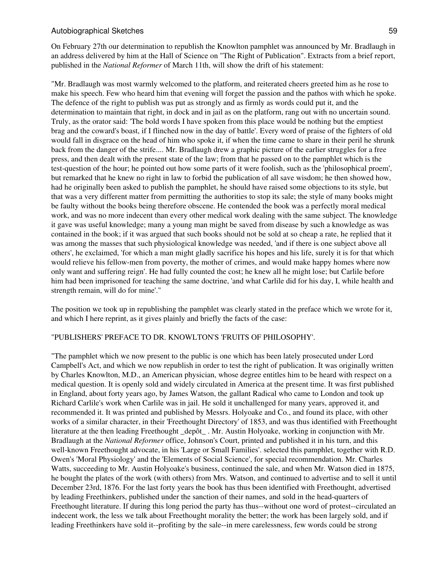On February 27th our determination to republish the Knowlton pamphlet was announced by Mr. Bradlaugh in an address delivered by him at the Hall of Science on "The Right of Publication". Extracts from a brief report, published in the *National Reformer* of March 11th, will show the drift of his statement:

"Mr. Bradlaugh was most warmly welcomed to the platform, and reiterated cheers greeted him as he rose to make his speech. Few who heard him that evening will forget the passion and the pathos with which he spoke. The defence of the right to publish was put as strongly and as firmly as words could put it, and the determination to maintain that right, in dock and in jail as on the platform, rang out with no uncertain sound. Truly, as the orator said: 'The bold words I have spoken from this place would be nothing but the emptiest brag and the coward's boast, if I flinched now in the day of battle'. Every word of praise of the fighters of old would fall in disgrace on the head of him who spoke it, if when the time came to share in their peril he shrunk back from the danger of the strife.... Mr. Bradlaugh drew a graphic picture of the earlier struggles for a free press, and then dealt with the present state of the law; from that he passed on to the pamphlet which is the test-question of the hour; he pointed out how some parts of it were foolish, such as the 'philosophical proem', but remarked that he knew no right in law to forbid the publication of all save wisdom; he then showed how, had he originally been asked to publish the pamphlet, he should have raised some objections to its style, but that was a very different matter from permitting the authorities to stop its sale; the style of many books might be faulty without the books being therefore obscene. He contended the book was a perfectly moral medical work, and was no more indecent than every other medical work dealing with the same subject. The knowledge it gave was useful knowledge; many a young man might be saved from disease by such a knowledge as was contained in the book; if it was argued that such books should not be sold at so cheap a rate, he replied that it was among the masses that such physiological knowledge was needed, 'and if there is one subject above all others', he exclaimed, 'for which a man might gladly sacrifice his hopes and his life, surely it is for that which would relieve his fellow-men from poverty, the mother of crimes, and would make happy homes where now only want and suffering reign'. He had fully counted the cost; he knew all he might lose; but Carlile before him had been imprisoned for teaching the same doctrine, 'and what Carlile did for his day, I, while health and strength remain, will do for mine'."

The position we took up in republishing the pamphlet was clearly stated in the preface which we wrote for it, and which I here reprint, as it gives plainly and briefly the facts of the case:

### "PUBLISHERS' PREFACE TO DR. KNOWLTON'S 'FRUITS OF PHILOSOPHY'.

"The pamphlet which we now present to the public is one which has been lately prosecuted under Lord Campbell's Act, and which we now republish in order to test the right of publication. It was originally written by Charles Knowlton, M.D., an American physician, whose degree entitles him to be heard with respect on a medical question. It is openly sold and widely circulated in America at the present time. It was first published in England, about forty years ago, by James Watson, the gallant Radical who came to London and took up Richard Carlile's work when Carlile was in jail. He sold it unchallenged for many years, approved it, and recommended it. It was printed and published by Messrs. Holyoake and Co., and found its place, with other works of a similar character, in their 'Freethought Directory' of 1853, and was thus identified with Freethought literature at the then leading Freethought \_depôt\_ . Mr. Austin Holyoake, working in conjunction with Mr. Bradlaugh at the *National Reformer* office, Johnson's Court, printed and published it in his turn, and this well-known Freethought advocate, in his 'Large or Small Families'. selected this pamphlet, together with R.D. Owen's 'Moral Physiology' and the 'Elements of Social Science', for special recommendation. Mr. Charles Watts, succeeding to Mr. Austin Holyoake's business, continued the sale, and when Mr. Watson died in 1875, he bought the plates of the work (with others) from Mrs. Watson, and continued to advertise and to sell it until December 23rd, 1876. For the last forty years the book has thus been identified with Freethought, advertised by leading Freethinkers, published under the sanction of their names, and sold in the head-quarters of Freethought literature. If during this long period the party has thus--without one word of protest--circulated an indecent work, the less we talk about Freethought morality the better; the work has been largely sold, and if leading Freethinkers have sold it--profiting by the sale--in mere carelessness, few words could be strong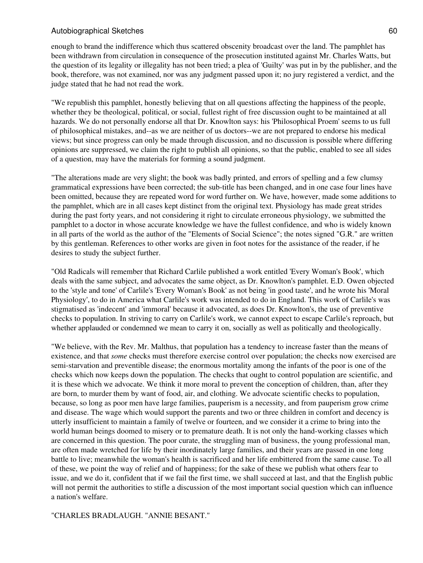enough to brand the indifference which thus scattered obscenity broadcast over the land. The pamphlet has been withdrawn from circulation in consequence of the prosecution instituted against Mr. Charles Watts, but the question of its legality or illegality has not been tried; a plea of 'Guilty' was put in by the publisher, and the book, therefore, was not examined, nor was any judgment passed upon it; no jury registered a verdict, and the judge stated that he had not read the work.

"We republish this pamphlet, honestly believing that on all questions affecting the happiness of the people, whether they be theological, political, or social, fullest right of free discussion ought to be maintained at all hazards. We do not personally endorse all that Dr. Knowlton says: his 'Philosophical Proem' seems to us full of philosophical mistakes, and--as we are neither of us doctors--we are not prepared to endorse his medical views; but since progress can only be made through discussion, and no discussion is possible where differing opinions are suppressed, we claim the right to publish all opinions, so that the public, enabled to see all sides of a question, may have the materials for forming a sound judgment.

"The alterations made are very slight; the book was badly printed, and errors of spelling and a few clumsy grammatical expressions have been corrected; the sub-title has been changed, and in one case four lines have been omitted, because they are repeated word for word further on. We have, however, made some additions to the pamphlet, which are in all cases kept distinct from the original text. Physiology has made great strides during the past forty years, and not considering it right to circulate erroneous physiology, we submitted the pamphlet to a doctor in whose accurate knowledge we have the fullest confidence, and who is widely known in all parts of the world as the author of the "Elements of Social Science"; the notes signed "G.R." are written by this gentleman. References to other works are given in foot notes for the assistance of the reader, if he desires to study the subject further.

"Old Radicals will remember that Richard Carlile published a work entitled 'Every Woman's Book', which deals with the same subject, and advocates the same object, as Dr. Knowlton's pamphlet. E.D. Owen objected to the 'style and tone' of Carlile's 'Every Woman's Book' as not being 'in good taste', and he wrote his 'Moral Physiology', to do in America what Carlile's work was intended to do in England. This work of Carlile's was stigmatised as 'indecent' and 'immoral' because it advocated, as does Dr. Knowlton's, the use of preventive checks to population. In striving to carry on Carlile's work, we cannot expect to escape Carlile's reproach, but whether applauded or condemned we mean to carry it on, socially as well as politically and theologically.

"We believe, with the Rev. Mr. Malthus, that population has a tendency to increase faster than the means of existence, and that *some* checks must therefore exercise control over population; the checks now exercised are semi-starvation and preventible disease; the enormous mortality among the infants of the poor is one of the checks which now keeps down the population. The checks that ought to control population are scientific, and it is these which we advocate. We think it more moral to prevent the conception of children, than, after they are born, to murder them by want of food, air, and clothing. We advocate scientific checks to population, because, so long as poor men have large families, pauperism is a necessity, and from pauperism grow crime and disease. The wage which would support the parents and two or three children in comfort and decency is utterly insufficient to maintain a family of twelve or fourteen, and we consider it a crime to bring into the world human beings doomed to misery or to premature death. It is not only the hand-working classes which are concerned in this question. The poor curate, the struggling man of business, the young professional man, are often made wretched for life by their inordinately large families, and their years are passed in one long battle to live; meanwhile the woman's health is sacrificed and her life embittered from the same cause. To all of these, we point the way of relief and of happiness; for the sake of these we publish what others fear to issue, and we do it, confident that if we fail the first time, we shall succeed at last, and that the English public will not permit the authorities to stifle a discussion of the most important social question which can influence a nation's welfare.

#### "CHARLES BRADLAUGH. "ANNIE BESANT."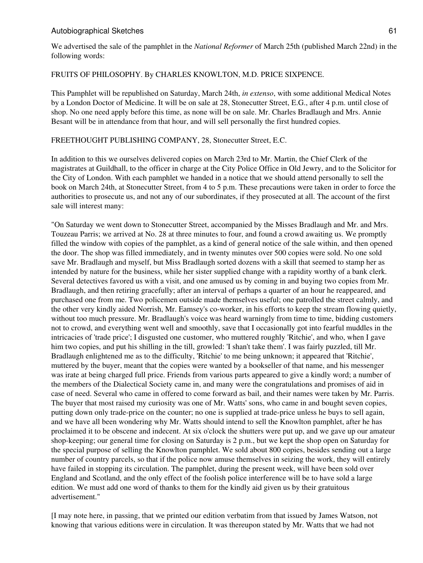We advertised the sale of the pamphlet in the *National Reformer* of March 25th (published March 22nd) in the following words:

### FRUITS OF PHILOSOPHY. By CHARLES KNOWLTON, M.D. PRICE SIXPENCE.

This Pamphlet will be republished on Saturday, March 24th, *in extenso*, with some additional Medical Notes by a London Doctor of Medicine. It will be on sale at 28, Stonecutter Street, E.G., after 4 p.m. until close of shop. No one need apply before this time, as none will be on sale. Mr. Charles Bradlaugh and Mrs. Annie Besant will be in attendance from that hour, and will sell personally the first hundred copies.

### FREETHOUGHT PUBLISHING COMPANY, 28, Stonecutter Street, E.C.

In addition to this we ourselves delivered copies on March 23rd to Mr. Martin, the Chief Clerk of the magistrates at Guildhall, to the officer in charge at the City Police Office in Old Jewry, and to the Solicitor for the City of London. With each pamphlet we handed in a notice that we should attend personally to sell the book on March 24th, at Stonecutter Street, from 4 to 5 p.m. These precautions were taken in order to force the authorities to prosecute us, and not any of our subordinates, if they prosecuted at all. The account of the first sale will interest many:

"On Saturday we went down to Stonecutter Street, accompanied by the Misses Bradlaugh and Mr. and Mrs. Touzeau Parris; we arrived at No. 28 at three minutes to four, and found a crowd awaiting us. We promptly filled the window with copies of the pamphlet, as a kind of general notice of the sale within, and then opened the door. The shop was filled immediately, and in twenty minutes over 500 copies were sold. No one sold save Mr. Bradlaugh and myself, but Miss Bradlaugh sorted dozens with a skill that seemed to stamp her as intended by nature for the business, while her sister supplied change with a rapidity worthy of a bank clerk. Several detectives favored us with a visit, and one amused us by coming in and buying two copies from Mr. Bradlaugh, and then retiring gracefully; after an interval of perhaps a quarter of an hour he reappeared, and purchased one from me. Two policemen outside made themselves useful; one patrolled the street calmly, and the other very kindly aided Norrish, Mr. Eamsey's co-worker, in his efforts to keep the stream flowing quietly, without too much pressure. Mr. Bradlaugh's voice was heard warningly from time to time, bidding customers not to crowd, and everything went well and smoothly, save that I occasionally got into fearful muddles in the intricacies of 'trade price'; I disgusted one customer, who muttered roughly 'Ritchie', and who, when I gave him two copies, and put his shilling in the till, growled: 'I shan't take them'. I was fairly puzzled, till Mr. Bradlaugh enlightened me as to the difficulty, 'Ritchie' to me being unknown; it appeared that 'Ritchie', muttered by the buyer, meant that the copies were wanted by a bookseller of that name, and his messenger was irate at being charged full price. Friends from various parts appeared to give a kindly word; a number of the members of the Dialectical Society came in, and many were the congratulations and promises of aid in case of need. Several who came in offered to come forward as bail, and their names were taken by Mr. Parris. The buyer that most raised my curiosity was one of Mr. Watts' sons, who came in and bought seven copies, putting down only trade-price on the counter; no one is supplied at trade-price unless he buys to sell again, and we have all been wondering why Mr. Watts should intend to sell the Knowlton pamphlet, after he has proclaimed it to be obscene and indecent. At six o'clock the shutters were put up, and we gave up our amateur shop-keeping; our general time for closing on Saturday is 2 p.m., but we kept the shop open on Saturday for the special purpose of selling the Knowlton pamphlet. We sold about 800 copies, besides sending out a large number of country parcels, so that if the police now amuse themselves in seizing the work, they will entirely have failed in stopping its circulation. The pamphlet, during the present week, will have been sold over England and Scotland, and the only effect of the foolish police interference will be to have sold a large edition. We must add one word of thanks to them for the kindly aid given us by their gratuitous advertisement."

[I may note here, in passing, that we printed our edition verbatim from that issued by James Watson, not knowing that various editions were in circulation. It was thereupon stated by Mr. Watts that we had not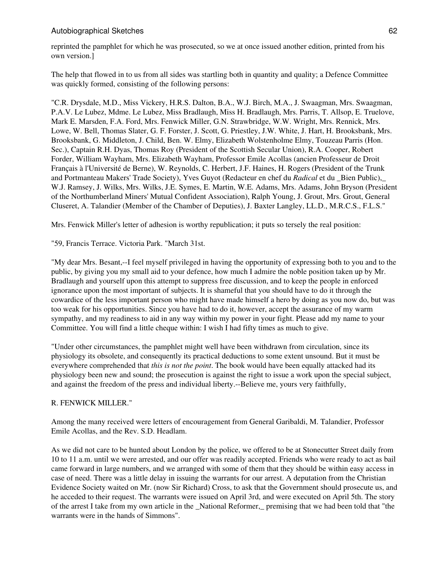reprinted the pamphlet for which he was prosecuted, so we at once issued another edition, printed from his own version.]

The help that flowed in to us from all sides was startling both in quantity and quality; a Defence Committee was quickly formed, consisting of the following persons:

"C.R. Drysdale, M.D., Miss Vickery, H.R.S. Dalton, B.A., W.J. Birch, M.A., J. Swaagman, Mrs. Swaagman, P.A.V. Le Lubez, Mdme. Le Lubez, Miss Bradlaugh, Miss H. Bradlaugh, Mrs. Parris, T. Allsop, E. Truelove, Mark E. Marsden, F.A. Ford, Mrs. Fenwick Miller, G.N. Strawbridge, W.W. Wright, Mrs. Rennick, Mrs. Lowe, W. Bell, Thomas Slater, G. F. Forster, J. Scott, G. Priestley, J.W. White, J. Hart, H. Brooksbank, Mrs. Brooksbank, G. Middleton, J. Child, Ben. W. Elmy, Elizabeth Wolstenholme Elmy, Touzeau Parris (Hon. Sec.), Captain R.H. Dyas, Thomas Roy (President of the Scottish Secular Union), R.A. Cooper, Robert Forder, William Wayham, Mrs. Elizabeth Wayham, Professor Emile Acollas (ancien Professeur de Droit Français à l'Université de Berne), W. Reynolds, C. Herbert, J.F. Haines, H. Rogers (President of the Trunk and Portmanteau Makers' Trade Society), Yves Guyot (Redacteur en chef du *Radical* et du \_Bien Public),\_ W.J. Ramsey, J. Wilks, Mrs. Wilks, J.E. Symes, E. Martin, W.E. Adams, Mrs. Adams, John Bryson (President of the Northumberland Miners' Mutual Confident Association), Ralph Young, J. Grout, Mrs. Grout, General Cluseret, A. Talandier (Member of the Chamber of Deputies), J. Baxter Langley, LL.D., M.R.C.S., F.L.S."

Mrs. Fenwick Miller's letter of adhesion is worthy republication; it puts so tersely the real position:

"59, Francis Terrace. Victoria Park. "March 31st.

"My dear Mrs. Besant,--I feel myself privileged in having the opportunity of expressing both to you and to the public, by giving you my small aid to your defence, how much I admire the noble position taken up by Mr. Bradlaugh and yourself upon this attempt to suppress free discussion, and to keep the people in enforced ignorance upon the most important of subjects. It is shameful that you should have to do it through the cowardice of the less important person who might have made himself a hero by doing as you now do, but was too weak for his opportunities. Since you have had to do it, however, accept the assurance of my warm sympathy, and my readiness to aid in any way within my power in your fight. Please add my name to your Committee. You will find a little cheque within: I wish I had fifty times as much to give.

"Under other circumstances, the pamphlet might well have been withdrawn from circulation, since its physiology its obsolete, and consequently its practical deductions to some extent unsound. But it must be everywhere comprehended that *this is not the point*. The book would have been equally attacked had its physiology been new and sound; the prosecution is against the right to issue a work upon the special subject, and against the freedom of the press and individual liberty.--Believe me, yours very faithfully,

# R. FENWICK MILLER."

Among the many received were letters of encouragement from General Garibaldi, M. Talandier, Professor Emile Acollas, and the Rev. S.D. Headlam.

As we did not care to be hunted about London by the police, we offered to be at Stonecutter Street daily from 10 to 11 a.m. until we were arrested, and our offer was readily accepted. Friends who were ready to act as bail came forward in large numbers, and we arranged with some of them that they should be within easy access in case of need. There was a little delay in issuing the warrants for our arrest. A deputation from the Christian Evidence Society waited on Mr. (now Sir Richard) Cross, to ask that the Government should prosecute us, and he acceded to their request. The warrants were issued on April 3rd, and were executed on April 5th. The story of the arrest I take from my own article in the \_National Reformer,\_ premising that we had been told that "the warrants were in the hands of Simmons".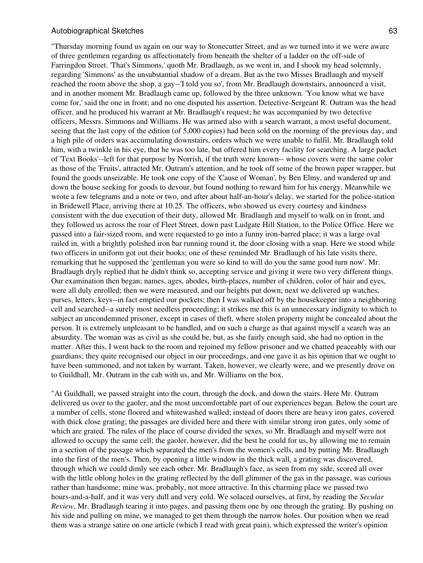"Thursday morning found us again on our way to Stonecutter Street, and as we turned into it we were aware of three gentlemen regarding us affectionately from beneath the shelter of a ladder on the off-side of Farringdon Street. 'That's Simmons,' quoth Mr. Bradlaugh, as we went in, and I shook my head solemnly, regarding 'Simmons' as the unsubstantial shadow of a dream. But as the two Misses Bradlaugh and myself reached the room above the shop, a gay--'I told you so', from Mr. Bradlaugh downstairs, announced a visit, and in another moment Mr. Bradlaugh came up, followed by the three unknown. 'You know what we have come for,' said the one in front; and no one disputed his assertion. Detective-Sergeant R. Outram was the head officer, and he produced his warrant at Mr. Bradlaugh's request; he was accompanied by two detective officers, Messrs. Simmons and Williams. He was armed also with a search warrant, a most useful document, seeing that the last copy of the edition (of 5,000 copies) had been sold on the morning of the previous day, and a high pile of orders was accumulating downstairs, orders which we were unable to fulfil. Mr. Bradlaugh told him, with a twinkle in his eye, that he was too late, but offered him every facility for searching. A large packet of 'Text Books'--left for that purpose by Norrish, if the truth were known-- whose covers were the same color as those of the 'Fruits', attracted Mr. Outram's attention, and he took off some of the brown paper wrapper, but found the goods unseizable. He took one copy of the 'Cause of Woman', by Ben Elmy, and wandered up and down the house seeking for goods to devour, but found nothing to reward him for his energy. Meanwhile we wrote a few telegrams and a note or two, and after about half-an-hour's delay, we started for the police-station in Bridewell Place, arriving there at 10.25. The officers, who showed us every courtesy and kindness consistent with the due execution of their duty, allowed Mr. Bradlaugh and myself to walk on in front, and they followed us across the roar of Fleet Street, down past Ludgate Hill Station, to the Police Office. Here we passed into a fair-sized room, and were requested to go into a funny iron-barred place; it was a large oval railed in, with a brightly polished iron bar running round it, the door closing with a snap. Here we stood while two officers in uniform got out their books; one of these reminded Mr. Bradlaugh of his late visits there, remarking that he supposed the 'gentleman you were so kind to will do you the same good turn now'. Mr. Bradlaugh dryly replied that he didn't think so, accepting service and giving it were two very different things. Our examination then began; names, ages, abodes, birth-places, number of children, color of hair and eyes, were all duly enrolled; then we were measured, and our heights put down; next we delivered up watches, purses, letters, keys--in fact emptied our pockets; then I was walked off by the housekeeper into a neighboring cell and searched--a surely most needless proceeding; it strikes me this is an unnecessary indignity to which to subject an uncondemned prisoner, except in cases of theft, where stolen property might be concealed about the person. It is extremely unpleasant to be handled, and on such a charge as that against myself a search was an absurdity. The woman was as civil as she could be, but, as she fairly enough said, she had no option in the matter. After this, I went back to the room and rejoined my fellow prisoner and we chatted peaceably with our guardians; they quite recognised our object in our proceedings, and one gave it as his opinion that we ought to have been summoned, and not taken by warrant. Taken, however, we clearly were, and we presently drove on to Guildhall, Mr. Outram in the cab with us, and Mr. Williams on the box.

"At Guildhall, we passed straight into the court, through the dock, and down the stairs. Here Mr. Outram delivered us over to the gaoler, and the most uncomfortable part of our experiences began. Below the court are a number of cells, stone floored and whitewashed walled; instead of doors there are heavy iron gates, covered with thick close grating; the passages are divided here and there with similar strong iron gates, only some of which are grated. The rules of the place of course divided the sexes, so Mr. Bradlaugh and myself were not allowed to occupy the same cell; the gaoler, however, did the best he could for us, by allowing me to remain in a section of the passage which separated the men's from the women's cells, and by putting Mr. Bradlaugh into the first of the men's. Then, by opening a little window in the thick wall, a grating was discovered, through which we could dimly see each other. Mr. Bradlaugh's face, as seen from my side, scored all over with the little oblong holes in the grating reflected by the dull glimmer of the gas in the passage, was curious rather than handsome; mine was, probably, not more attractive. In this charming place we passed two hours-and-a-half, and it was very dull and very cold. We solaced ourselves, at first, by reading the *Secular Review*, Mr. Bradlaugh tearing it into pages, and passing them one by one through the grating. By pushing on his side and pulling on mine, we managed to get them through the narrow holes. Our position when we read them was a strange satire on one article (which I read with great pain), which expressed the writer's opinion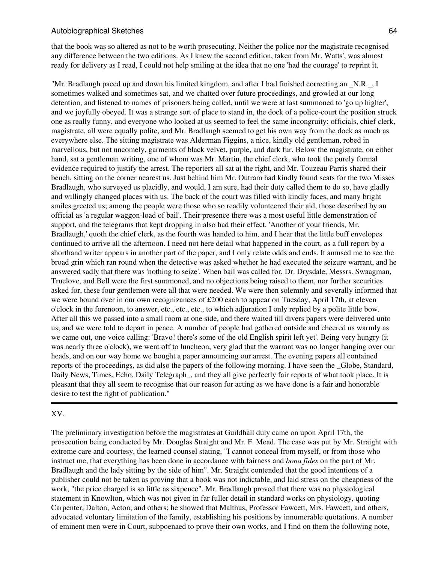that the book was so altered as not to be worth prosecuting. Neither the police nor the magistrate recognised any difference between the two editions. As I knew the second edition, taken from Mr. Watts', was almost ready for delivery as I read, I could not help smiling at the idea that no one 'had the courage' to reprint it.

"Mr. Bradlaugh paced up and down his limited kingdom, and after I had finished correcting an \_N.R.\_, I sometimes walked and sometimes sat, and we chatted over future proceedings, and growled at our long detention, and listened to names of prisoners being called, until we were at last summoned to 'go up higher', and we joyfully obeyed. It was a strange sort of place to stand in, the dock of a police-court the position struck one as really funny, and everyone who looked at us seemed to feel the same incongruity: officials, chief clerk, magistrate, all were equally polite, and Mr. Bradlaugh seemed to get his own way from the dock as much as everywhere else. The sitting magistrate was Alderman Figgins, a nice, kindly old gentleman, robed in marvellous, but not uncomely, garments of black velvet, purple, and dark fur. Below the magistrate, on either hand, sat a gentleman writing, one of whom was Mr. Martin, the chief clerk, who took the purely formal evidence required to justify the arrest. The reporters all sat at the right, and Mr. Touzeau Parris shared their bench, sitting on the corner nearest us. Just behind him Mr. Outram had kindly found seats for the two Misses Bradlaugh, who surveyed us placidly, and would, I am sure, had their duty called them to do so, have gladly and willingly changed places with us. The back of the court was filled with kindly faces, and many bright smiles greeted us; among the people were those who so readily volunteered their aid, those described by an official as 'a regular waggon-load of bail'. Their presence there was a most useful little demonstration of support, and the telegrams that kept dropping in also had their effect. 'Another of your friends, Mr. Bradlaugh,' quoth the chief clerk, as the fourth was handed to him, and I hear that the little buff envelopes continued to arrive all the afternoon. I need not here detail what happened in the court, as a full report by a shorthand writer appears in another part of the paper, and I only relate odds and ends. It amused me to see the broad grin which ran round when the detective was asked whether he had executed the seizure warrant, and he answered sadly that there was 'nothing to seize'. When bail was called for, Dr. Drysdale, Messrs. Swaagman, Truelove, and Bell were the first summoned, and no objections being raised to them, nor further securities asked for, these four gentlemen were all that were needed. We were then solemnly and severally informed that we were bound over in our own recognizances of £200 each to appear on Tuesday, April 17th, at eleven o'clock in the forenoon, to answer, etc., etc., etc., to which adjuration I only replied by a polite little bow. After all this we passed into a small room at one side, and there waited till divers papers were delivered unto us, and we were told to depart in peace. A number of people had gathered outside and cheered us warmly as we came out, one voice calling: 'Bravo! there's some of the old English spirit left yet'. Being very hungry (it was nearly three o'clock), we went off to luncheon, very glad that the warrant was no longer hanging over our heads, and on our way home we bought a paper announcing our arrest. The evening papers all contained reports of the proceedings, as did also the papers of the following morning. I have seen the \_Globe, Standard, Daily News, Times, Echo, Daily Telegraph, and they all give perfectly fair reports of what took place. It is pleasant that they all seem to recognise that our reason for acting as we have done is a fair and honorable desire to test the right of publication."

#### XV.

The preliminary investigation before the magistrates at Guildhall duly came on upon April 17th, the prosecution being conducted by Mr. Douglas Straight and Mr. F. Mead. The case was put by Mr. Straight with extreme care and courtesy, the learned counsel stating, "I cannot conceal from myself, or from those who instruct me, that everything has been done in accordance with fairness and *bona fides* on the part of Mr. Bradlaugh and the lady sitting by the side of him". Mr. Straight contended that the good intentions of a publisher could not be taken as proving that a book was not indictable, and laid stress on the cheapness of the work, "the price charged is so little as sixpence". Mr. Bradlaugh proved that there was no physiological statement in Knowlton, which was not given in far fuller detail in standard works on physiology, quoting Carpenter, Dalton, Acton, and others; he showed that Malthus, Professor Fawcett, Mrs. Fawcett, and others, advocated voluntary limitation of the family, establishing his positions by innumerable quotations. A number of eminent men were in Court, subpoenaed to prove their own works, and I find on them the following note,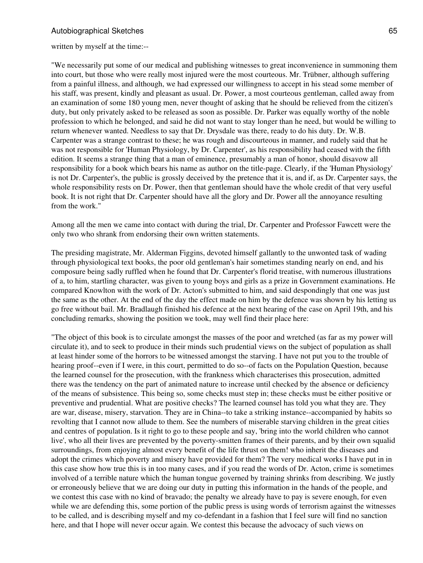written by myself at the time:--

"We necessarily put some of our medical and publishing witnesses to great inconvenience in summoning them into court, but those who were really most injured were the most courteous. Mr. Trübner, although suffering from a painful illness, and although, we had expressed our willingness to accept in his stead some member of his staff, was present, kindly and pleasant as usual. Dr. Power, a most courteous gentleman, called away from an examination of some 180 young men, never thought of asking that he should be relieved from the citizen's duty, but only privately asked to be released as soon as possible. Dr. Parker was equally worthy of the noble profession to which he belonged, and said he did not want to stay longer than he need, but would be willing to return whenever wanted. Needless to say that Dr. Drysdale was there, ready to do his duty. Dr. W.B. Carpenter was a strange contrast to these; he was rough and discourteous in manner, and rudely said that he was not responsible for 'Human Physiology, by Dr. Carpenter', as his responsibility had ceased with the fifth edition. It seems a strange thing that a man of eminence, presumably a man of honor, should disavow all responsibility for a book which bears his name as author on the title-page. Clearly, if the 'Human Physiology' is not Dr. Carpenter's, the public is grossly deceived by the pretence that it is, and if, as Dr. Carpenter says, the whole responsibility rests on Dr. Power, then that gentleman should have the whole credit of that very useful book. It is not right that Dr. Carpenter should have all the glory and Dr. Power all the annoyance resulting from the work."

Among all the men we came into contact with during the trial, Dr. Carpenter and Professor Fawcett were the only two who shrank from endorsing their own written statements.

The presiding magistrate, Mr. Alderman Figgins, devoted himself gallantly to the unwonted task of wading through physiological text books, the poor old gentleman's hair sometimes standing nearly on end, and his composure being sadly ruffled when he found that Dr. Carpenter's florid treatise, with numerous illustrations of a, to him, startling character, was given to young boys and girls as a prize in Government examinations. He compared Knowlton with the work of Dr. Acton's submitted to him, and said despondingly that one was just the same as the other. At the end of the day the effect made on him by the defence was shown by his letting us go free without bail. Mr. Bradlaugh finished his defence at the next hearing of the case on April 19th, and his concluding remarks, showing the position we took, may well find their place here:

"The object of this book is to circulate amongst the masses of the poor and wretched (as far as my power will circulate it), and to seek to produce in their minds such prudential views on the subject of population as shall at least hinder some of the horrors to be witnessed amongst the starving. I have not put you to the trouble of hearing proof--even if I were, in this court, permitted to do so--of facts on the Population Question, because the learned counsel for the prosecution, with the frankness which characterises this prosecution, admitted there was the tendency on the part of animated nature to increase until checked by the absence or deficiency of the means of subsistence. This being so, some checks must step in; these checks must be either positive or preventive and prudential. What are positive checks? The learned counsel has told you what they are. They are war, disease, misery, starvation. They are in China--to take a striking instance--accompanied by habits so revolting that I cannot now allude to them. See the numbers of miserable starving children in the great cities and centres of population. Is it right to go to these people and say, 'bring into the world children who cannot live', who all their lives are prevented by the poverty-smitten frames of their parents, and by their own squalid surroundings, from enjoying almost every benefit of the life thrust on them! who inherit the diseases and adopt the crimes which poverty and misery have provided for them? The very medical works I have put in in this case show how true this is in too many cases, and if you read the words of Dr. Acton, crime is sometimes involved of a terrible nature which the human tongue governed by training shrinks from describing. We justly or erroneously believe that we are doing our duty in putting this information in the hands of the people, and we contest this case with no kind of bravado; the penalty we already have to pay is severe enough, for even while we are defending this, some portion of the public press is using words of terrorism against the witnesses to be called, and is describing myself and my co-defendant in a fashion that I feel sure will find no sanction here, and that I hope will never occur again. We contest this because the advocacy of such views on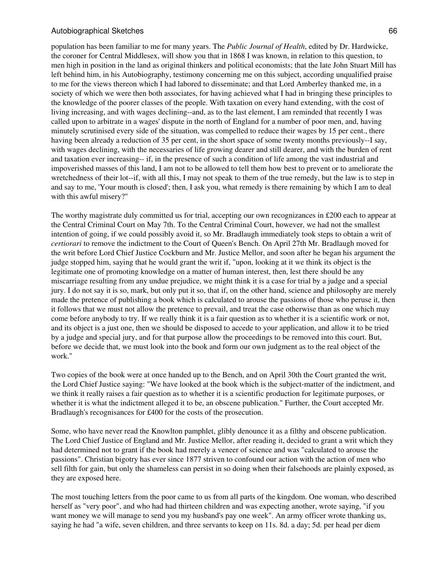population has been familiar to me for many years. The *Public Journal of Health*, edited by Dr. Hardwicke, the coroner for Central Middlesex, will show you that in 1868 I was known, in relation to this question, to men high in position in the land as original thinkers and political economists; that the late John Stuart Mill has left behind him, in his Autobiography, testimony concerning me on this subject, according unqualified praise to me for the views thereon which I had labored to disseminate; and that Lord Amberley thanked me, in a society of which we were then both associates, for having achieved what I had in bringing these principles to the knowledge of the poorer classes of the people. With taxation on every hand extending, with the cost of living increasing, and with wages declining--and, as to the last element, I am reminded that recently I was called upon to arbitrate in a wages' dispute in the north of England for a number of poor men, and, having minutely scrutinised every side of the situation, was compelled to reduce their wages by 15 per cent., there having been already a reduction of 35 per cent, in the short space of some twenty months previously--I say, with wages declining, with the necessaries of life growing dearer and still dearer, and with the burden of rent and taxation ever increasing-- if, in the presence of such a condition of life among the vast industrial and impoverished masses of this land, I am not to be allowed to tell them how best to prevent or to ameliorate the wretchedness of their lot--if, with all this, I may not speak to them of the true remedy, but the law is to step in and say to me, 'Your mouth is closed'; then, I ask you, what remedy is there remaining by which I am to deal with this awful misery?"

The worthy magistrate duly committed us for trial, accepting our own recognizances in £200 each to appear at the Central Criminal Court on May 7th. To the Central Criminal Court, however, we had not the smallest intention of going, if we could possibly avoid it, so Mr. Bradlaugh immediately took steps to obtain a writ of *certiorari* to remove the indictment to the Court of Queen's Bench. On April 27th Mr. Bradlaugh moved for the writ before Lord Chief Justice Cockburn and Mr. Justice Mellor, and soon after he began his argument the judge stopped him, saying that he would grant the writ if, "upon, looking at it we think its object is the legitimate one of promoting knowledge on a matter of human interest, then, lest there should be any miscarriage resulting from any undue prejudice, we might think it is a case for trial by a judge and a special jury. I do not say it is so, mark, but only put it so, that if, on the other hand, science and philosophy are merely made the pretence of publishing a book which is calculated to arouse the passions of those who peruse it, then it follows that we must not allow the pretence to prevail, and treat the case otherwise than as one which may come before anybody to try. If we really think it is a fair question as to whether it is a scientific work or not, and its object is a just one, then we should be disposed to accede to your application, and allow it to be tried by a judge and special jury, and for that purpose allow the proceedings to be removed into this court. But, before we decide that, we must look into the book and form our own judgment as to the real object of the work."

Two copies of the book were at once handed up to the Bench, and on April 30th the Court granted the writ, the Lord Chief Justice saying: "We have looked at the book which is the subject-matter of the indictment, and we think it really raises a fair question as to whether it is a scientific production for legitimate purposes, or whether it is what the indictment alleged it to be, an obscene publication." Further, the Court accepted Mr. Bradlaugh's recognisances for £400 for the costs of the prosecution.

Some, who have never read the Knowlton pamphlet, glibly denounce it as a filthy and obscene publication. The Lord Chief Justice of England and Mr. Justice Mellor, after reading it, decided to grant a writ which they had determined not to grant if the book had merely a veneer of science and was "calculated to arouse the passions". Christian bigotry has ever since 1877 striven to confound our action with the action of men who sell filth for gain, but only the shameless can persist in so doing when their falsehoods are plainly exposed, as they are exposed here.

The most touching letters from the poor came to us from all parts of the kingdom. One woman, who described herself as "very poor", and who had had thirteen children and was expecting another, wrote saying, "if you want money we will manage to send you my husband's pay one week". An army officer wrote thanking us, saying he had "a wife, seven children, and three servants to keep on 11s. 8d. a day; 5d. per head per diem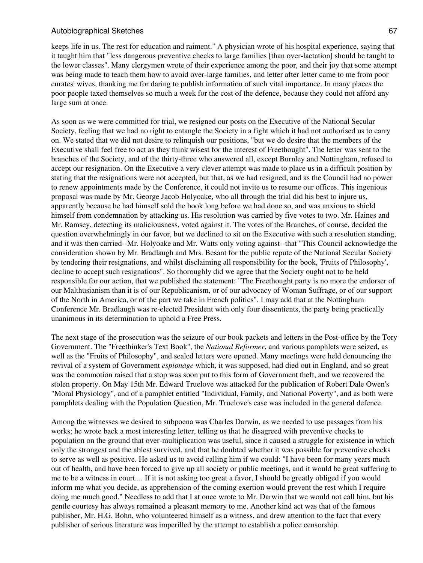keeps life in us. The rest for education and raiment." A physician wrote of his hospital experience, saying that it taught him that "less dangerous preventive checks to large families [than over-lactation] should be taught to the lower classes". Many clergymen wrote of their experience among the poor, and their joy that some attempt was being made to teach them how to avoid over-large families, and letter after letter came to me from poor curates' wives, thanking me for daring to publish information of such vital importance. In many places the poor people taxed themselves so much a week for the cost of the defence, because they could not afford any large sum at once.

As soon as we were committed for trial, we resigned our posts on the Executive of the National Secular Society, feeling that we had no right to entangle the Society in a fight which it had not authorised us to carry on. We stated that we did not desire to relinquish our positions, "but we do desire that the members of the Executive shall feel free to act as they think wisest for the interest of Freethought". The letter was sent to the branches of the Society, and of the thirty-three who answered all, except Burnley and Nottingham, refused to accept our resignation. On the Executive a very clever attempt was made to place us in a difficult position by stating that the resignations were not accepted, but that, as we had resigned, and as the Council had no power to renew appointments made by the Conference, it could not invite us to resume our offices. This ingenious proposal was made by Mr. George Jacob Holyoake, who all through the trial did his best to injure us, apparently because he had himself sold the book long before we had done so, and was anxious to shield himself from condemnation by attacking us. His resolution was carried by five votes to two. Mr. Haines and Mr. Ramsey, detecting its maliciousness, voted against it. The votes of the Branches, of course, decided the question overwhelmingly in our favor, but we declined to sit on the Executive with such a resolution standing, and it was then carried--Mr. Holyoake and Mr. Watts only voting against--that "This Council acknowledge the consideration shown by Mr. Bradlaugh and Mrs. Besant for the public repute of the National Secular Society by tendering their resignations, and whilst disclaiming all responsibility for the book, 'Fruits of Philosophy', decline to accept such resignations". So thoroughly did we agree that the Society ought not to be held responsible for our action, that we published the statement: "The Freethought party is no more the endorser of our Malthusianism than it is of our Republicanism, or of our advocacy of Woman Suffrage, or of our support of the North in America, or of the part we take in French politics". I may add that at the Nottingham Conference Mr. Bradlaugh was re-elected President with only four dissentients, the party being practically unanimous in its determination to uphold a Free Press.

The next stage of the prosecution was the seizure of our book packets and letters in the Post-office by the Tory Government. The "Freethinker's Text Book", the *National Reformer*, and various pamphlets were seized, as well as the "Fruits of Philosophy", and sealed letters were opened. Many meetings were held denouncing the revival of a system of Government *espionage* which, it was supposed, had died out in England, and so great was the commotion raised that a stop was soon put to this form of Government theft, and we recovered the stolen property. On May 15th Mr. Edward Truelove was attacked for the publication of Robert Dale Owen's "Moral Physiology", and of a pamphlet entitled "Individual, Family, and National Poverty", and as both were pamphlets dealing with the Population Question, Mr. Truelove's case was included in the general defence.

Among the witnesses we desired to subpoena was Charles Darwin, as we needed to use passages from his works; he wrote back a most interesting letter, telling us that he disagreed with preventive checks to population on the ground that over-multiplication was useful, since it caused a struggle for existence in which only the strongest and the ablest survived, and that he doubted whether it was possible for preventive checks to serve as well as positive. He asked us to avoid calling him if we could: "I have been for many years much out of health, and have been forced to give up all society or public meetings, and it would be great suffering to me to be a witness in court.... If it is not asking too great a favor, I should be greatly obliged if you would inform me what you decide, as apprehension of the coming exertion would prevent the rest which I require doing me much good." Needless to add that I at once wrote to Mr. Darwin that we would not call him, but his gentle courtesy has always remained a pleasant memory to me. Another kind act was that of the famous publisher, Mr. H.G. Bohn, who volunteered himself as a witness, and drew attention to the fact that every publisher of serious literature was imperilled by the attempt to establish a police censorship.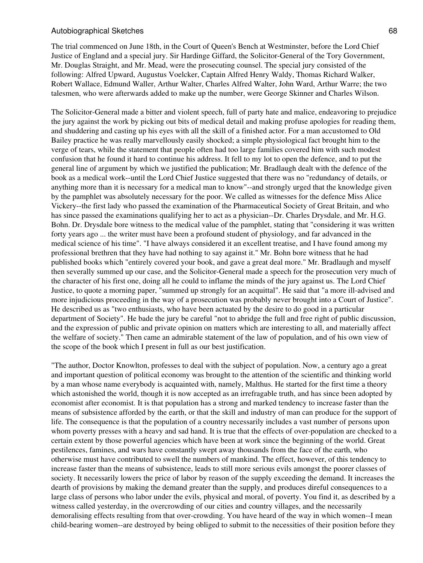The trial commenced on June 18th, in the Court of Queen's Bench at Westminster, before the Lord Chief Justice of England and a special jury. Sir Hardinge Giffard, the Solicitor-General of the Tory Government, Mr. Douglas Straight, and Mr. Mead, were the prosecuting counsel. The special jury consisted of the following: Alfred Upward, Augustus Voelcker, Captain Alfred Henry Waldy, Thomas Richard Walker, Robert Wallace, Edmund Waller, Arthur Walter, Charles Alfred Walter, John Ward, Arthur Warre; the two talesmen, who were afterwards added to make up the number, were George Skinner and Charles Wilson.

The Solicitor-General made a bitter and violent speech, full of party hate and malice, endeavoring to prejudice the jury against the work by picking out bits of medical detail and making profuse apologies for reading them, and shuddering and casting up his eyes with all the skill of a finished actor. For a man accustomed to Old Bailey practice he was really marvellously easily shocked; a simple physiological fact brought him to the verge of tears, while the statement that people often had too large families covered him with such modest confusion that he found it hard to continue his address. It fell to my lot to open the defence, and to put the general line of argument by which we justified the publication; Mr. Bradlaugh dealt with the defence of the book as a medical work--until the Lord Chief Justice suggested that there was no "redundancy of details, or anything more than it is necessary for a medical man to know"--and strongly urged that the knowledge given by the pamphlet was absolutely necessary for the poor. We called as witnesses for the defence Miss Alice Vickery--the first lady who passed the examination of the Pharmaceutical Society of Great Britain, and who has since passed the examinations qualifying her to act as a physician--Dr. Charles Drysdale, and Mr. H.G. Bohn. Dr. Drysdale bore witness to the medical value of the pamphlet, stating that "considering it was written forty years ago ... the writer must have been a profound student of physiology, and far advanced in the medical science of his time". "I have always considered it an excellent treatise, and I have found among my professional brethren that they have had nothing to say against it." Mr. Bohn bore witness that he had published books which "entirely covered your book, and gave a great deal more." Mr. Bradlaugh and myself then severally summed up our case, and the Solicitor-General made a speech for the prosecution very much of the character of his first one, doing all he could to inflame the minds of the jury against us. The Lord Chief Justice, to quote a morning paper, "summed up strongly for an acquittal". He said that "a more ill-advised and more injudicious proceeding in the way of a prosecution was probably never brought into a Court of Justice". He described us as "two enthusiasts, who have been actuated by the desire to do good in a particular department of Society". He bade the jury be careful "not to abridge the full and free right of public discussion, and the expression of public and private opinion on matters which are interesting to all, and materially affect the welfare of society." Then came an admirable statement of the law of population, and of his own view of the scope of the book which I present in full as our best justification.

"The author, Doctor Knowlton, professes to deal with the subject of population. Now, a century ago a great and important question of political economy was brought to the attention of the scientific and thinking world by a man whose name everybody is acquainted with, namely, Malthus. He started for the first time a theory which astonished the world, though it is now accepted as an irrefragable truth, and has since been adopted by economist after economist. It is that population has a strong and marked tendency to increase faster than the means of subsistence afforded by the earth, or that the skill and industry of man can produce for the support of life. The consequence is that the population of a country necessarily includes a vast number of persons upon whom poverty presses with a heavy and sad hand. It is true that the effects of over-population are checked to a certain extent by those powerful agencies which have been at work since the beginning of the world. Great pestilences, famines, and wars have constantly swept away thousands from the face of the earth, who otherwise must have contributed to swell the numbers of mankind. The effect, however, of this tendency to increase faster than the means of subsistence, leads to still more serious evils amongst the poorer classes of society. It necessarily lowers the price of labor by reason of the supply exceeding the demand. It increases the dearth of provisions by making the demand greater than the supply, and produces direful consequences to a large class of persons who labor under the evils, physical and moral, of poverty. You find it, as described by a witness called yesterday, in the overcrowding of our cities and country villages, and the necessarily demoralising effects resulting from that over-crowding. You have heard of the way in which women--I mean child-bearing women--are destroyed by being obliged to submit to the necessities of their position before they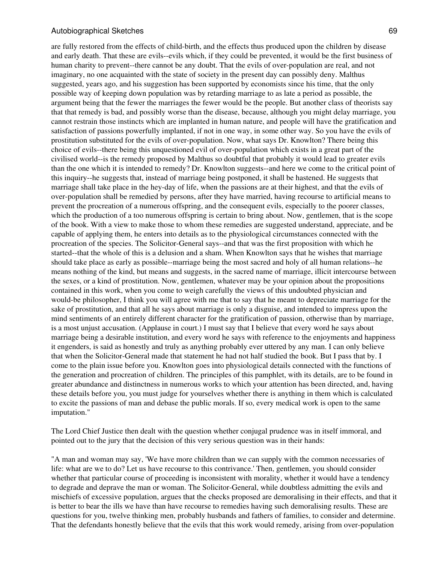are fully restored from the effects of child-birth, and the effects thus produced upon the children by disease and early death. That these are evils--evils which, if they could be prevented, it would be the first business of human charity to prevent--there cannot be any doubt. That the evils of over-population are real, and not imaginary, no one acquainted with the state of society in the present day can possibly deny. Malthus suggested, years ago, and his suggestion has been supported by economists since his time, that the only possible way of keeping down population was by retarding marriage to as late a period as possible, the argument being that the fewer the marriages the fewer would be the people. But another class of theorists say that that remedy is bad, and possibly worse than the disease, because, although you might delay marriage, you cannot restrain those instincts which are implanted in human nature, and people will have the gratification and satisfaction of passions powerfully implanted, if not in one way, in some other way. So you have the evils of prostitution substituted for the evils of over-population. Now, what says Dr. Knowlton? There being this choice of evils--there being this unquestioned evil of over-population which exists in a great part of the civilised world--is the remedy proposed by Malthus so doubtful that probably it would lead to greater evils than the one which it is intended to remedy? Dr. Knowlton suggests--and here we come to the critical point of this inquiry--he suggests that, instead of marriage being postponed, it shall be hastened. He suggests that marriage shall take place in the hey-day of life, when the passions are at their highest, and that the evils of over-population shall be remedied by persons, after they have married, having recourse to artificial means to prevent the procreation of a numerous offspring, and the consequent evils, especially to the poorer classes, which the production of a too numerous offspring is certain to bring about. Now, gentlemen, that is the scope of the book. With a view to make those to whom these remedies are suggested understand, appreciate, and be capable of applying them, he enters into details as to the physiological circumstances connected with the procreation of the species. The Solicitor-General says--and that was the first proposition with which he started--that the whole of this is a delusion and a sham. When Knowlton says that he wishes that marriage should take place as early as possible--marriage being the most sacred and holy of all human relations--he means nothing of the kind, but means and suggests, in the sacred name of marriage, illicit intercourse between the sexes, or a kind of prostitution. Now, gentlemen, whatever may be your opinion about the propositions contained in this work, when you come to weigh carefully the views of this undoubted physician and would-be philosopher, I think you will agree with me that to say that he meant to depreciate marriage for the sake of prostitution, and that all he says about marriage is only a disguise, and intended to impress upon the mind sentiments of an entirely different character for the gratification of passion, otherwise than by marriage, is a most unjust accusation. (Applause in court.) I must say that I believe that every word he says about marriage being a desirable institution, and every word he says with reference to the enjoyments and happiness it engenders, is said as honestly and truly as anything probably ever uttered by any man. I can only believe that when the Solicitor-General made that statement he had not half studied the book. But I pass that by. I come to the plain issue before you. Knowlton goes into physiological details connected with the functions of the generation and procreation of children. The principles of this pamphlet, with its details, are to be found in greater abundance and distinctness in numerous works to which your attention has been directed, and, having these details before you, you must judge for yourselves whether there is anything in them which is calculated to excite the passions of man and debase the public morals. If so, every medical work is open to the same imputation."

The Lord Chief Justice then dealt with the question whether conjugal prudence was in itself immoral, and pointed out to the jury that the decision of this very serious question was in their hands:

"A man and woman may say, 'We have more children than we can supply with the common necessaries of life: what are we to do? Let us have recourse to this contrivance.' Then, gentlemen, you should consider whether that particular course of proceeding is inconsistent with morality, whether it would have a tendency to degrade and deprave the man or woman. The Solicitor-General, while doubtless admitting the evils and mischiefs of excessive population, argues that the checks proposed are demoralising in their effects, and that it is better to bear the ills we have than have recourse to remedies having such demoralising results. These are questions for you, twelve thinking men, probably husbands and fathers of families, to consider and determine. That the defendants honestly believe that the evils that this work would remedy, arising from over-population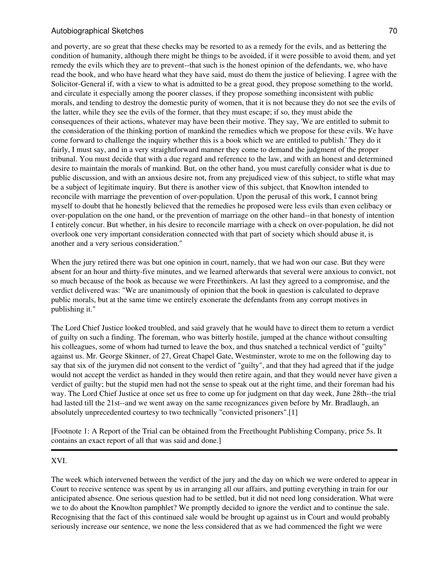and poverty, are so great that these checks may be resorted to as a remedy for the evils, and as bettering the condition of humanity, although there might be things to be avoided, if it were possible to avoid them, and yet remedy the evils which they are to prevent--that such is the honest opinion of the defendants, we, who have read the book, and who have heard what they have said, must do them the justice of believing. I agree with the Solicitor-General if, with a view to what is admitted to be a great good, they propose something to the world, and circulate it especially among the poorer classes, if they propose something inconsistent with public morals, and tending to destroy the domestic purity of women, that it is not because they do not see the evils of the latter, while they see the evils of the former, that they must escape; if so, they must abide the consequences of their actions, whatever may have been their motive. They say, 'We are entitled to submit to the consideration of the thinking portion of mankind the remedies which we propose for these evils. We have come forward to challenge the inquiry whether this is a book which we are entitled to publish.' They do it fairly, I must say, and in a very straightforward manner they come to demand the judgment of the proper tribunal. You must decide that with a due regard and reference to the law, and with an honest and determined desire to maintain the morals of mankind. But, on the other hand, you must carefully consider what is due to public discussion, and with an anxious desire not, from any prejudiced view of this subject, to stifle what may be a subject of legitimate inquiry. But there is another view of this subject, that Knowlton intended to reconcile with marriage the prevention of over-population. Upon the perusal of this work, I cannot bring myself to doubt that he honestly believed that the remedies he proposed were less evils than even celibacy or over-population on the one hand, or the prevention of marriage on the other hand--in that honesty of intention I entirely concur. But whether, in his desire to reconcile marriage with a check on over-population, he did not overlook one very important consideration connected with that part of society which should abuse it, is another and a very serious consideration."

When the jury retired there was but one opinion in court, namely, that we had won our case. But they were absent for an hour and thirty-five minutes, and we learned afterwards that several were anxious to convict, not so much because of the book as because we were Freethinkers. At last they agreed to a compromise, and the verdict delivered was: "We are unanimously of opinion that the book in question is calculated to deprave public morals, but at the same time we entirely exonerate the defendants from any corrupt motives in publishing it."

The Lord Chief Justice looked troubled, and said gravely that he would have to direct them to return a verdict of guilty on such a finding. The foreman, who was bitterly hostile, jumped at the chance without consulting his colleagues, some of whom had turned to leave the box, and thus snatched a technical verdict of "guilty" against us. Mr. George Skinner, of 27, Great Chapel Gate, Westminster, wrote to me on the following day to say that six of the jurymen did not consent to the verdict of "guilty", and that they had agreed that if the judge would not accept the verdict as handed in they would then retire again, and that they would never have given a verdict of guilty; but the stupid men had not the sense to speak out at the right time, and their foreman had his way. The Lord Chief Justice at once set us free to come up for judgment on that day week, June 28th--the trial had lasted till the 21st--and we went away on the same recognizances given before by Mr. Bradlaugh, an absolutely unprecedented courtesy to two technically "convicted prisoners".[1]

[Footnote 1: A Report of the Trial can be obtained from the Freethought Publishing Company, price 5s. It contains an exact report of all that was said and done.]

### XVI.

The week which intervened between the verdict of the jury and the day on which we were ordered to appear in Court to receive sentence was spent by us in arranging all our affairs, and putting everything in train for our anticipated absence. One serious question had to be settled, but it did not need long consideration. What were we to do about the Knowlton pamphlet? We promptly decided to ignore the verdict and to continue the sale. Recognising that the fact of this continued sale would be brought up against us in Court and would probably seriously increase our sentence, we none the less considered that as we had commenced the fight we were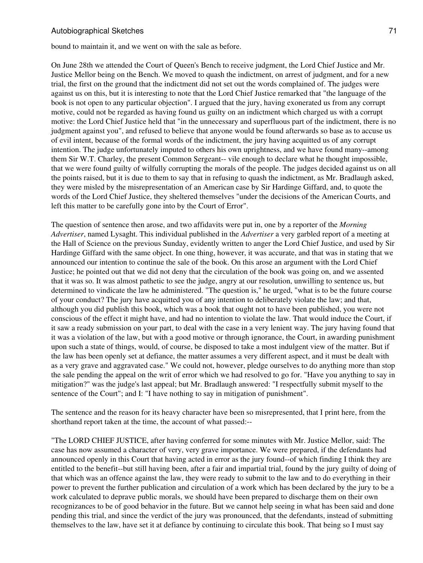bound to maintain it, and we went on with the sale as before.

On June 28th we attended the Court of Queen's Bench to receive judgment, the Lord Chief Justice and Mr. Justice Mellor being on the Bench. We moved to quash the indictment, on arrest of judgment, and for a new trial, the first on the ground that the indictment did not set out the words complained of. The judges were against us on this, but it is interesting to note that the Lord Chief Justice remarked that "the language of the book is not open to any particular objection". I argued that the jury, having exonerated us from any corrupt motive, could not be regarded as having found us guilty on an indictment which charged us with a corrupt motive: the Lord Chief Justice held that "in the unnecessary and superfluous part of the indictment, there is no judgment against you", and refused to believe that anyone would be found afterwards so base as to accuse us of evil intent, because of the formal words of the indictment, the jury having acquitted us of any corrupt intention. The judge unfortunately imputed to others his own uprightness, and we have found many--among them Sir W.T. Charley, the present Common Sergeant-- vile enough to declare what he thought impossible, that we were found guilty of wilfully corrupting the morals of the people. The judges decided against us on all the points raised, but it is due to them to say that in refusing to quash the indictment, as Mr. Bradlaugh asked, they were misled by the misrepresentation of an American case by Sir Hardinge Giffard, and, to quote the words of the Lord Chief Justice, they sheltered themselves "under the decisions of the American Courts, and left this matter to be carefully gone into by the Court of Error".

The question of sentence then arose, and two affidavits were put in, one by a reporter of the *Morning Advertiser*, named Lysaght. This individual published in the *Advertiser* a very garbled report of a meeting at the Hall of Science on the previous Sunday, evidently written to anger the Lord Chief Justice, and used by Sir Hardinge Giffard with the same object. In one thing, however, it was accurate, and that was in stating that we announced our intention to continue the sale of the book. On this arose an argument with the Lord Chief Justice; he pointed out that we did not deny that the circulation of the book was going on, and we assented that it was so. It was almost pathetic to see the judge, angry at our resolution, unwilling to sentence us, but determined to vindicate the law he administered. "The question is," he urged, "what is to be the future course of your conduct? The jury have acquitted you of any intention to deliberately violate the law; and that, although you did publish this book, which was a book that ought not to have been published, you were not conscious of the effect it might have, and had no intention to violate the law. That would induce the Court, if it saw a ready submission on your part, to deal with the case in a very lenient way. The jury having found that it was a violation of the law, but with a good motive or through ignorance, the Court, in awarding punishment upon such a state of things, would, of course, be disposed to take a most indulgent view of the matter. But if the law has been openly set at defiance, the matter assumes a very different aspect, and it must be dealt with as a very grave and aggravated case." We could not, however, pledge ourselves to do anything more than stop the sale pending the appeal on the writ of error which we had resolved to go for. "Have you anything to say in mitigation?" was the judge's last appeal; but Mr. Bradlaugh answered: "I respectfully submit myself to the sentence of the Court"; and I: "I have nothing to say in mitigation of punishment".

The sentence and the reason for its heavy character have been so misrepresented, that I print here, from the shorthand report taken at the time, the account of what passed:--

"The LORD CHIEF JUSTICE, after having conferred for some minutes with Mr. Justice Mellor, said: The case has now assumed a character of very, very grave importance. We were prepared, if the defendants had announced openly in this Court that having acted in error as the jury found--of which finding I think they are entitled to the benefit--but still having been, after a fair and impartial trial, found by the jury guilty of doing of that which was an offence against the law, they were ready to submit to the law and to do everything in their power to prevent the further publication and circulation of a work which has been declared by the jury to be a work calculated to deprave public morals, we should have been prepared to discharge them on their own recognizances to be of good behavior in the future. But we cannot help seeing in what has been said and done pending this trial, and since the verdict of the jury was pronounced, that the defendants, instead of submitting themselves to the law, have set it at defiance by continuing to circulate this book. That being so I must say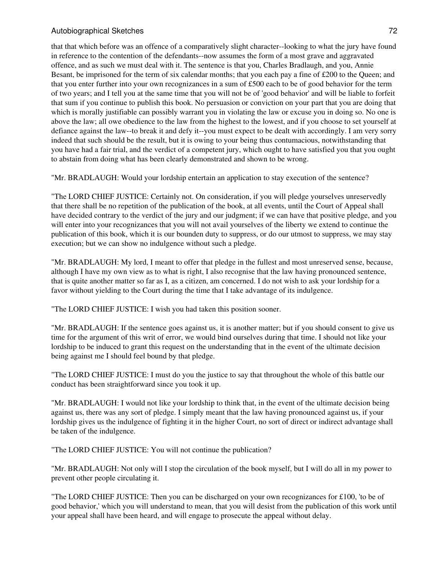that that which before was an offence of a comparatively slight character--looking to what the jury have found in reference to the contention of the defendants--now assumes the form of a most grave and aggravated offence, and as such we must deal with it. The sentence is that you, Charles Bradlaugh, and you, Annie Besant, be imprisoned for the term of six calendar months; that you each pay a fine of £200 to the Queen; and that you enter further into your own recognizances in a sum of £500 each to be of good behavior for the term of two years; and I tell you at the same time that you will not be of 'good behavior' and will be liable to forfeit that sum if you continue to publish this book. No persuasion or conviction on your part that you are doing that which is morally justifiable can possibly warrant you in violating the law or excuse you in doing so. No one is above the law; all owe obedience to the law from the highest to the lowest, and if you choose to set yourself at defiance against the law--to break it and defy it--you must expect to be dealt with accordingly. I am very sorry indeed that such should be the result, but it is owing to your being thus contumacious, notwithstanding that you have had a fair trial, and the verdict of a competent jury, which ought to have satisfied you that you ought to abstain from doing what has been clearly demonstrated and shown to be wrong.

"Mr. BRADLAUGH: Would your lordship entertain an application to stay execution of the sentence?

"The LORD CHIEF JUSTICE: Certainly not. On consideration, if you will pledge yourselves unreservedly that there shall be no repetition of the publication of the book, at all events, until the Court of Appeal shall have decided contrary to the verdict of the jury and our judgment; if we can have that positive pledge, and you will enter into your recognizances that you will not avail yourselves of the liberty we extend to continue the publication of this book, which it is our bounden duty to suppress, or do our utmost to suppress, we may stay execution; but we can show no indulgence without such a pledge.

"Mr. BRADLAUGH: My lord, I meant to offer that pledge in the fullest and most unreserved sense, because, although I have my own view as to what is right, I also recognise that the law having pronounced sentence, that is quite another matter so far as I, as a citizen, am concerned. I do not wish to ask your lordship for a favor without yielding to the Court during the time that I take advantage of its indulgence.

"The LORD CHIEF JUSTICE: I wish you had taken this position sooner.

"Mr. BRADLAUGH: If the sentence goes against us, it is another matter; but if you should consent to give us time for the argument of this writ of error, we would bind ourselves during that time. I should not like your lordship to be induced to grant this request on the understanding that in the event of the ultimate decision being against me I should feel bound by that pledge.

"The LORD CHIEF JUSTICE: I must do you the justice to say that throughout the whole of this battle our conduct has been straightforward since you took it up.

"Mr. BRADLAUGH: I would not like your lordship to think that, in the event of the ultimate decision being against us, there was any sort of pledge. I simply meant that the law having pronounced against us, if your lordship gives us the indulgence of fighting it in the higher Court, no sort of direct or indirect advantage shall be taken of the indulgence.

"The LORD CHIEF JUSTICE: You will not continue the publication?

"Mr. BRADLAUGH: Not only will I stop the circulation of the book myself, but I will do all in my power to prevent other people circulating it.

"The LORD CHIEF JUSTICE: Then you can be discharged on your own recognizances for £100, 'to be of good behavior,' which you will understand to mean, that you will desist from the publication of this work until your appeal shall have been heard, and will engage to prosecute the appeal without delay.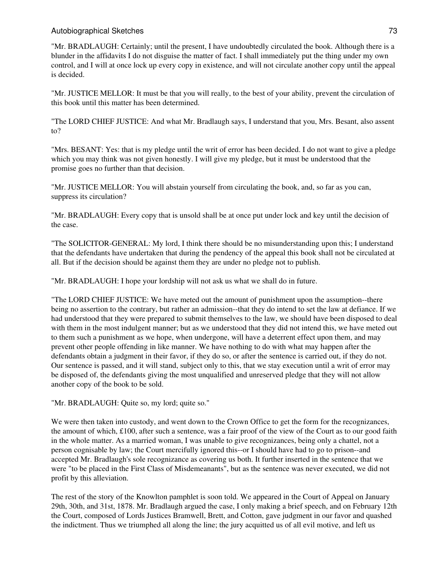"Mr. BRADLAUGH: Certainly; until the present, I have undoubtedly circulated the book. Although there is a blunder in the affidavits I do not disguise the matter of fact. I shall immediately put the thing under my own control, and I will at once lock up every copy in existence, and will not circulate another copy until the appeal is decided.

"Mr. JUSTICE MELLOR: It must be that you will really, to the best of your ability, prevent the circulation of this book until this matter has been determined.

"The LORD CHIEF JUSTICE: And what Mr. Bradlaugh says, I understand that you, Mrs. Besant, also assent to?

"Mrs. BESANT: Yes: that is my pledge until the writ of error has been decided. I do not want to give a pledge which you may think was not given honestly. I will give my pledge, but it must be understood that the promise goes no further than that decision.

"Mr. JUSTICE MELLOR: You will abstain yourself from circulating the book, and, so far as you can, suppress its circulation?

"Mr. BRADLAUGH: Every copy that is unsold shall be at once put under lock and key until the decision of the case.

"The SOLICITOR-GENERAL: My lord, I think there should be no misunderstanding upon this; I understand that the defendants have undertaken that during the pendency of the appeal this book shall not be circulated at all. But if the decision should be against them they are under no pledge not to publish.

"Mr. BRADLAUGH: I hope your lordship will not ask us what we shall do in future.

"The LORD CHIEF JUSTICE: We have meted out the amount of punishment upon the assumption--there being no assertion to the contrary, but rather an admission--that they do intend to set the law at defiance. If we had understood that they were prepared to submit themselves to the law, we should have been disposed to deal with them in the most indulgent manner; but as we understood that they did not intend this, we have meted out to them such a punishment as we hope, when undergone, will have a deterrent effect upon them, and may prevent other people offending in like manner. We have nothing to do with what may happen after the defendants obtain a judgment in their favor, if they do so, or after the sentence is carried out, if they do not. Our sentence is passed, and it will stand, subject only to this, that we stay execution until a writ of error may be disposed of, the defendants giving the most unqualified and unreserved pledge that they will not allow another copy of the book to be sold.

"Mr. BRADLAUGH: Quite so, my lord; quite so."

We were then taken into custody, and went down to the Crown Office to get the form for the recognizances, the amount of which,  $\pounds 100$ , after such a sentence, was a fair proof of the view of the Court as to our good faith in the whole matter. As a married woman, I was unable to give recognizances, being only a chattel, not a person cognisable by law; the Court mercifully ignored this--or I should have had to go to prison--and accepted Mr. Bradlaugh's sole recognizance as covering us both. It further inserted in the sentence that we were "to be placed in the First Class of Misdemeanants", but as the sentence was never executed, we did not profit by this alleviation.

The rest of the story of the Knowlton pamphlet is soon told. We appeared in the Court of Appeal on January 29th, 30th, and 31st, 1878. Mr. Bradlaugh argued the case, I only making a brief speech, and on February 12th the Court, composed of Lords Justices Bramwell, Brett, and Cotton, gave judgment in our favor and quashed the indictment. Thus we triumphed all along the line; the jury acquitted us of all evil motive, and left us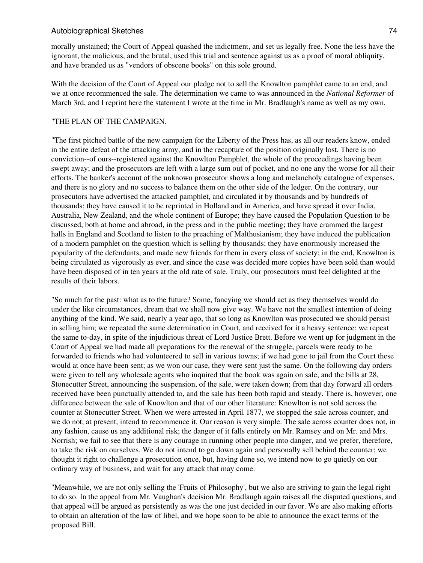morally unstained; the Court of Appeal quashed the indictment, and set us legally free. None the less have the ignorant, the malicious, and the brutal, used this trial and sentence against us as a proof of moral obliquity, and have branded us as "vendors of obscene books" on this sole ground.

With the decision of the Court of Appeal our pledge not to sell the Knowlton pamphlet came to an end, and we at once recommenced the sale. The determination we came to was announced in the *National Reformer* of March 3rd, and I reprint here the statement I wrote at the time in Mr. Bradlaugh's name as well as my own.

#### "THE PLAN OF THE CAMPAIGN.

"The first pitched battle of the new campaign for the Liberty of the Press has, as all our readers know, ended in the entire defeat of the attacking army, and in the recapture of the position originally lost. There is no conviction--of ours--registered against the Knowlton Pamphlet, the whole of the proceedings having been swept away; and the prosecutors are left with a large sum out of pocket, and no one any the worse for all their efforts. The banker's account of the unknown prosecutor shows a long and melancholy catalogue of expenses, and there is no glory and no success to balance them on the other side of the ledger. On the contrary, our prosecutors have advertised the attacked pamphlet, and circulated it by thousands and by hundreds of thousands; they have caused it to be reprinted in Holland and in America, and have spread it over India, Australia, New Zealand, and the whole continent of Europe; they have caused the Population Question to be discussed, both at home and abroad, in the press and in the public meeting; they have crammed the largest halls in England and Scotland to listen to the preaching of Malthusianism; they have induced the publication of a modern pamphlet on the question which is selling by thousands; they have enormously increased the popularity of the defendants, and made new friends for them in every class of society; in the end, Knowlton is being circulated as vigorously as ever, and since the case was decided more copies have been sold than would have been disposed of in ten years at the old rate of sale. Truly, our prosecutors must feel delighted at the results of their labors.

"So much for the past: what as to the future? Some, fancying we should act as they themselves would do under the like circumstances, dream that we shall now give way. We have not the smallest intention of doing anything of the kind. We said, nearly a year ago, that so long as Knowlton was prosecuted we should persist in selling him; we repeated the same determination in Court, and received for it a heavy sentence; we repeat the same to-day, in spite of the injudicious threat of Lord Justice Brett. Before we went up for judgment in the Court of Appeal we had made all preparations for the renewal of the struggle; parcels were ready to be forwarded to friends who had volunteered to sell in various towns; if we had gone to jail from the Court these would at once have been sent; as we won our case, they were sent just the same. On the following day orders were given to tell any wholesale agents who inquired that the book was again on sale, and the bills at 28, Stonecutter Street, announcing the suspension, of the sale, were taken down; from that day forward all orders received have been punctually attended to, and the sale has been both rapid and steady. There is, however, one difference between the sale of Knowlton and that of our other literature: Knowlton is not sold across the counter at Stonecutter Street. When we were arrested in April 1877, we stopped the sale across counter, and we do not, at present, intend to recommence it. Our reason is very simple. The sale across counter does not, in any fashion, cause us any additional risk; the danger of it falls entirely on Mr. Ramsey and on Mr. and Mrs. Norrish; we fail to see that there is any courage in running other people into danger, and we prefer, therefore, to take the risk on ourselves. We do not intend to go down again and personally sell behind the counter; we thought it right to challenge a prosecution once, but, having done so, we intend now to go quietly on our ordinary way of business, and wait for any attack that may come.

"Meanwhile, we are not only selling the 'Fruits of Philosophy', but we also are striving to gain the legal right to do so. In the appeal from Mr. Vaughan's decision Mr. Bradlaugh again raises all the disputed questions, and that appeal will be argued as persistently as was the one just decided in our favor. We are also making efforts to obtain an alteration of the law of libel, and we hope soon to be able to announce the exact terms of the proposed Bill.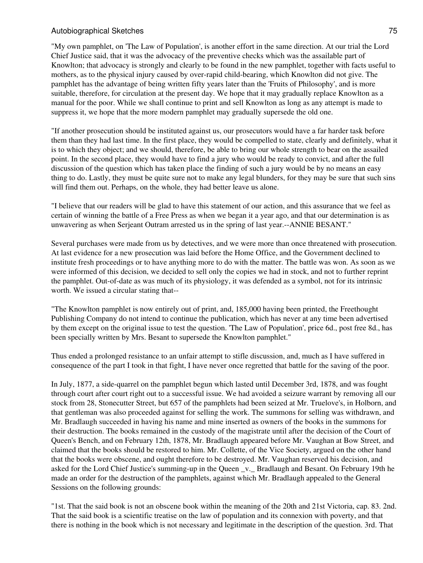"My own pamphlet, on 'The Law of Population', is another effort in the same direction. At our trial the Lord Chief Justice said, that it was the advocacy of the preventive checks which was the assailable part of Knowlton; that advocacy is strongly and clearly to be found in the new pamphlet, together with facts useful to mothers, as to the physical injury caused by over-rapid child-bearing, which Knowlton did not give. The pamphlet has the advantage of being written fifty years later than the 'Fruits of Philosophy', and is more suitable, therefore, for circulation at the present day. We hope that it may gradually replace Knowlton as a manual for the poor. While we shall continue to print and sell Knowlton as long as any attempt is made to suppress it, we hope that the more modern pamphlet may gradually supersede the old one.

"If another prosecution should be instituted against us, our prosecutors would have a far harder task before them than they had last time. In the first place, they would be compelled to state, clearly and definitely, what it is to which they object; and we should, therefore, be able to bring our whole strength to bear on the assailed point. In the second place, they would have to find a jury who would be ready to convict, and after the full discussion of the question which has taken place the finding of such a jury would be by no means an easy thing to do. Lastly, they must be quite sure not to make any legal blunders, for they may be sure that such sins will find them out. Perhaps, on the whole, they had better leave us alone.

"I believe that our readers will be glad to have this statement of our action, and this assurance that we feel as certain of winning the battle of a Free Press as when we began it a year ago, and that our determination is as unwavering as when Serjeant Outram arrested us in the spring of last year.--ANNIE BESANT."

Several purchases were made from us by detectives, and we were more than once threatened with prosecution. At last evidence for a new prosecution was laid before the Home Office, and the Government declined to institute fresh proceedings or to have anything more to do with the matter. The battle was won. As soon as we were informed of this decision, we decided to sell only the copies we had in stock, and not to further reprint the pamphlet. Out-of-date as was much of its physiology, it was defended as a symbol, not for its intrinsic worth. We issued a circular stating that--

"The Knowlton pamphlet is now entirely out of print, and, 185,000 having been printed, the Freethought Publishing Company do not intend to continue the publication, which has never at any time been advertised by them except on the original issue to test the question. 'The Law of Population', price 6d., post free 8d., has been specially written by Mrs. Besant to supersede the Knowlton pamphlet."

Thus ended a prolonged resistance to an unfair attempt to stifle discussion, and, much as I have suffered in consequence of the part I took in that fight, I have never once regretted that battle for the saving of the poor.

In July, 1877, a side-quarrel on the pamphlet begun which lasted until December 3rd, 1878, and was fought through court after court right out to a successful issue. We had avoided a seizure warrant by removing all our stock from 28, Stonecutter Street, but 657 of the pamphlets had been seized at Mr. Truelove's, in Holborn, and that gentleman was also proceeded against for selling the work. The summons for selling was withdrawn, and Mr. Bradlaugh succeeded in having his name and mine inserted as owners of the books in the summons for their destruction. The books remained in the custody of the magistrate until after the decision of the Court of Queen's Bench, and on February 12th, 1878, Mr. Bradlaugh appeared before Mr. Vaughan at Bow Street, and claimed that the books should be restored to him. Mr. Collette, of the Vice Society, argued on the other hand that the books were obscene, and ought therefore to be destroyed. Mr. Vaughan reserved his decision, and asked for the Lord Chief Justice's summing-up in the Queen \_v.\_ Bradlaugh and Besant. On February 19th he made an order for the destruction of the pamphlets, against which Mr. Bradlaugh appealed to the General Sessions on the following grounds:

"1st. That the said book is not an obscene book within the meaning of the 20th and 21st Victoria, cap. 83. 2nd. That the said book is a scientific treatise on the law of population and its connexion with poverty, and that there is nothing in the book which is not necessary and legitimate in the description of the question. 3rd. That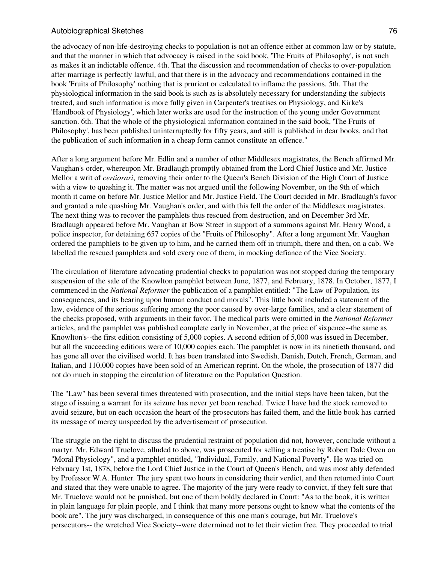the advocacy of non-life-destroying checks to population is not an offence either at common law or by statute, and that the manner in which that advocacy is raised in the said book, 'The Fruits of Philosophy', is not such as makes it an indictable offence. 4th. That the discussion and recommendation of checks to over-population after marriage is perfectly lawful, and that there is in the advocacy and recommendations contained in the book 'Fruits of Philosophy' nothing that is prurient or calculated to inflame the passions. 5th. That the physiological information in the said book is such as is absolutely necessary for understanding the subjects treated, and such information is more fully given in Carpenter's treatises on Physiology, and Kirke's 'Handbook of Physiology', which later works are used for the instruction of the young under Government sanction. 6th. That the whole of the physiological information contained in the said book, 'The Fruits of Philosophy', has been published uninterruptedly for fifty years, and still is published in dear books, and that the publication of such information in a cheap form cannot constitute an offence."

After a long argument before Mr. Edlin and a number of other Middlesex magistrates, the Bench affirmed Mr. Vaughan's order, whereupon Mr. Bradlaugh promptly obtained from the Lord Chief Justice and Mr. Justice Mellor a writ of *certiorari*, removing their order to the Queen's Bench Division of the High Court of Justice with a view to quashing it. The matter was not argued until the following November, on the 9th of which month it came on before Mr. Justice Mellor and Mr. Justice Field. The Court decided in Mr. Bradlaugh's favor and granted a rule quashing Mr. Vaughan's order, and with this fell the order of the Middlesex magistrates. The next thing was to recover the pamphlets thus rescued from destruction, and on December 3rd Mr. Bradlaugh appeared before Mr. Vaughan at Bow Street in support of a summons against Mr. Henry Wood, a police inspector, for detaining 657 copies of the "Fruits of Philosophy". After a long argument Mr. Vaughan ordered the pamphlets to be given up to him, and he carried them off in triumph, there and then, on a cab. We labelled the rescued pamphlets and sold every one of them, in mocking defiance of the Vice Society.

The circulation of literature advocating prudential checks to population was not stopped during the temporary suspension of the sale of the Knowlton pamphlet between June, 1877, and February, 1878. In October, 1877, I commenced in the *National Reformer* the publication of a pamphlet entitled: "The Law of Population, its consequences, and its bearing upon human conduct and morals". This little book included a statement of the law, evidence of the serious suffering among the poor caused by over-large families, and a clear statement of the checks proposed, with arguments in their favor. The medical parts were omitted in the *National Reformer* articles, and the pamphlet was published complete early in November, at the price of sixpence--the same as Knowlton's--the first edition consisting of 5,000 copies. A second edition of 5,000 was issued in December, but all the succeeding editions were of 10,000 copies each. The pamphlet is now in its ninetieth thousand, and has gone all over the civilised world. It has been translated into Swedish, Danish, Dutch, French, German, and Italian, and 110,000 copies have been sold of an American reprint. On the whole, the prosecution of 1877 did not do much in stopping the circulation of literature on the Population Question.

The "Law" has been several times threatened with prosecution, and the initial steps have been taken, but the stage of issuing a warrant for its seizure has never yet been reached. Twice I have had the stock removed to avoid seizure, but on each occasion the heart of the prosecutors has failed them, and the little book has carried its message of mercy unspeeded by the advertisement of prosecution.

The struggle on the right to discuss the prudential restraint of population did not, however, conclude without a martyr. Mr. Edward Truelove, alluded to above, was prosecuted for selling a treatise by Robert Dale Owen on "Moral Physiology", and a pamphlet entitled, "Individual, Family, and National Poverty". He was tried on February 1st, 1878, before the Lord Chief Justice in the Court of Queen's Bench, and was most ably defended by Professor W.A. Hunter. The jury spent two hours in considering their verdict, and then returned into Court and stated that they were unable to agree. The majority of the jury were ready to convict, if they felt sure that Mr. Truelove would not be punished, but one of them boldly declared in Court: "As to the book, it is written in plain language for plain people, and I think that many more persons ought to know what the contents of the book are". The jury was discharged, in consequence of this one man's courage, but Mr. Truelove's persecutors-- the wretched Vice Society--were determined not to let their victim free. They proceeded to trial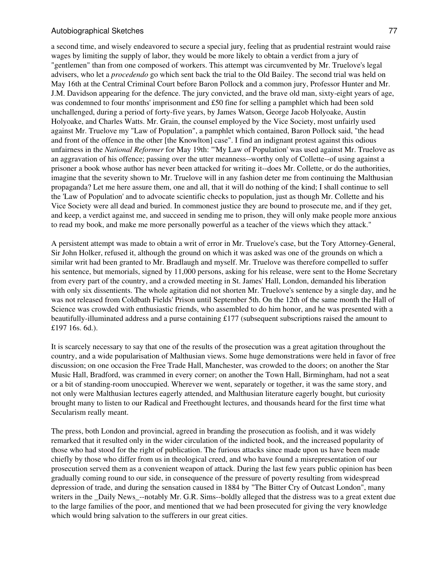a second time, and wisely endeavored to secure a special jury, feeling that as prudential restraint would raise wages by limiting the supply of labor, they would be more likely to obtain a verdict from a jury of "gentlemen" than from one composed of workers. This attempt was circumvented by Mr. Truelove's legal advisers, who let a *procedendo* go which sent back the trial to the Old Bailey. The second trial was held on May 16th at the Central Criminal Court before Baron Pollock and a common jury, Professor Hunter and Mr. J.M. Davidson appearing for the defence. The jury convicted, and the brave old man, sixty-eight years of age, was condemned to four months' imprisonment and £50 fine for selling a pamphlet which had been sold unchallenged, during a period of forty-five years, by James Watson, George Jacob Holyoake, Austin Holyoake, and Charles Watts. Mr. Grain, the counsel employed by the Vice Society, most unfairly used against Mr. Truelove my "Law of Population", a pamphlet which contained, Baron Pollock said, "the head and front of the offence in the other [the Knowlton] case". I find an indignant protest against this odious unfairness in the *National Reformer* for May 19th: "'My Law of Population' was used against Mr. Truelove as an aggravation of his offence; passing over the utter meanness--worthy only of Collette--of using against a prisoner a book whose author has never been attacked for writing it--does Mr. Collette, or do the authorities, imagine that the severity shown to Mr. Truelove will in any fashion deter me from continuing the Malthusian propaganda? Let me here assure them, one and all, that it will do nothing of the kind; I shall continue to sell the 'Law of Population' and to advocate scientific checks to population, just as though Mr. Collette and his Vice Society were all dead and buried. In commonest justice they are bound to prosecute me, and if they get, and keep, a verdict against me, and succeed in sending me to prison, they will only make people more anxious to read my book, and make me more personally powerful as a teacher of the views which they attack."

A persistent attempt was made to obtain a writ of error in Mr. Truelove's case, but the Tory Attorney-General, Sir John Holker, refused it, although the ground on which it was asked was one of the grounds on which a similar writ had been granted to Mr. Bradlaugh and myself. Mr. Truelove was therefore compelled to suffer his sentence, but memorials, signed by 11,000 persons, asking for his release, were sent to the Home Secretary from every part of the country, and a crowded meeting in St. James' Hall, London, demanded his liberation with only six dissentients. The whole agitation did not shorten Mr. Truelove's sentence by a single day, and he was not released from Coldbath Fields' Prison until September 5th. On the 12th of the same month the Hall of Science was crowded with enthusiastic friends, who assembled to do him honor, and he was presented with a beautifully-illuminated address and a purse containing £177 (subsequent subscriptions raised the amount to £197 16s. 6d.).

It is scarcely necessary to say that one of the results of the prosecution was a great agitation throughout the country, and a wide popularisation of Malthusian views. Some huge demonstrations were held in favor of free discussion; on one occasion the Free Trade Hall, Manchester, was crowded to the doors; on another the Star Music Hall, Bradford, was crammed in every corner; on another the Town Hall, Birmingham, had not a seat or a bit of standing-room unoccupied. Wherever we went, separately or together, it was the same story, and not only were Malthusian lectures eagerly attended, and Malthusian literature eagerly bought, but curiosity brought many to listen to our Radical and Freethought lectures, and thousands heard for the first time what Secularism really meant.

The press, both London and provincial, agreed in branding the prosecution as foolish, and it was widely remarked that it resulted only in the wider circulation of the indicted book, and the increased popularity of those who had stood for the right of publication. The furious attacks since made upon us have been made chiefly by those who differ from us in theological creed, and who have found a misrepresentation of our prosecution served them as a convenient weapon of attack. During the last few years public opinion has been gradually coming round to our side, in consequence of the pressure of poverty resulting from widespread depression of trade, and during the sensation caused in 1884 by "The Bitter Cry of Outcast London", many writers in the Daily News --notably Mr. G.R. Sims--boldly alleged that the distress was to a great extent due to the large families of the poor, and mentioned that we had been prosecuted for giving the very knowledge which would bring salvation to the sufferers in our great cities.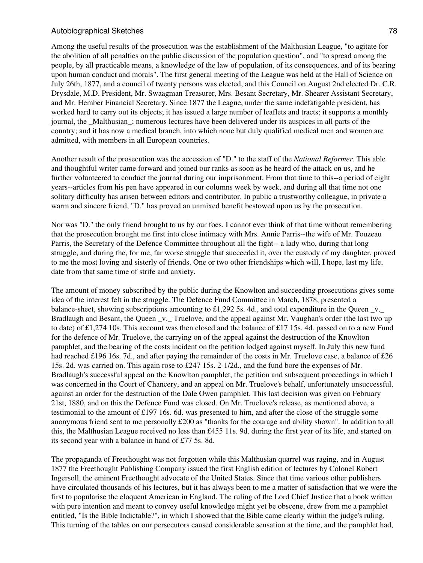Among the useful results of the prosecution was the establishment of the Malthusian League, "to agitate for the abolition of all penalties on the public discussion of the population question", and "to spread among the people, by all practicable means, a knowledge of the law of population, of its consequences, and of its bearing upon human conduct and morals". The first general meeting of the League was held at the Hall of Science on July 26th, 1877, and a council of twenty persons was elected, and this Council on August 2nd elected Dr. C.R. Drysdale, M.D. President, Mr. Swaagman Treasurer, Mrs. Besant Secretary, Mr. Shearer Assistant Secretary, and Mr. Hember Financial Secretary. Since 1877 the League, under the same indefatigable president, has worked hard to carry out its objects; it has issued a large number of leaflets and tracts; it supports a monthly journal, the Malthusian; numerous lectures have been delivered under its auspices in all parts of the country; and it has now a medical branch, into which none but duly qualified medical men and women are admitted, with members in all European countries.

Another result of the prosecution was the accession of "D." to the staff of the *National Reformer*. This able and thoughtful writer came forward and joined our ranks as soon as he heard of the attack on us, and he further volunteered to conduct the journal during our imprisonment. From that time to this--a period of eight years--articles from his pen have appeared in our columns week by week, and during all that time not one solitary difficulty has arisen between editors and contributor. In public a trustworthy colleague, in private a warm and sincere friend, "D." has proved an unmixed benefit bestowed upon us by the prosecution.

Nor was "D." the only friend brought to us by our foes. I cannot ever think of that time without remembering that the prosecution brought me first into close intimacy with Mrs. Annie Parris--the wife of Mr. Touzeau Parris, the Secretary of the Defence Committee throughout all the fight-- a lady who, during that long struggle, and during the, for me, far worse struggle that succeeded it, over the custody of my daughter, proved to me the most loving and sisterly of friends. One or two other friendships which will, I hope, last my life, date from that same time of strife and anxiety.

The amount of money subscribed by the public during the Knowlton and succeeding prosecutions gives some idea of the interest felt in the struggle. The Defence Fund Committee in March, 1878, presented a balance-sheet, showing subscriptions amounting to £1,292 5s. 4d., and total expenditure in the Queen  $\bar{v}$ . Bradlaugh and Besant, the Queen \_v.\_ Truelove, and the appeal against Mr. Vaughan's order (the last two up to date) of £1,274 10s. This account was then closed and the balance of £17 15s. 4d. passed on to a new Fund for the defence of Mr. Truelove, the carrying on of the appeal against the destruction of the Knowlton pamphlet, and the bearing of the costs incident on the petition lodged against myself. In July this new fund had reached £196 16s. 7d., and after paying the remainder of the costs in Mr. Truelove case, a balance of £26 15s. 2d. was carried on. This again rose to £247 15s. 2-1/2d., and the fund bore the expenses of Mr. Bradlaugh's successful appeal on the Knowlton pamphlet, the petition and subsequent proceedings in which I was concerned in the Court of Chancery, and an appeal on Mr. Truelove's behalf, unfortunately unsuccessful, against an order for the destruction of the Dale Owen pamphlet. This last decision was given on February 21st, 1880, and on this the Defence Fund was closed. On Mr. Truelove's release, as mentioned above, a testimonial to the amount of £197 16s. 6d. was presented to him, and after the close of the struggle some anonymous friend sent to me personally £200 as "thanks for the courage and ability shown". In addition to all this, the Malthusian League received no less than £455 11s. 9d. during the first year of its life, and started on its second year with a balance in hand of £77 5s. 8d.

The propaganda of Freethought was not forgotten while this Malthusian quarrel was raging, and in August 1877 the Freethought Publishing Company issued the first English edition of lectures by Colonel Robert Ingersoll, the eminent Freethought advocate of the United States. Since that time various other publishers have circulated thousands of his lectures, but it has always been to me a matter of satisfaction that we were the first to popularise the eloquent American in England. The ruling of the Lord Chief Justice that a book written with pure intention and meant to convey useful knowledge might yet be obscene, drew from me a pamphlet entitled, "Is the Bible Indictable?", in which I showed that the Bible came clearly within the judge's ruling. This turning of the tables on our persecutors caused considerable sensation at the time, and the pamphlet had,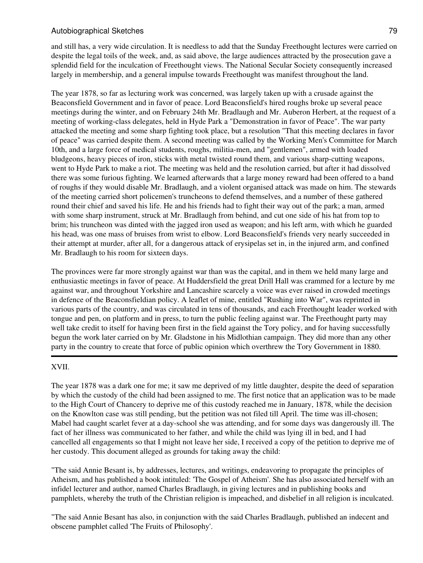and still has, a very wide circulation. It is needless to add that the Sunday Freethought lectures were carried on despite the legal toils of the week, and, as said above, the large audiences attracted by the prosecution gave a splendid field for the inculcation of Freethought views. The National Secular Society consequently increased largely in membership, and a general impulse towards Freethought was manifest throughout the land.

The year 1878, so far as lecturing work was concerned, was largely taken up with a crusade against the Beaconsfield Government and in favor of peace. Lord Beaconsfield's hired roughs broke up several peace meetings during the winter, and on February 24th Mr. Bradlaugh and Mr. Auberon Herbert, at the request of a meeting of working-class delegates, held in Hyde Park a "Demonstration in favor of Peace". The war party attacked the meeting and some sharp fighting took place, but a resolution "That this meeting declares in favor of peace" was carried despite them. A second meeting was called by the Working Men's Committee for March 10th, and a large force of medical students, roughs, militia-men, and "gentlemen", armed with loaded bludgeons, heavy pieces of iron, sticks with metal twisted round them, and various sharp-cutting weapons, went to Hyde Park to make a riot. The meeting was held and the resolution carried, but after it had dissolved there was some furious fighting. We learned afterwards that a large money reward had been offered to a band of roughs if they would disable Mr. Bradlaugh, and a violent organised attack was made on him. The stewards of the meeting carried short policemen's truncheons to defend themselves, and a number of these gathered round their chief and saved his life. He and his friends had to fight their way out of the park; a man, armed with some sharp instrument, struck at Mr. Bradlaugh from behind, and cut one side of his hat from top to brim; his truncheon was dinted with the jagged iron used as weapon; and his left arm, with which he guarded his head, was one mass of bruises from wrist to elbow. Lord Beaconsfield's friends very nearly succeeded in their attempt at murder, after all, for a dangerous attack of erysipelas set in, in the injured arm, and confined Mr. Bradlaugh to his room for sixteen days.

The provinces were far more strongly against war than was the capital, and in them we held many large and enthusiastic meetings in favor of peace. At Huddersfield the great Drill Hall was crammed for a lecture by me against war, and throughout Yorkshire and Lancashire scarcely a voice was ever raised in crowded meetings in defence of the Beaconsfieldian policy. A leaflet of mine, entitled "Rushing into War", was reprinted in various parts of the country, and was circulated in tens of thousands, and each Freethought leader worked with tongue and pen, on platform and in press, to turn the public feeling against war. The Freethought party may well take credit to itself for having been first in the field against the Tory policy, and for having successfully begun the work later carried on by Mr. Gladstone in his Midlothian campaign. They did more than any other party in the country to create that force of public opinion which overthrew the Tory Government in 1880.

## XVII.

The year 1878 was a dark one for me; it saw me deprived of my little daughter, despite the deed of separation by which the custody of the child had been assigned to me. The first notice that an application was to be made to the High Court of Chancery to deprive me of this custody reached me in January, 1878, while the decision on the Knowlton case was still pending, but the petition was not filed till April. The time was ill-chosen; Mabel had caught scarlet fever at a day-school she was attending, and for some days was dangerously ill. The fact of her illness was communicated to her father, and while the child was lying ill in bed, and I had cancelled all engagements so that I might not leave her side, I received a copy of the petition to deprive me of her custody. This document alleged as grounds for taking away the child:

"The said Annie Besant is, by addresses, lectures, and writings, endeavoring to propagate the principles of Atheism, and has published a book intituled: 'The Gospel of Atheism'. She has also associated herself with an infidel lecturer and author, named Charles Bradlaugh, in giving lectures and in publishing books and pamphlets, whereby the truth of the Christian religion is impeached, and disbelief in all religion is inculcated.

"The said Annie Besant has also, in conjunction with the said Charles Bradlaugh, published an indecent and obscene pamphlet called 'The Fruits of Philosophy'.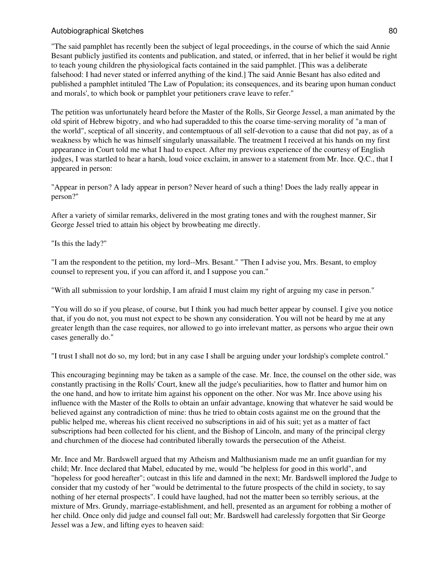"The said pamphlet has recently been the subject of legal proceedings, in the course of which the said Annie Besant publicly justified its contents and publication, and stated, or inferred, that in her belief it would be right to teach young children the physiological facts contained in the said pamphlet. [This was a deliberate falsehood: I had never stated or inferred anything of the kind.] The said Annie Besant has also edited and published a pamphlet intituled 'The Law of Population; its consequences, and its bearing upon human conduct and morals', to which book or pamphlet your petitioners crave leave to refer."

The petition was unfortunately heard before the Master of the Rolls, Sir George Jessel, a man animated by the old spirit of Hebrew bigotry, and who had superadded to this the coarse time-serving morality of "a man of the world", sceptical of all sincerity, and contemptuous of all self-devotion to a cause that did not pay, as of a weakness by which he was himself singularly unassailable. The treatment I received at his hands on my first appearance in Court told me what I had to expect. After my previous experience of the courtesy of English judges, I was startled to hear a harsh, loud voice exclaim, in answer to a statement from Mr. Ince. Q.C., that I appeared in person:

"Appear in person? A lady appear in person? Never heard of such a thing! Does the lady really appear in person?"

After a variety of similar remarks, delivered in the most grating tones and with the roughest manner, Sir George Jessel tried to attain his object by browbeating me directly.

"Is this the lady?"

"I am the respondent to the petition, my lord--Mrs. Besant." "Then I advise you, Mrs. Besant, to employ counsel to represent you, if you can afford it, and I suppose you can."

"With all submission to your lordship, I am afraid I must claim my right of arguing my case in person."

"You will do so if you please, of course, but I think you had much better appear by counsel. I give you notice that, if you do not, you must not expect to be shown any consideration. You will not be heard by me at any greater length than the case requires, nor allowed to go into irrelevant matter, as persons who argue their own cases generally do."

"I trust I shall not do so, my lord; but in any case I shall be arguing under your lordship's complete control."

This encouraging beginning may be taken as a sample of the case. Mr. Ince, the counsel on the other side, was constantly practising in the Rolls' Court, knew all the judge's peculiarities, how to flatter and humor him on the one hand, and how to irritate him against his opponent on the other. Nor was Mr. Ince above using his influence with the Master of the Rolls to obtain an unfair advantage, knowing that whatever he said would be believed against any contradiction of mine: thus he tried to obtain costs against me on the ground that the public helped me, whereas his client received no subscriptions in aid of his suit; yet as a matter of fact subscriptions had been collected for his client, and the Bishop of Lincoln, and many of the principal clergy and churchmen of the diocese had contributed liberally towards the persecution of the Atheist.

Mr. Ince and Mr. Bardswell argued that my Atheism and Malthusianism made me an unfit guardian for my child; Mr. Ince declared that Mabel, educated by me, would "be helpless for good in this world", and "hopeless for good hereafter"; outcast in this life and damned in the next; Mr. Bardswell implored the Judge to consider that my custody of her "would be detrimental to the future prospects of the child in society, to say nothing of her eternal prospects". I could have laughed, had not the matter been so terribly serious, at the mixture of Mrs. Grundy, marriage-establishment, and hell, presented as an argument for robbing a mother of her child. Once only did judge and counsel fall out; Mr. Bardswell had carelessly forgotten that Sir George Jessel was a Jew, and lifting eyes to heaven said: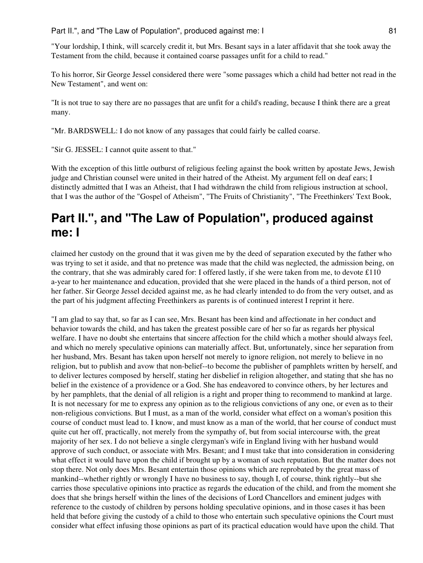"Your lordship, I think, will scarcely credit it, but Mrs. Besant says in a later affidavit that she took away the Testament from the child, because it contained coarse passages unfit for a child to read."

To his horror, Sir George Jessel considered there were "some passages which a child had better not read in the New Testament", and went on:

"It is not true to say there are no passages that are unfit for a child's reading, because I think there are a great many.

"Mr. BARDSWELL: I do not know of any passages that could fairly be called coarse.

"Sir G. JESSEL: I cannot quite assent to that."

With the exception of this little outburst of religious feeling against the book written by apostate Jews, Jewish judge and Christian counsel were united in their hatred of the Atheist. My argument fell on deaf ears; I distinctly admitted that I was an Atheist, that I had withdrawn the child from religious instruction at school, that I was the author of the "Gospel of Atheism", "The Fruits of Christianity", "The Freethinkers' Text Book,

# **Part II.", and "The Law of Population", produced against me: I**

claimed her custody on the ground that it was given me by the deed of separation executed by the father who was trying to set it aside, and that no pretence was made that the child was neglected, the admission being, on the contrary, that she was admirably cared for: I offered lastly, if she were taken from me, to devote £110 a-year to her maintenance and education, provided that she were placed in the hands of a third person, not of her father. Sir George Jessel decided against me, as he had clearly intended to do from the very outset, and as the part of his judgment affecting Freethinkers as parents is of continued interest I reprint it here.

"I am glad to say that, so far as I can see, Mrs. Besant has been kind and affectionate in her conduct and behavior towards the child, and has taken the greatest possible care of her so far as regards her physical welfare. I have no doubt she entertains that sincere affection for the child which a mother should always feel, and which no merely speculative opinions can materially affect. But, unfortunately, since her separation from her husband, Mrs. Besant has taken upon herself not merely to ignore religion, not merely to believe in no religion, but to publish and avow that non-belief--to become the publisher of pamphlets written by herself, and to deliver lectures composed by herself, stating her disbelief in religion altogether, and stating that she has no belief in the existence of a providence or a God. She has endeavored to convince others, by her lectures and by her pamphlets, that the denial of all religion is a right and proper thing to recommend to mankind at large. It is not necessary for me to express any opinion as to the religious convictions of any one, or even as to their non-religious convictions. But I must, as a man of the world, consider what effect on a woman's position this course of conduct must lead to. I know, and must know as a man of the world, that her course of conduct must quite cut her off, practically, not merely from the sympathy of, but from social intercourse with, the great majority of her sex. I do not believe a single clergyman's wife in England living with her husband would approve of such conduct, or associate with Mrs. Besant; and I must take that into consideration in considering what effect it would have upon the child if brought up by a woman of such reputation. But the matter does not stop there. Not only does Mrs. Besant entertain those opinions which are reprobated by the great mass of mankind--whether rightly or wrongly I have no business to say, though I, of course, think rightly--but she carries those speculative opinions into practice as regards the education of the child, and from the moment she does that she brings herself within the lines of the decisions of Lord Chancellors and eminent judges with reference to the custody of children by persons holding speculative opinions, and in those cases it has been held that before giving the custody of a child to those who entertain such speculative opinions the Court must consider what effect infusing those opinions as part of its practical education would have upon the child. That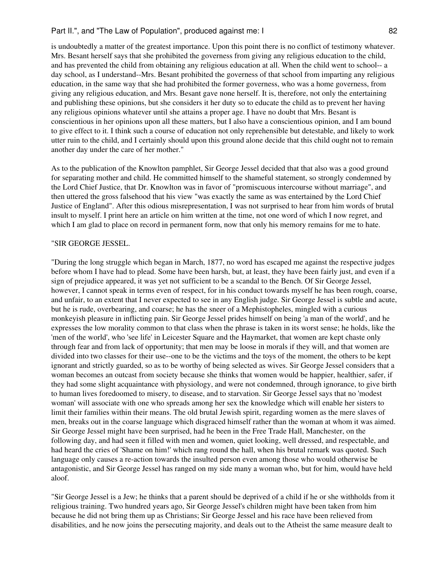is undoubtedly a matter of the greatest importance. Upon this point there is no conflict of testimony whatever. Mrs. Besant herself says that she prohibited the governess from giving any religious education to the child, and has prevented the child from obtaining any religious education at all. When the child went to school-- a day school, as I understand--Mrs. Besant prohibited the governess of that school from imparting any religious education, in the same way that she had prohibited the former governess, who was a home governess, from giving any religious education, and Mrs. Besant gave none herself. It is, therefore, not only the entertaining and publishing these opinions, but she considers it her duty so to educate the child as to prevent her having any religious opinions whatever until she attains a proper age. I have no doubt that Mrs. Besant is conscientious in her opinions upon all these matters, but I also have a conscientious opinion, and I am bound to give effect to it. I think such a course of education not only reprehensible but detestable, and likely to work utter ruin to the child, and I certainly should upon this ground alone decide that this child ought not to remain another day under the care of her mother."

As to the publication of the Knowlton pamphlet, Sir George Jessel decided that that also was a good ground for separating mother and child. He committed himself to the shameful statement, so strongly condemned by the Lord Chief Justice, that Dr. Knowlton was in favor of "promiscuous intercourse without marriage", and then uttered the gross falsehood that his view "was exactly the same as was entertained by the Lord Chief Justice of England". After this odious misrepresentation, I was not surprised to hear from him words of brutal insult to myself. I print here an article on him written at the time, not one word of which I now regret, and which I am glad to place on record in permanent form, now that only his memory remains for me to hate.

#### "SIR GEORGE JESSEL.

"During the long struggle which began in March, 1877, no word has escaped me against the respective judges before whom I have had to plead. Some have been harsh, but, at least, they have been fairly just, and even if a sign of prejudice appeared, it was yet not sufficient to be a scandal to the Bench. Of Sir George Jessel, however, I cannot speak in terms even of respect, for in his conduct towards myself he has been rough, coarse, and unfair, to an extent that I never expected to see in any English judge. Sir George Jessel is subtle and acute, but he is rude, overbearing, and coarse; he has the sneer of a Mephistopheles, mingled with a curious monkeyish pleasure in inflicting pain. Sir George Jessel prides himself on being 'a man of the world', and he expresses the low morality common to that class when the phrase is taken in its worst sense; he holds, like the 'men of the world', who 'see life' in Leicester Square and the Haymarket, that women are kept chaste only through fear and from lack of opportunity; that men may be loose in morals if they will, and that women are divided into two classes for their use--one to be the victims and the toys of the moment, the others to be kept ignorant and strictly guarded, so as to be worthy of being selected as wives. Sir George Jessel considers that a woman becomes an outcast from society because she thinks that women would be happier, healthier, safer, if they had some slight acquaintance with physiology, and were not condemned, through ignorance, to give birth to human lives foredoomed to misery, to disease, and to starvation. Sir George Jessel says that no 'modest woman' will associate with one who spreads among her sex the knowledge which will enable her sisters to limit their families within their means. The old brutal Jewish spirit, regarding women as the mere slaves of men, breaks out in the coarse language which disgraced himself rather than the woman at whom it was aimed. Sir George Jessel might have been surprised, had he been in the Free Trade Hall, Manchester, on the following day, and had seen it filled with men and women, quiet looking, well dressed, and respectable, and had heard the cries of 'Shame on him!' which rang round the hall, when his brutal remark was quoted. Such language only causes a re-action towards the insulted person even among those who would otherwise be antagonistic, and Sir George Jessel has ranged on my side many a woman who, but for him, would have held aloof.

"Sir George Jessel is a Jew; he thinks that a parent should be deprived of a child if he or she withholds from it religious training. Two hundred years ago, Sir George Jessel's children might have been taken from him because he did not bring them up as Christians; Sir George Jessel and his race have been relieved from disabilities, and he now joins the persecuting majority, and deals out to the Atheist the same measure dealt to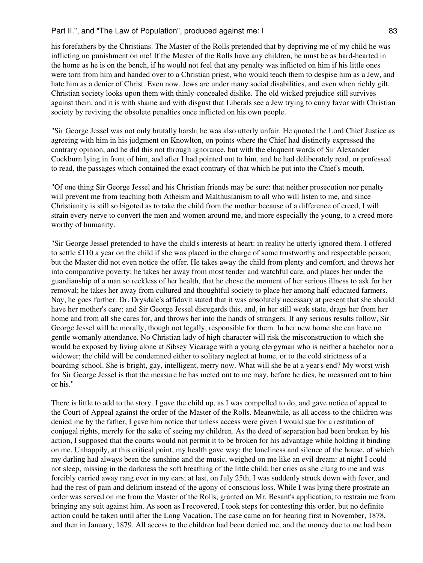his forefathers by the Christians. The Master of the Rolls pretended that by depriving me of my child he was inflicting no punishment on me! If the Master of the Rolls have any children, he must be as hard-hearted in the home as he is on the bench, if he would not feel that any penalty was inflicted on him if his little ones were torn from him and handed over to a Christian priest, who would teach them to despise him as a Jew, and hate him as a denier of Christ. Even now, Jews are under many social disabilities, and even when richly gilt, Christian society looks upon them with thinly-concealed dislike. The old wicked prejudice still survives against them, and it is with shame and with disgust that Liberals see a Jew trying to curry favor with Christian society by reviving the obsolete penalties once inflicted on his own people.

"Sir George Jessel was not only brutally harsh; he was also utterly unfair. He quoted the Lord Chief Justice as agreeing with him in his judgment on Knowlton, on points where the Chief had distinctly expressed the contrary opinion, and he did this not through ignorance, but with the eloquent words of Sir Alexander Cockburn lying in front of him, and after I had pointed out to him, and he had deliberately read, or professed to read, the passages which contained the exact contrary of that which he put into the Chief's mouth.

"Of one thing Sir George Jessel and his Christian friends may be sure: that neither prosecution nor penalty will prevent me from teaching both Atheism and Malthusianism to all who will listen to me, and since Christianity is still so bigoted as to take the child from the mother because of a difference of creed, I will strain every nerve to convert the men and women around me, and more especially the young, to a creed more worthy of humanity.

"Sir George Jessel pretended to have the child's interests at heart: in reality he utterly ignored them. I offered to settle £110 a year on the child if she was placed in the charge of some trustworthy and respectable person, but the Master did not even notice the offer. He takes away the child from plenty and comfort, and throws her into comparative poverty; he takes her away from most tender and watchful care, and places her under the guardianship of a man so reckless of her health, that he chose the moment of her serious illness to ask for her removal; he takes her away from cultured and thoughtful society to place her among half-educated farmers. Nay, he goes further: Dr. Drysdale's affidavit stated that it was absolutely necessary at present that she should have her mother's care; and Sir George Jessel disregards this, and, in her still weak state, drags her from her home and from all she cares for, and throws her into the hands of strangers. If any serious results follow, Sir George Jessel will be morally, though not legally, responsible for them. In her new home she can have no gentle womanly attendance. No Christian lady of high character will risk the misconstruction to which she would be exposed by living alone at Sibsey Vicarage with a young clergyman who is neither a bachelor nor a widower; the child will be condemned either to solitary neglect at home, or to the cold strictness of a boarding-school. She is bright, gay, intelligent, merry now. What will she be at a year's end? My worst wish for Sir George Jessel is that the measure he has meted out to me may, before he dies, be measured out to him or his."

There is little to add to the story. I gave the child up, as I was compelled to do, and gave notice of appeal to the Court of Appeal against the order of the Master of the Rolls. Meanwhile, as all access to the children was denied me by the father, I gave him notice that unless access were given I would sue for a restitution of conjugal rights, merely for the sake of seeing my children. As the deed of separation had been broken by his action, I supposed that the courts would not permit it to be broken for his advantage while holding it binding on me. Unhappily, at this critical point, my health gave way; the loneliness and silence of the house, of which my darling had always been the sunshine and the music, weighed on me like an evil dream: at night I could not sleep, missing in the darkness the soft breathing of the little child; her cries as she clung to me and was forcibly carried away rang ever in my ears; at last, on July 25th, I was suddenly struck down with fever, and had the rest of pain and delirium instead of the agony of conscious loss. While I was lying there prostrate an order was served on me from the Master of the Rolls, granted on Mr. Besant's application, to restrain me from bringing any suit against him. As soon as I recovered, I took steps for contesting this order, but no definite action could be taken until after the Long Vacation. The case came on for hearing first in November, 1878, and then in January, 1879. All access to the children had been denied me, and the money due to me had been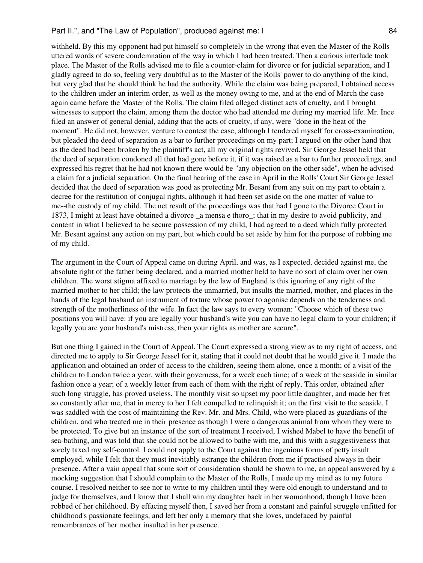withheld. By this my opponent had put himself so completely in the wrong that even the Master of the Rolls uttered words of severe condemnation of the way in which I had been treated. Then a curious interlude took place. The Master of the Rolls advised me to file a counter-claim for divorce or for judicial separation, and I gladly agreed to do so, feeling very doubtful as to the Master of the Rolls' power to do anything of the kind, but very glad that he should think he had the authority. While the claim was being prepared, I obtained access to the children under an interim order, as well as the money owing to me, and at the end of March the case again came before the Master of the Rolls. The claim filed alleged distinct acts of cruelty, and I brought witnesses to support the claim, among them the doctor who had attended me during my married life. Mr. Ince filed an answer of general denial, adding that the acts of cruelty, if any, were "done in the heat of the moment". He did not, however, venture to contest the case, although I tendered myself for cross-examination, but pleaded the deed of separation as a bar to further proceedings on my part; I argued on the other hand that as the deed had been broken by the plaintiff's act, all my original rights revived. Sir George Jessel held that the deed of separation condoned all that had gone before it, if it was raised as a bar to further proceedings, and expressed his regret that he had not known there would be "any objection on the other side", when he advised a claim for a judicial separation. On the final hearing of the case in April in the Rolls' Court Sir George Jessel decided that the deed of separation was good as protecting Mr. Besant from any suit on my part to obtain a decree for the restitution of conjugal rights, although it had been set aside on the one matter of value to me--the custody of my child. The net result of the proceedings was that had I gone to the Divorce Court in 1873, I might at least have obtained a divorce \_a mensa e thoro\_; that in my desire to avoid publicity, and content in what I believed to be secure possession of my child, I had agreed to a deed which fully protected Mr. Besant against any action on my part, but which could be set aside by him for the purpose of robbing me of my child.

The argument in the Court of Appeal came on during April, and was, as I expected, decided against me, the absolute right of the father being declared, and a married mother held to have no sort of claim over her own children. The worst stigma affixed to marriage by the law of England is this ignoring of any right of the married mother to her child; the law protects the unmarried, but insults the married, mother, and places in the hands of the legal husband an instrument of torture whose power to agonise depends on the tenderness and strength of the motherliness of the wife. In fact the law says to every woman: "Choose which of these two positions you will have: if you are legally your husband's wife you can have no legal claim to your children; if legally you are your husband's mistress, then your rights as mother are secure".

But one thing I gained in the Court of Appeal. The Court expressed a strong view as to my right of access, and directed me to apply to Sir George Jessel for it, stating that it could not doubt that he would give it. I made the application and obtained an order of access to the children, seeing them alone, once a month; of a visit of the children to London twice a year, with their governess, for a week each time; of a week at the seaside in similar fashion once a year; of a weekly letter from each of them with the right of reply. This order, obtained after such long struggle, has proved useless. The monthly visit so upset my poor little daughter, and made her fret so constantly after me, that in mercy to her I felt compelled to relinquish it; on the first visit to the seaside, I was saddled with the cost of maintaining the Rev. Mr. and Mrs. Child, who were placed as guardians of the children, and who treated me in their presence as though I were a dangerous animal from whom they were to be protected. To give but an instance of the sort of treatment I received, I wished Mabel to have the benefit of sea-bathing, and was told that she could not be allowed to bathe with me, and this with a suggestiveness that sorely taxed my self-control. I could not apply to the Court against the ingenious forms of petty insult employed, while I felt that they must inevitably estrange the children from me if practised always in their presence. After a vain appeal that some sort of consideration should be shown to me, an appeal answered by a mocking suggestion that I should complain to the Master of the Rolls, I made up my mind as to my future course. I resolved neither to see nor to write to my children until they were old enough to understand and to judge for themselves, and I know that I shall win my daughter back in her womanhood, though I have been robbed of her childhood. By effacing myself then, I saved her from a constant and painful struggle unfitted for childhood's passionate feelings, and left her only a memory that she loves, undefaced by painful remembrances of her mother insulted in her presence.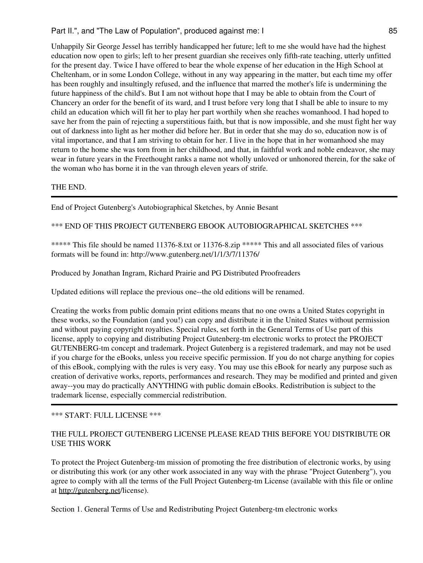Unhappily Sir George Jessel has terribly handicapped her future; left to me she would have had the highest education now open to girls; left to her present guardian she receives only fifth-rate teaching, utterly unfitted for the present day. Twice I have offered to bear the whole expense of her education in the High School at Cheltenham, or in some London College, without in any way appearing in the matter, but each time my offer has been roughly and insultingly refused, and the influence that marred the mother's life is undermining the future happiness of the child's. But I am not without hope that I may be able to obtain from the Court of Chancery an order for the benefit of its ward, and I trust before very long that I shall be able to insure to my child an education which will fit her to play her part worthily when she reaches womanhood. I had hoped to save her from the pain of rejecting a superstitious faith, but that is now impossible, and she must fight her way out of darkness into light as her mother did before her. But in order that she may do so, education now is of vital importance, and that I am striving to obtain for her. I live in the hope that in her womanhood she may return to the home she was torn from in her childhood, and that, in faithful work and noble endeavor, she may wear in future years in the Freethought ranks a name not wholly unloved or unhonored therein, for the sake of the woman who has borne it in the van through eleven years of strife.

# THE END.

End of Project Gutenberg's Autobiographical Sketches, by Annie Besant

\*\*\* END OF THIS PROJECT GUTENBERG EBOOK AUTOBIOGRAPHICAL SKETCHES \*\*\*

\*\*\*\*\* This file should be named 11376-8.txt or 11376-8.zip \*\*\*\*\* This and all associated files of various formats will be found in: http://www.gutenberg.net/1/1/3/7/11376/

Produced by Jonathan Ingram, Richard Prairie and PG Distributed Proofreaders

Updated editions will replace the previous one--the old editions will be renamed.

Creating the works from public domain print editions means that no one owns a United States copyright in these works, so the Foundation (and you!) can copy and distribute it in the United States without permission and without paying copyright royalties. Special rules, set forth in the General Terms of Use part of this license, apply to copying and distributing Project Gutenberg-tm electronic works to protect the PROJECT GUTENBERG-tm concept and trademark. Project Gutenberg is a registered trademark, and may not be used if you charge for the eBooks, unless you receive specific permission. If you do not charge anything for copies of this eBook, complying with the rules is very easy. You may use this eBook for nearly any purpose such as creation of derivative works, reports, performances and research. They may be modified and printed and given away--you may do practically ANYTHING with public domain eBooks. Redistribution is subject to the trademark license, especially commercial redistribution.

## \*\*\* START: FULL LICENSE \*\*\*

# THE FULL PROJECT GUTENBERG LICENSE PLEASE READ THIS BEFORE YOU DISTRIBUTE OR USE THIS WORK

To protect the Project Gutenberg-tm mission of promoting the free distribution of electronic works, by using or distributing this work (or any other work associated in any way with the phrase "Project Gutenberg"), you agree to comply with all the terms of the Full Project Gutenberg-tm License (available with this file or online at <http://gutenberg.net>/license).

Section 1. General Terms of Use and Redistributing Project Gutenberg-tm electronic works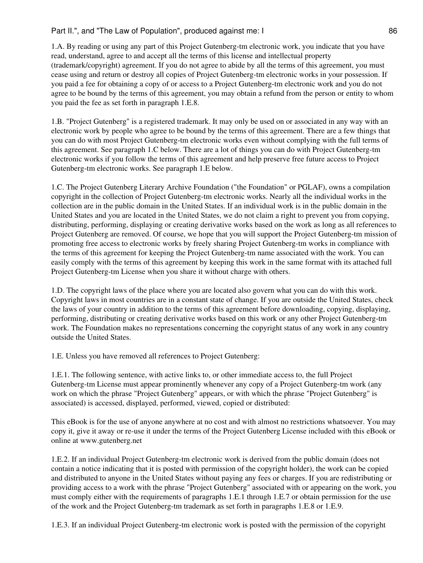1.A. By reading or using any part of this Project Gutenberg-tm electronic work, you indicate that you have read, understand, agree to and accept all the terms of this license and intellectual property (trademark/copyright) agreement. If you do not agree to abide by all the terms of this agreement, you must cease using and return or destroy all copies of Project Gutenberg-tm electronic works in your possession. If you paid a fee for obtaining a copy of or access to a Project Gutenberg-tm electronic work and you do not agree to be bound by the terms of this agreement, you may obtain a refund from the person or entity to whom you paid the fee as set forth in paragraph 1.E.8.

1.B. "Project Gutenberg" is a registered trademark. It may only be used on or associated in any way with an electronic work by people who agree to be bound by the terms of this agreement. There are a few things that you can do with most Project Gutenberg-tm electronic works even without complying with the full terms of this agreement. See paragraph 1.C below. There are a lot of things you can do with Project Gutenberg-tm electronic works if you follow the terms of this agreement and help preserve free future access to Project Gutenberg-tm electronic works. See paragraph 1.E below.

1.C. The Project Gutenberg Literary Archive Foundation ("the Foundation" or PGLAF), owns a compilation copyright in the collection of Project Gutenberg-tm electronic works. Nearly all the individual works in the collection are in the public domain in the United States. If an individual work is in the public domain in the United States and you are located in the United States, we do not claim a right to prevent you from copying, distributing, performing, displaying or creating derivative works based on the work as long as all references to Project Gutenberg are removed. Of course, we hope that you will support the Project Gutenberg-tm mission of promoting free access to electronic works by freely sharing Project Gutenberg-tm works in compliance with the terms of this agreement for keeping the Project Gutenberg-tm name associated with the work. You can easily comply with the terms of this agreement by keeping this work in the same format with its attached full Project Gutenberg-tm License when you share it without charge with others.

1.D. The copyright laws of the place where you are located also govern what you can do with this work. Copyright laws in most countries are in a constant state of change. If you are outside the United States, check the laws of your country in addition to the terms of this agreement before downloading, copying, displaying, performing, distributing or creating derivative works based on this work or any other Project Gutenberg-tm work. The Foundation makes no representations concerning the copyright status of any work in any country outside the United States.

1.E. Unless you have removed all references to Project Gutenberg:

1.E.1. The following sentence, with active links to, or other immediate access to, the full Project Gutenberg-tm License must appear prominently whenever any copy of a Project Gutenberg-tm work (any work on which the phrase "Project Gutenberg" appears, or with which the phrase "Project Gutenberg" is associated) is accessed, displayed, performed, viewed, copied or distributed:

This eBook is for the use of anyone anywhere at no cost and with almost no restrictions whatsoever. You may copy it, give it away or re-use it under the terms of the Project Gutenberg License included with this eBook or online at www.gutenberg.net

1.E.2. If an individual Project Gutenberg-tm electronic work is derived from the public domain (does not contain a notice indicating that it is posted with permission of the copyright holder), the work can be copied and distributed to anyone in the United States without paying any fees or charges. If you are redistributing or providing access to a work with the phrase "Project Gutenberg" associated with or appearing on the work, you must comply either with the requirements of paragraphs 1.E.1 through 1.E.7 or obtain permission for the use of the work and the Project Gutenberg-tm trademark as set forth in paragraphs 1.E.8 or 1.E.9.

1.E.3. If an individual Project Gutenberg-tm electronic work is posted with the permission of the copyright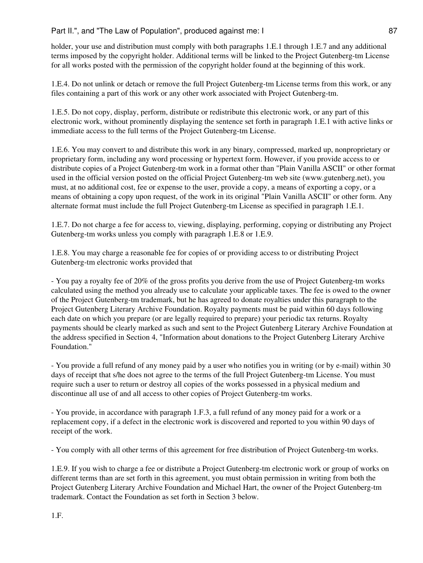holder, your use and distribution must comply with both paragraphs 1.E.1 through 1.E.7 and any additional terms imposed by the copyright holder. Additional terms will be linked to the Project Gutenberg-tm License for all works posted with the permission of the copyright holder found at the beginning of this work.

1.E.4. Do not unlink or detach or remove the full Project Gutenberg-tm License terms from this work, or any files containing a part of this work or any other work associated with Project Gutenberg-tm.

1.E.5. Do not copy, display, perform, distribute or redistribute this electronic work, or any part of this electronic work, without prominently displaying the sentence set forth in paragraph 1.E.1 with active links or immediate access to the full terms of the Project Gutenberg-tm License.

1.E.6. You may convert to and distribute this work in any binary, compressed, marked up, nonproprietary or proprietary form, including any word processing or hypertext form. However, if you provide access to or distribute copies of a Project Gutenberg-tm work in a format other than "Plain Vanilla ASCII" or other format used in the official version posted on the official Project Gutenberg-tm web site (www.gutenberg.net), you must, at no additional cost, fee or expense to the user, provide a copy, a means of exporting a copy, or a means of obtaining a copy upon request, of the work in its original "Plain Vanilla ASCII" or other form. Any alternate format must include the full Project Gutenberg-tm License as specified in paragraph 1.E.1.

1.E.7. Do not charge a fee for access to, viewing, displaying, performing, copying or distributing any Project Gutenberg-tm works unless you comply with paragraph 1.E.8 or 1.E.9.

1.E.8. You may charge a reasonable fee for copies of or providing access to or distributing Project Gutenberg-tm electronic works provided that

- You pay a royalty fee of 20% of the gross profits you derive from the use of Project Gutenberg-tm works calculated using the method you already use to calculate your applicable taxes. The fee is owed to the owner of the Project Gutenberg-tm trademark, but he has agreed to donate royalties under this paragraph to the Project Gutenberg Literary Archive Foundation. Royalty payments must be paid within 60 days following each date on which you prepare (or are legally required to prepare) your periodic tax returns. Royalty payments should be clearly marked as such and sent to the Project Gutenberg Literary Archive Foundation at the address specified in Section 4, "Information about donations to the Project Gutenberg Literary Archive Foundation."

- You provide a full refund of any money paid by a user who notifies you in writing (or by e-mail) within 30 days of receipt that s/he does not agree to the terms of the full Project Gutenberg-tm License. You must require such a user to return or destroy all copies of the works possessed in a physical medium and discontinue all use of and all access to other copies of Project Gutenberg-tm works.

- You provide, in accordance with paragraph 1.F.3, a full refund of any money paid for a work or a replacement copy, if a defect in the electronic work is discovered and reported to you within 90 days of receipt of the work.

- You comply with all other terms of this agreement for free distribution of Project Gutenberg-tm works.

1.E.9. If you wish to charge a fee or distribute a Project Gutenberg-tm electronic work or group of works on different terms than are set forth in this agreement, you must obtain permission in writing from both the Project Gutenberg Literary Archive Foundation and Michael Hart, the owner of the Project Gutenberg-tm trademark. Contact the Foundation as set forth in Section 3 below.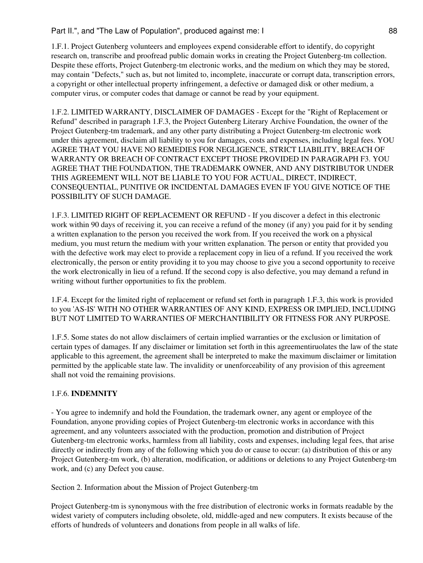1.F.1. Project Gutenberg volunteers and employees expend considerable effort to identify, do copyright research on, transcribe and proofread public domain works in creating the Project Gutenberg-tm collection. Despite these efforts, Project Gutenberg-tm electronic works, and the medium on which they may be stored, may contain "Defects," such as, but not limited to, incomplete, inaccurate or corrupt data, transcription errors, a copyright or other intellectual property infringement, a defective or damaged disk or other medium, a computer virus, or computer codes that damage or cannot be read by your equipment.

1.F.2. LIMITED WARRANTY, DISCLAIMER OF DAMAGES - Except for the "Right of Replacement or Refund" described in paragraph 1.F.3, the Project Gutenberg Literary Archive Foundation, the owner of the Project Gutenberg-tm trademark, and any other party distributing a Project Gutenberg-tm electronic work under this agreement, disclaim all liability to you for damages, costs and expenses, including legal fees. YOU AGREE THAT YOU HAVE NO REMEDIES FOR NEGLIGENCE, STRICT LIABILITY, BREACH OF WARRANTY OR BREACH OF CONTRACT EXCEPT THOSE PROVIDED IN PARAGRAPH F3. YOU AGREE THAT THE FOUNDATION, THE TRADEMARK OWNER, AND ANY DISTRIBUTOR UNDER THIS AGREEMENT WILL NOT BE LIABLE TO YOU FOR ACTUAL, DIRECT, INDIRECT, CONSEQUENTIAL, PUNITIVE OR INCIDENTAL DAMAGES EVEN IF YOU GIVE NOTICE OF THE POSSIBILITY OF SUCH DAMAGE.

1.F.3. LIMITED RIGHT OF REPLACEMENT OR REFUND - If you discover a defect in this electronic work within 90 days of receiving it, you can receive a refund of the money (if any) you paid for it by sending a written explanation to the person you received the work from. If you received the work on a physical medium, you must return the medium with your written explanation. The person or entity that provided you with the defective work may elect to provide a replacement copy in lieu of a refund. If you received the work electronically, the person or entity providing it to you may choose to give you a second opportunity to receive the work electronically in lieu of a refund. If the second copy is also defective, you may demand a refund in writing without further opportunities to fix the problem.

1.F.4. Except for the limited right of replacement or refund set forth in paragraph 1.F.3, this work is provided to you 'AS-IS' WITH NO OTHER WARRANTIES OF ANY KIND, EXPRESS OR IMPLIED, INCLUDING BUT NOT LIMITED TO WARRANTIES OF MERCHANTIBILITY OR FITNESS FOR ANY PURPOSE.

1.F.5. Some states do not allow disclaimers of certain implied warranties or the exclusion or limitation of certain types of damages. If any disclaimer or limitation set forth in this agreementiruolates the law of the state applicable to this agreement, the agreement shall be interpreted to make the maximum disclaimer or limitation permitted by the applicable state law. The invalidity or unenforceability of any provision of this agreement shall not void the remaining provisions.

# 1.F.6. **INDEMNITY**

- You agree to indemnify and hold the Foundation, the trademark owner, any agent or employee of the Foundation, anyone providing copies of Project Gutenberg-tm electronic works in accordance with this agreement, and any volunteers associated with the production, promotion and distribution of Project Gutenberg-tm electronic works, harmless from all liability, costs and expenses, including legal fees, that arise directly or indirectly from any of the following which you do or cause to occur: (a) distribution of this or any Project Gutenberg-tm work, (b) alteration, modification, or additions or deletions to any Project Gutenberg-tm work, and (c) any Defect you cause.

Section 2. Information about the Mission of Project Gutenberg-tm

Project Gutenberg-tm is synonymous with the free distribution of electronic works in formats readable by the widest variety of computers including obsolete, old, middle-aged and new computers. It exists because of the efforts of hundreds of volunteers and donations from people in all walks of life.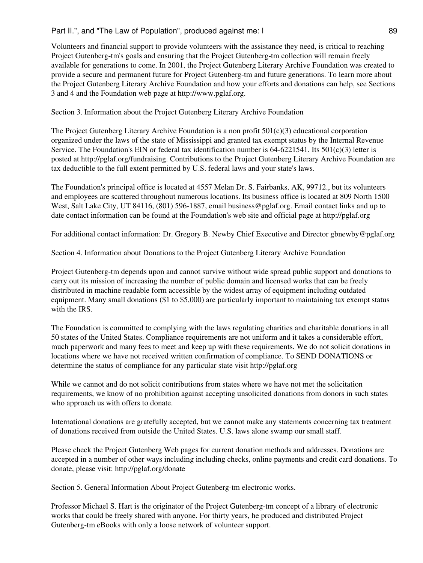Volunteers and financial support to provide volunteers with the assistance they need, is critical to reaching Project Gutenberg-tm's goals and ensuring that the Project Gutenberg-tm collection will remain freely available for generations to come. In 2001, the Project Gutenberg Literary Archive Foundation was created to provide a secure and permanent future for Project Gutenberg-tm and future generations. To learn more about the Project Gutenberg Literary Archive Foundation and how your efforts and donations can help, see Sections 3 and 4 and the Foundation web page at http://www.pglaf.org.

Section 3. Information about the Project Gutenberg Literary Archive Foundation

The Project Gutenberg Literary Archive Foundation is a non profit  $501(c)(3)$  educational corporation organized under the laws of the state of Mississippi and granted tax exempt status by the Internal Revenue Service. The Foundation's EIN or federal tax identification number is  $64-6221541$ . Its  $501(c)(3)$  letter is posted at http://pglaf.org/fundraising. Contributions to the Project Gutenberg Literary Archive Foundation are tax deductible to the full extent permitted by U.S. federal laws and your state's laws.

The Foundation's principal office is located at 4557 Melan Dr. S. Fairbanks, AK, 99712., but its volunteers and employees are scattered throughout numerous locations. Its business office is located at 809 North 1500 West, Salt Lake City, UT 84116, (801) 596-1887, email business@pglaf.org. Email contact links and up to date contact information can be found at the Foundation's web site and official page at http://pglaf.org

For additional contact information: Dr. Gregory B. Newby Chief Executive and Director gbnewby@pglaf.org

Section 4. Information about Donations to the Project Gutenberg Literary Archive Foundation

Project Gutenberg-tm depends upon and cannot survive without wide spread public support and donations to carry out its mission of increasing the number of public domain and licensed works that can be freely distributed in machine readable form accessible by the widest array of equipment including outdated equipment. Many small donations (\$1 to \$5,000) are particularly important to maintaining tax exempt status with the IRS.

The Foundation is committed to complying with the laws regulating charities and charitable donations in all 50 states of the United States. Compliance requirements are not uniform and it takes a considerable effort, much paperwork and many fees to meet and keep up with these requirements. We do not solicit donations in locations where we have not received written confirmation of compliance. To SEND DONATIONS or determine the status of compliance for any particular state visit http://pglaf.org

While we cannot and do not solicit contributions from states where we have not met the solicitation requirements, we know of no prohibition against accepting unsolicited donations from donors in such states who approach us with offers to donate.

International donations are gratefully accepted, but we cannot make any statements concerning tax treatment of donations received from outside the United States. U.S. laws alone swamp our small staff.

Please check the Project Gutenberg Web pages for current donation methods and addresses. Donations are accepted in a number of other ways including including checks, online payments and credit card donations. To donate, please visit: http://pglaf.org/donate

Section 5. General Information About Project Gutenberg-tm electronic works.

Professor Michael S. Hart is the originator of the Project Gutenberg-tm concept of a library of electronic works that could be freely shared with anyone. For thirty years, he produced and distributed Project Gutenberg-tm eBooks with only a loose network of volunteer support.